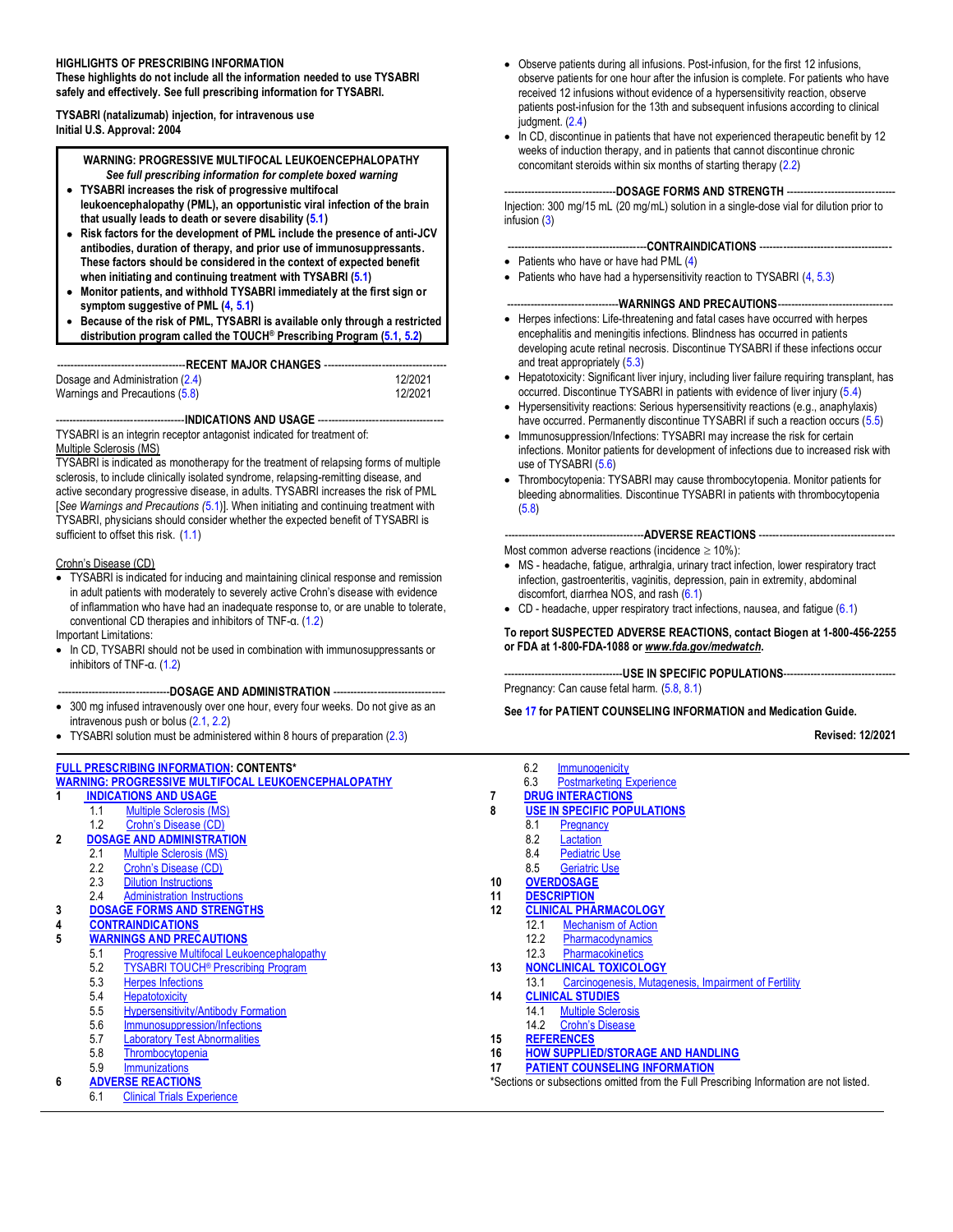#### **HIGHLIGHTS OF PRESCRIBING INFORMATION**

**These highlights do not include all the information needed to use TYSABRI safely and effectively. See full prescribing information for TYSABRI.**

**TYSABRI (natalizumab) injection, for intravenous use Initial U.S. Approval: 2004** 

> **WARNING: PROGRESSIVE MULTIFOCAL LEUKOENCEPHALOPATHY** *See full prescribing information for complete boxed warning*

- **TYSABRI increases the risk of progressive multifocal leukoencephalopathy (PML), an opportunistic viral infection of the brain that usually leads to death or severe disability [\(5.1\)](#page-3-0)**
- **Risk factors for the development of PML include the presence of anti-JCV antibodies, duration of therapy, and prior use of immunosuppressants. These factors should be considered in the context of expected benefit when initiating and continuing treatment with TYSABRI [\(5.1\)](#page-3-0)**
- **Monitor patients, and withhold TYSABRI immediately at the first sign or symptom suggestive of PML [\(4, 5.1\)](#page-3-0)**
- **Because of the risk of PML, TYSABRI is available only through a restricted distribution program called the TOUCH® Prescribing Program [\(5.1,](#page-3-0) [5.2\)](#page-6-0)**

--------------------------------------**RECENT MAJOR CHANGES** ------------------------------------

| Dosage and Administration (2.4)<br>Warnings and Precautions (5.8) | 12/2021<br>12/2021 |
|-------------------------------------------------------------------|--------------------|
|                                                                   |                    |

----INDICATIONS AND USAGE ----

TYSABRI is an integrin receptor antagonist indicated for treatment of: Multiple Sclerosis (MS)

TYSABRI is indicated as monotherapy for the treatment of relapsing forms of multiple sclerosis, to include clinically isolated syndrome, relapsing-remitting disease, and active secondary progressive disease, in adults. TYSABRI increases the risk of PML [*See Warnings and Precautions (*[5.1\)\]](#page-3-0). When initiating and continuing treatment with TYSABRI, physicians should consider whether the expected benefit of TYSABRI is sufficient to offset this risk. [\(1.1\)](#page-1-0)

#### Crohn's Disease (CD)

• TYSABRI is indicated for inducing and maintaining clinical response and remission in adult patients with moderately to severely active Crohn's disease with evidence of inflammation who have had an inadequate response to, or are unable to tolerate, conventional CD therapies and inhibitors of TNF-α. [\(1.2\)](#page-1-0)

Important Limitations:

• In CD, TYSABRI should not be used in combination with immunosuppressants or inhibitors of TNF-α. [\(1.2\)](#page-1-0)

#### ---DOSAGE AND ADMINISTRATION ---

- 300 mg infused intravenously over one hour, every four weeks. Do not give as an intravenous push or bolus [\(2.1, 2.2\)](#page-2-0)
- TYSABRI solution must be administered within 8 hours of preparation [\(2.3\)](#page-2-0)
- **[FULL PRESCRIBING INFORMATION:](#page-1-0) CONTENTS\* [WARNING: PROGRESSIVE MULTIFOCAL LEUKOENCEPHALOPATHY](#page-1-0) 1 [INDICATIONS AND USAGE](#page-1-0)** 1.1 [Multiple Sclerosis \(MS\)](#page-1-0) 1.2 [Crohn's Disease \(CD\)](#page-1-0) **2 [DOSAGE AND ADMINISTRATION](#page-2-0)** [Multiple Sclerosis](#page-2-0) (MS) 2.2 [Crohn's Disease](#page-2-0) (CD) 2.3 [Dilution Instructions](#page-2-0)<br>2.4 Administration Instru [Administration Instructions](#page-3-0) **3 [DOSAGE FORMS AND STRENGTHS](#page-3-0) 4 [CONTRAINDICATIONS](#page-3-0) 5 [WARNINGS AND PRECAUTIONS](#page-3-0)** 5.1 [Progressive Multifocal Leukoencephalopathy](#page-3-0) 5.2 TYSABRI TOUCH<sup>®</sup> [Prescribing Program](#page-6-0)<br>5.3 Herpes Infections **[Herpes Infections](#page-7-0)** 5.4 [Hepatotoxicity](#page-7-0) 5.5 [Hypersensitivity/Antibody Formation](#page-8-0)<br>5.6 Immunosuppression/Infections [Immunosuppression/Infections](#page-8-0) 5.7 [Laboratory Test Abnormalities](#page-9-0) 5.8 [Thrombocytopenia](#page-9-0)<br>5.9 Immunizations **[Immunizations](#page-9-0) 6 [ADVERSE REACTIONS](#page-10-0)** 6.1 [Clinical Trials Experience](#page-10-0)
- Observe patients during all infusions. Post-infusion, for the first 12 infusions, observe patients for one hour after the infusion is complete. For patients who have received 12 infusions without evidence of a hypersensitivity reaction, observe patients post-infusion for the 13th and subsequent infusions according to clinical judgment. [\(2.4\)](#page-3-0)
- In CD, discontinue in patients that have not experienced therapeutic benefit by 12 weeks of induction therapy, and in patients that cannot discontinue chronic concomitant steroids within six months of starting therapy [\(2.2\)](#page-2-0)

#### -DOSAGE FORMS AND STRENGTH -

Injection: 300 mg/15 mL (20 mg/mL) solution in a single-dose vial for dilution prior to infusion [\(3\)](#page-3-0)

#### -----------------------------------------**CONTRAINDICATIONS** ---------------------------------------

- Patients who have or have had PML [\(4\)](#page-3-0)
- Patients who have had a hypersensitivity reaction to TYSABRI [\(4,](#page-3-0) [5.3\)](#page-7-0)

#### ----WARNINGS AND PRECAUTIONS--

- Herpes infections: Life-threatening and fatal cases have occurred with herpes encephalitis and meningitis infections. Blindness has occurred in patients developing acute retinal necrosis. Discontinue TYSABRI if these infections occur and treat appropriately [\(5.3\)](#page-7-0)
- Hepatotoxicity: Significant liver injury, including liver failure requiring transplant, has occurred. Discontinue TYSABRI in patients with evidence of liver injury [\(5.4\)](#page-7-0)
- Hypersensitivity reactions: Serious hypersensitivity reactions (e.g., anaphylaxis) have occurred. Permanently discontinue TYSABRI if such a reaction occurs [\(5.5\)](#page-8-0)
- Immunosuppression/Infections: TYSABRI may increase the risk for certain infections. Monitor patients for development of infections due to increased risk with use of TYSABRI [\(5.6\)](#page-8-0)
- Thrombocytopenia: TYSABRI may cause thrombocytopenia. Monitor patients for bleeding abnormalities. Discontinue TYSABRI in patients with thrombocytopenia [\(5.8\)](#page-9-0)

-----------------------------------------**ADVERSE REACTIONS** ----------------------------------------

Most common adverse reactions (incidence  $\geq 10\%$ ):

- MS headache, fatigue, arthralgia, urinary tract infection, lower respiratory tract infection, gastroenteritis, vaginitis, depression, pain in extremity, abdominal discomfort, diarrhea NOS, and rash [\(6.1\)](#page-10-0)
- CD headache, upper respiratory tract infections, nausea, and fatigue [\(6.1\)](#page-10-0)

#### **To report SUSPECTED ADVERSE REACTIONS, contact Biogen at 1-800-456-2255 or FDA at 1-800-FDA-1088 or** *www.fda.gov/medwatch***.**

----USE IN SPECIFIC POPULATIONS----Pregnancy: Can cause fetal harm. [\(5.8](#page-9-0)[, 8.1\)](#page-17-0)

**Se[e 17](#page-28-0) for PATIENT COUNSELING INFORMATION and Medication Guide.**

**Revised: 12/2021**

6.2 **[Immunogenicity](#page-16-0)** 6.3 [Postmarketing Experience](#page-16-0) **7 [DRUG INTERACTIONS](#page-17-0) 8 [USE IN SPECIFIC POPULATIONS](#page-17-0)** 8.1 [Pregnancy](#page-17-0) 8.2 **[Lactation](#page-18-0)**<br>8.4 **Pediatric** [Pediatric Use](#page-18-0) [8.5 Geriatric Use](#page-18-0) **10 [OVERDOSAGE](#page-19-0) [11 DESCRIPTION](#page-19-0) [12 CLINICAL PHARMACOLOGY](#page-19-0)** 12.1 [Mechanism of Action](#page-19-0) 12.2 [Pharmacodynamics](#page-20-0) 12.3 [Pharmacokinetics](#page-20-0) **13 [NONCLINICAL TOXICOLOGY](#page-21-0)** 13.1 [Carcinogenesis, Mutagenesis, Impairment of Fertility](#page-21-0) **14 [CLINICAL STUDIES](#page-21-0)** 14.1 [Multiple Sclerosis](#page-21-0) 14.2 [Crohn's Disease](#page-25-0) **15 [REFERENCES](#page-27-0) 16 [HOW SUPPLIED/STORAGE AND HANDLING](#page-27-0) 17 [PATIENT COUNSELING INFORMATION](#page-28-0)** \*Sections or subsections omitted from the Full Prescribing Information are not listed.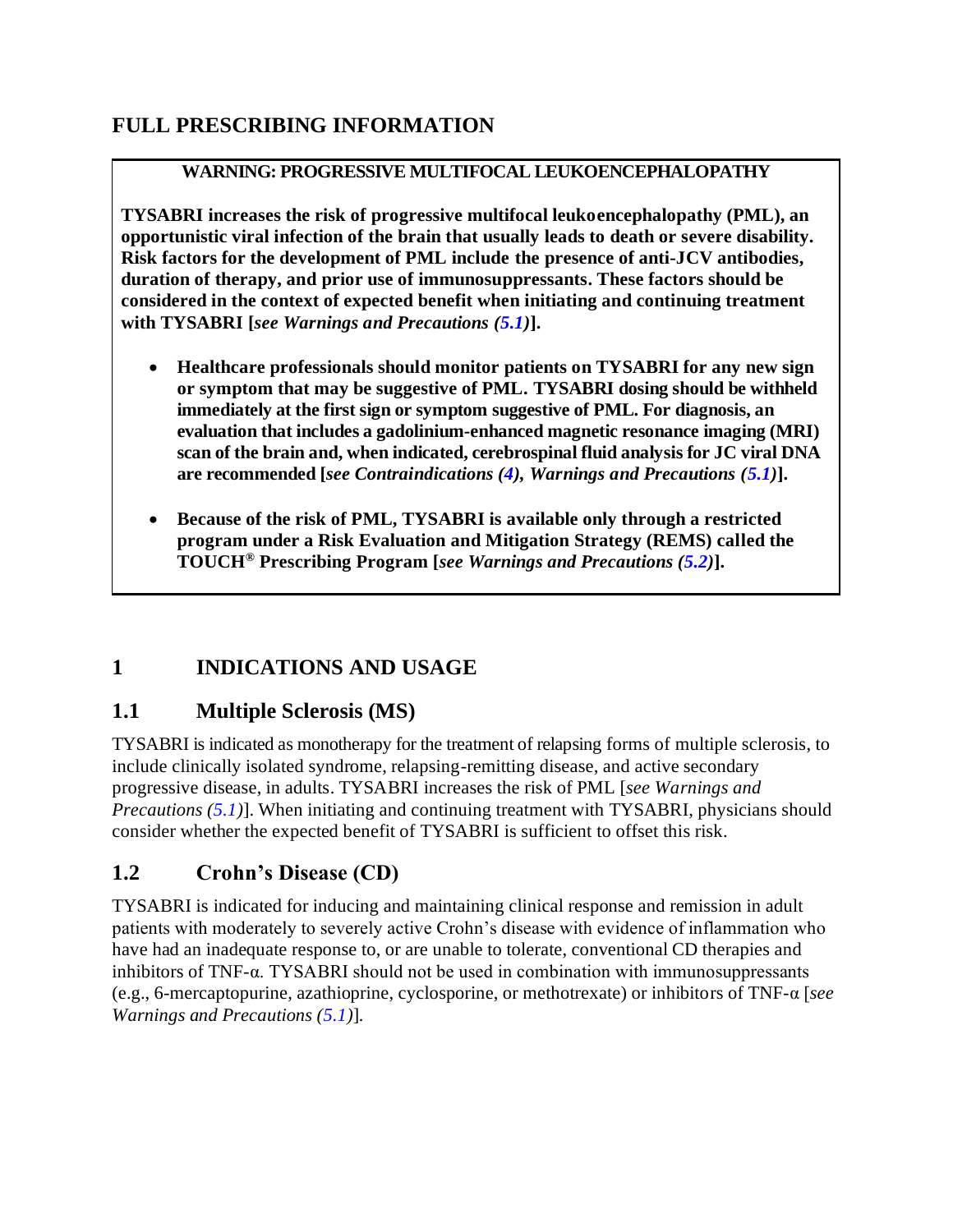# <span id="page-1-0"></span>**FULL PRESCRIBING INFORMATION**

#### **WARNING: PROGRESSIVE MULTIFOCAL LEUKOENCEPHALOPATHY**

**TYSABRI increases the risk of progressive multifocal leukoencephalopathy (PML), an opportunistic viral infection of the brain that usually leads to death or severe disability. Risk factors for the development of PML include the presence of anti-JCV antibodies, duration of therapy, and prior use of immunosuppressants. These factors should be considered in the context of expected benefit when initiating and continuing treatment with TYSABRI [***see Warnings and Precautions [\(5.1\)](#page-3-0)***].** 

- **Healthcare professionals should monitor patients on TYSABRI for any new sign or symptom that may be suggestive of PML. TYSABRI dosing should be withheld immediately at the first sign or symptom suggestive of PML. For diagnosis, an evaluation that includes a gadolinium-enhanced magnetic resonance imaging (MRI) scan of the brain and, when indicated, cerebrospinal fluid analysis for JC viral DNA are recommended [***see Contraindications [\(4\)](#page-3-0), Warnings and Precautions [\(5.1\)](#page-3-0)***].**
- **Because of the risk of PML, TYSABRI is available only through a restricted program under a Risk Evaluation and Mitigation Strategy (REMS) called the TOUCH® Prescribing Program [***see Warnings and Precautions [\(5.2\)](#page-6-0)***].**

### **1 INDICATIONS AND USAGE**

### **1.1 Multiple Sclerosis (MS)**

TYSABRI is indicated as monotherapy for the treatment of relapsing forms of multiple sclerosis, to include clinically isolated syndrome, relapsing-remitting disease, and active secondary progressive disease, in adults. TYSABRI increases the risk of PML [*see Warnings and Precautions [\(5.1\)](#page-3-0)*]. When initiating and continuing treatment with TYSABRI, physicians should consider whether the expected benefit of TYSABRI is sufficient to offset this risk.

### **1.2 Crohn's Disease (CD)**

TYSABRI is indicated for inducing and maintaining clinical response and remission in adult patients with moderately to severely active Crohn's disease with evidence of inflammation who have had an inadequate response to, or are unable to tolerate, conventional CD therapies and inhibitors of TNF-α. TYSABRI should not be used in combination with immunosuppressants (e.g., 6-mercaptopurine, azathioprine, cyclosporine, or methotrexate) or inhibitors of TNF-α [*see Warnings and Precautions [\(5.1\)](#page-3-0)*]*.*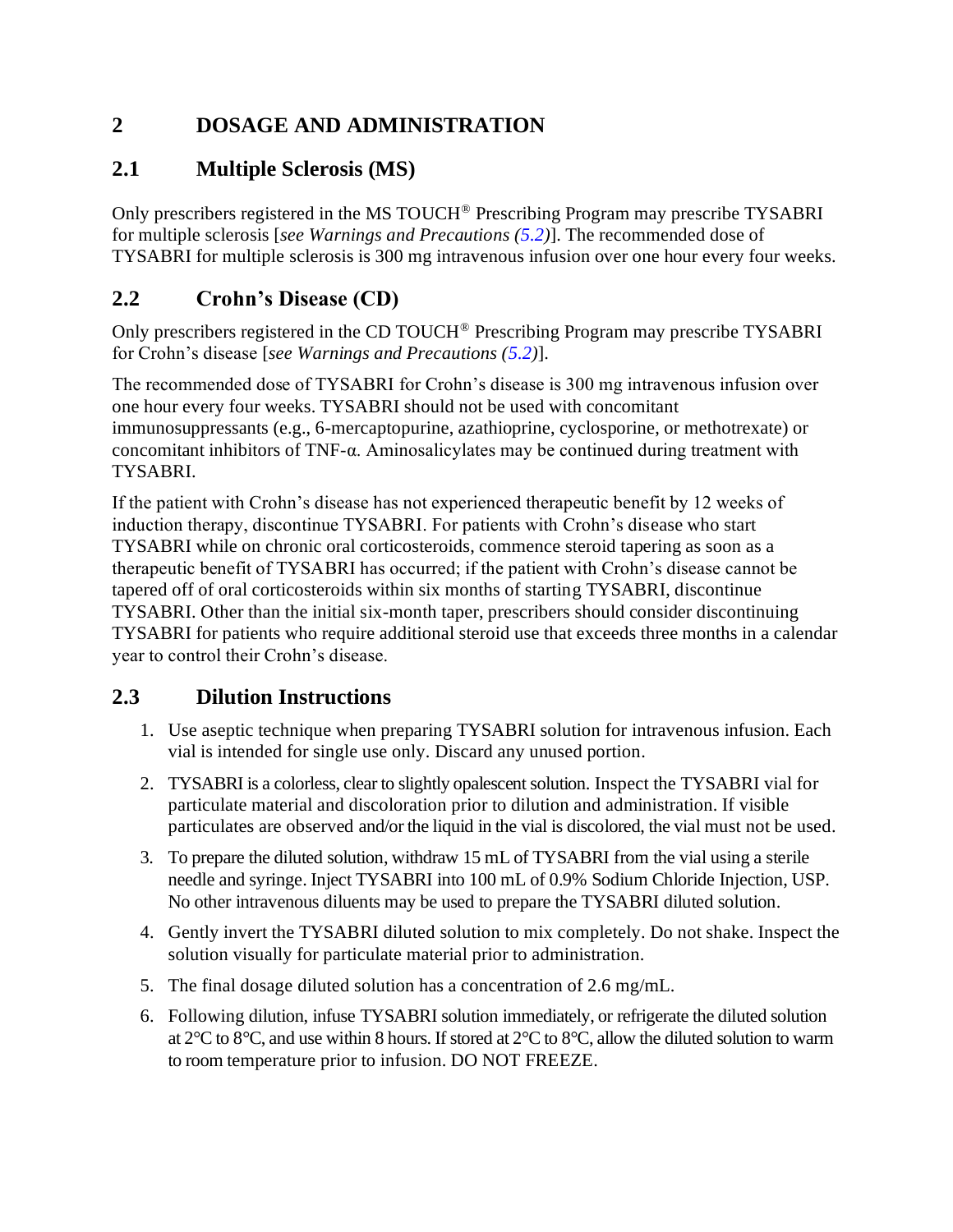## <span id="page-2-0"></span>**2 DOSAGE AND ADMINISTRATION**

### **2.1 Multiple Sclerosis (MS)**

Only prescribers registered in the MS TOUCH® Prescribing Program may prescribe TYSABRI for multiple sclerosis [*see Warnings and Precautions [\(5.2\)](#page-6-0)*]. The recommended dose of TYSABRI for multiple sclerosis is 300 mg intravenous infusion over one hour every four weeks.

### **2.2 Crohn's Disease (CD)**

Only prescribers registered in the CD TOUCH® Prescribing Program may prescribe TYSABRI for Crohn's disease [*see Warnings and Precautions [\(5.2\)](#page-6-0)*].

The recommended dose of TYSABRI for Crohn's disease is 300 mg intravenous infusion over one hour every four weeks. TYSABRI should not be used with concomitant immunosuppressants (e.g., 6-mercaptopurine, azathioprine, cyclosporine, or methotrexate) or concomitant inhibitors of TNF-α. Aminosalicylates may be continued during treatment with TYSABRI.

If the patient with Crohn's disease has not experienced therapeutic benefit by 12 weeks of induction therapy, discontinue TYSABRI. For patients with Crohn's disease who start TYSABRI while on chronic oral corticosteroids, commence steroid tapering as soon as a therapeutic benefit of TYSABRI has occurred; if the patient with Crohn's disease cannot be tapered off of oral corticosteroids within six months of starting TYSABRI, discontinue TYSABRI. Other than the initial six-month taper, prescribers should consider discontinuing TYSABRI for patients who require additional steroid use that exceeds three months in a calendar year to control their Crohn's disease.

### **2.3 Dilution Instructions**

- 1. Use aseptic technique when preparing TYSABRI solution for intravenous infusion. Each vial is intended for single use only. Discard any unused portion.
- 2. TYSABRI is a colorless, clear to slightly opalescent solution. Inspect the TYSABRI vial for particulate material and discoloration prior to dilution and administration. If visible particulates are observed and/or the liquid in the vial is discolored, the vial must not be used.
- 3. To prepare the diluted solution, withdraw 15 mL of TYSABRI from the vial using a sterile needle and syringe. Inject TYSABRI into 100 mL of 0.9% Sodium Chloride Injection, USP. No other intravenous diluents may be used to prepare the TYSABRI diluted solution.
- 4. Gently invert the TYSABRI diluted solution to mix completely. Do not shake. Inspect the solution visually for particulate material prior to administration.
- 5. The final dosage diluted solution has a concentration of 2.6 mg/mL.
- 6. Following dilution, infuse TYSABRI solution immediately, or refrigerate the diluted solution at 2°C to 8°C, and use within 8 hours. If stored at 2°C to 8°C, allow the diluted solution to warm to room temperature prior to infusion. DO NOT FREEZE.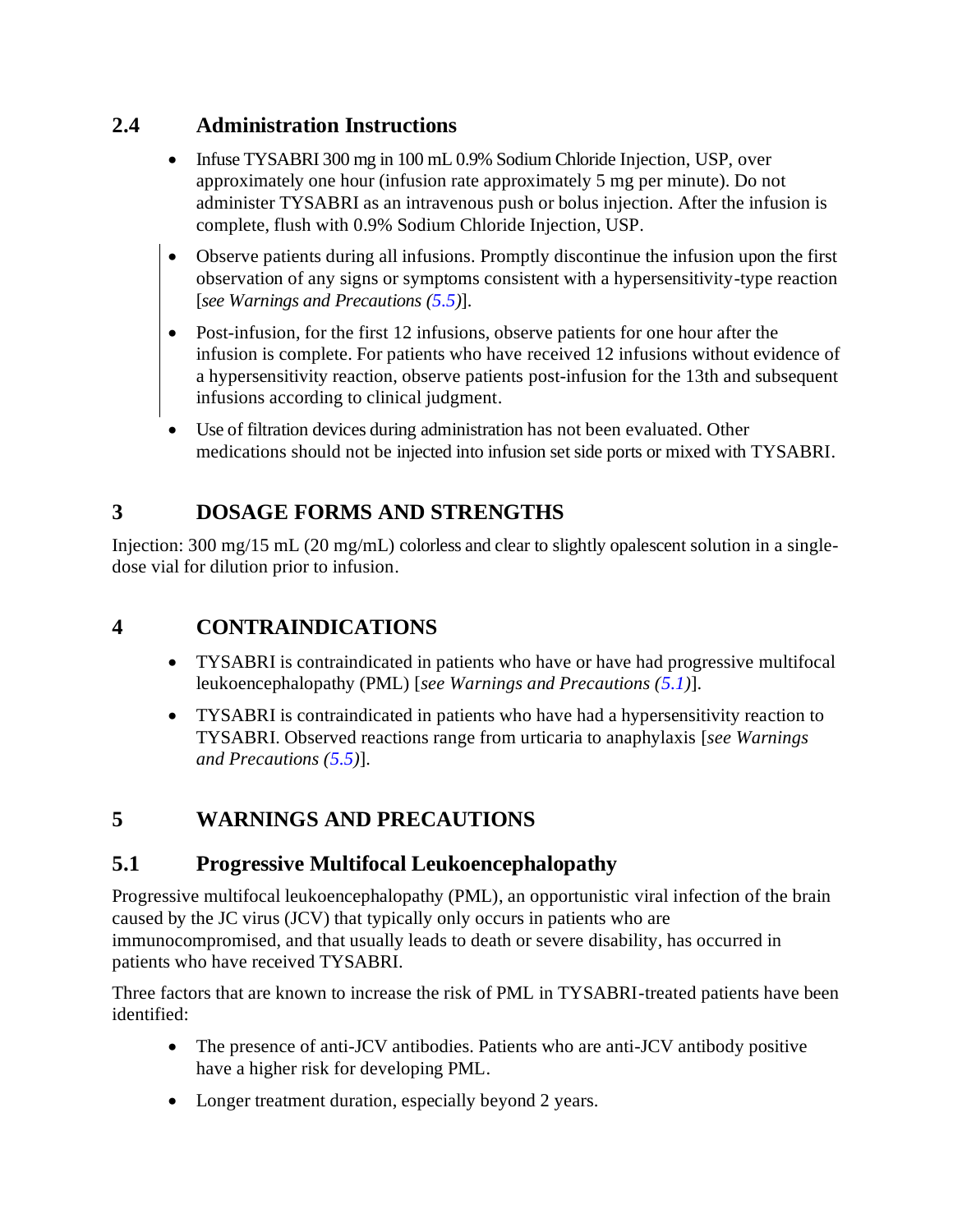### <span id="page-3-0"></span>**2.4 Administration Instructions**

- Infuse TYSABRI 300 mg in 100 mL 0.9% Sodium Chloride Injection, USP, over approximately one hour (infusion rate approximately 5 mg per minute). Do not administer TYSABRI as an intravenous push or bolus injection. After the infusion is complete, flush with 0.9% Sodium Chloride Injection, USP.
- Observe patients during all infusions. Promptly discontinue the infusion upon the first observation of any signs or symptoms consistent with a hypersensitivity-type reaction [*see Warnings and Precautions [\(5.5\)](#page-8-0)*].
- Post-infusion, for the first 12 infusions, observe patients for one hour after the infusion is complete. For patients who have received 12 infusions without evidence of a hypersensitivity reaction, observe patients post-infusion for the 13th and subsequent infusions according to clinical judgment.
- Use of filtration devices during administration has not been evaluated. Other medications should not be injected into infusion set side ports or mixed with TYSABRI.

# **3 DOSAGE FORMS AND STRENGTHS**

Injection: 300 mg/15 mL (20 mg/mL) colorless and clear to slightly opalescent solution in a singledose vial for dilution prior to infusion.

# **4 CONTRAINDICATIONS**

- TYSABRI is contraindicated in patients who have or have had progressive multifocal leukoencephalopathy (PML) [*see Warnings and Precautions [\(5.1\)](#page-3-0)*].
- TYSABRI is contraindicated in patients who have had a hypersensitivity reaction to TYSABRI. Observed reactions range from urticaria to anaphylaxis [*see Warnings and Precautions [\(5.5\)](#page-8-0)*].

# **5 WARNINGS AND PRECAUTIONS**

# **5.1 Progressive Multifocal Leukoencephalopathy**

Progressive multifocal leukoencephalopathy (PML), an opportunistic viral infection of the brain caused by the JC virus (JCV) that typically only occurs in patients who are immunocompromised, and that usually leads to death or severe disability, has occurred in patients who have received TYSABRI.

Three factors that are known to increase the risk of PML in TYSABRI-treated patients have been identified:

- The presence of anti-JCV antibodies. Patients who are anti-JCV antibody positive have a higher risk for developing PML.
- Longer treatment duration, especially beyond 2 years.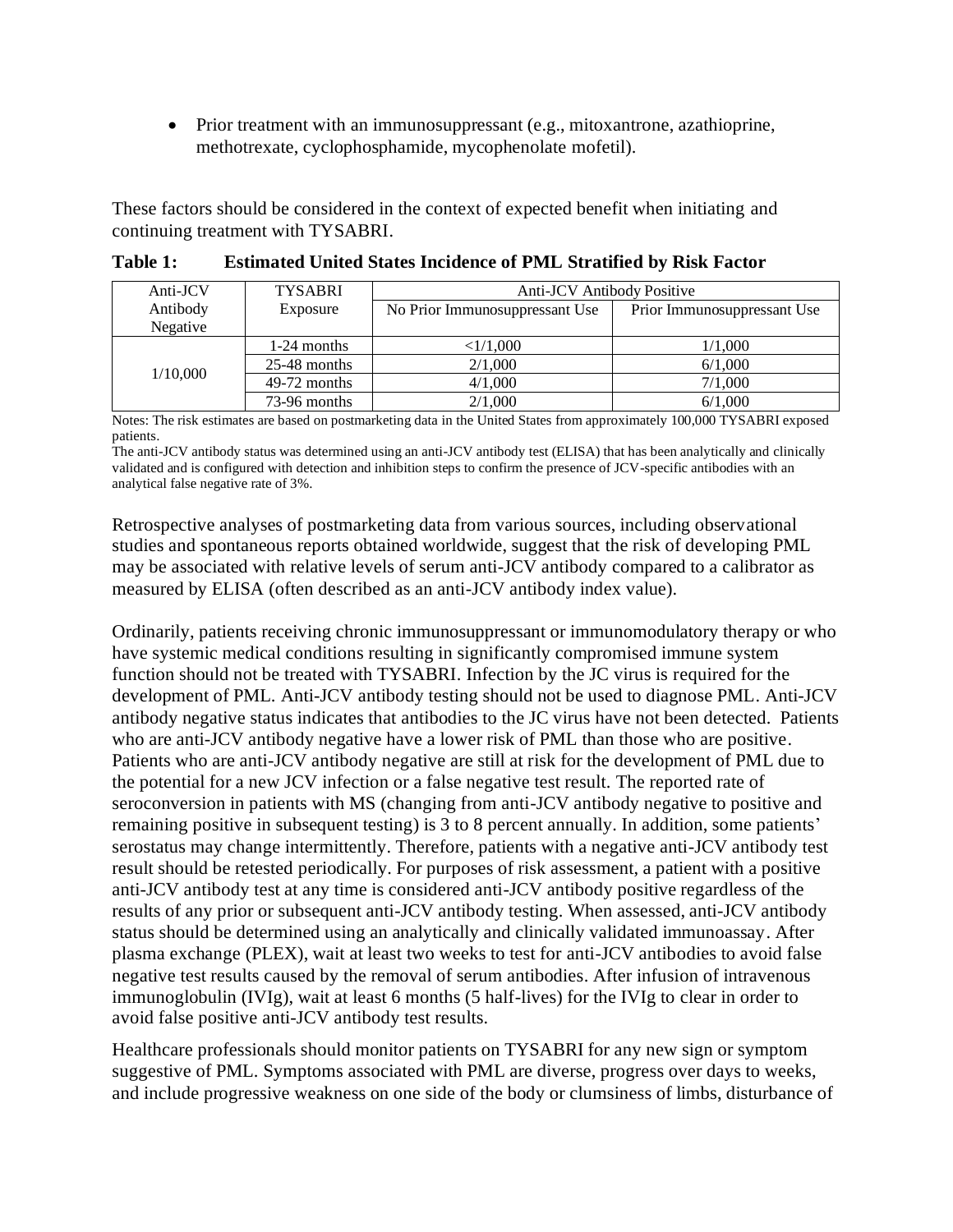• Prior treatment with an immunosuppressant (e.g., mitoxantrone, azathioprine, methotrexate, cyclophosphamide, mycophenolate mofetil).

These factors should be considered in the context of expected benefit when initiating and continuing treatment with TYSABRI*.*

| Anti-JCV | <b>TYSABRI</b> | Anti-JCV Antibody Positive     |                             |  |
|----------|----------------|--------------------------------|-----------------------------|--|
| Antibody | Exposure       | No Prior Immunosuppressant Use | Prior Immunosuppressant Use |  |
| Negative |                |                                |                             |  |
|          | 1-24 months    | <1/1,000                       | 1/1,000                     |  |
| 1/10,000 | $25-48$ months | 2/1,000                        | 6/1,000                     |  |
|          | $49-72$ months | 4/1,000                        | 7/1,000                     |  |
|          | 73-96 months   | 2/1,000                        | 6/1,000                     |  |

**Table 1: Estimated United States Incidence of PML Stratified by Risk Factor**

Notes: The risk estimates are based on postmarketing data in the United States from approximately 100,000 TYSABRI exposed patients.

The anti-JCV antibody status was determined using an anti-JCV antibody test (ELISA) that has been analytically and clinically validated and is configured with detection and inhibition steps to confirm the presence of JCV-specific antibodies with an analytical false negative rate of 3%.

Retrospective analyses of postmarketing data from various sources, including observational studies and spontaneous reports obtained worldwide, suggest that the risk of developing PML may be associated with relative levels of serum anti-JCV antibody compared to a calibrator as measured by ELISA (often described as an anti-JCV antibody index value).

Ordinarily, patients receiving chronic immunosuppressant or immunomodulatory therapy or who have systemic medical conditions resulting in significantly compromised immune system function should not be treated with TYSABRI. Infection by the JC virus is required for the development of PML. Anti-JCV antibody testing should not be used to diagnose PML. Anti-JCV antibody negative status indicates that antibodies to the JC virus have not been detected. Patients who are anti-JCV antibody negative have a lower risk of PML than those who are positive. Patients who are anti-JCV antibody negative are still at risk for the development of PML due to the potential for a new JCV infection or a false negative test result. The reported rate of seroconversion in patients with MS (changing from anti-JCV antibody negative to positive and remaining positive in subsequent testing) is 3 to 8 percent annually. In addition, some patients' serostatus may change intermittently. Therefore, patients with a negative anti-JCV antibody test result should be retested periodically. For purposes of risk assessment, a patient with a positive anti-JCV antibody test at any time is considered anti-JCV antibody positive regardless of the results of any prior or subsequent anti-JCV antibody testing. When assessed, anti-JCV antibody status should be determined using an analytically and clinically validated immunoassay. After plasma exchange (PLEX), wait at least two weeks to test for anti-JCV antibodies to avoid false negative test results caused by the removal of serum antibodies. After infusion of intravenous immunoglobulin (IVIg), wait at least 6 months (5 half-lives) for the IVIg to clear in order to avoid false positive anti-JCV antibody test results.

Healthcare professionals should monitor patients on TYSABRI for any new sign or symptom suggestive of PML. Symptoms associated with PML are diverse, progress over days to weeks, and include progressive weakness on one side of the body or clumsiness of limbs, disturbance of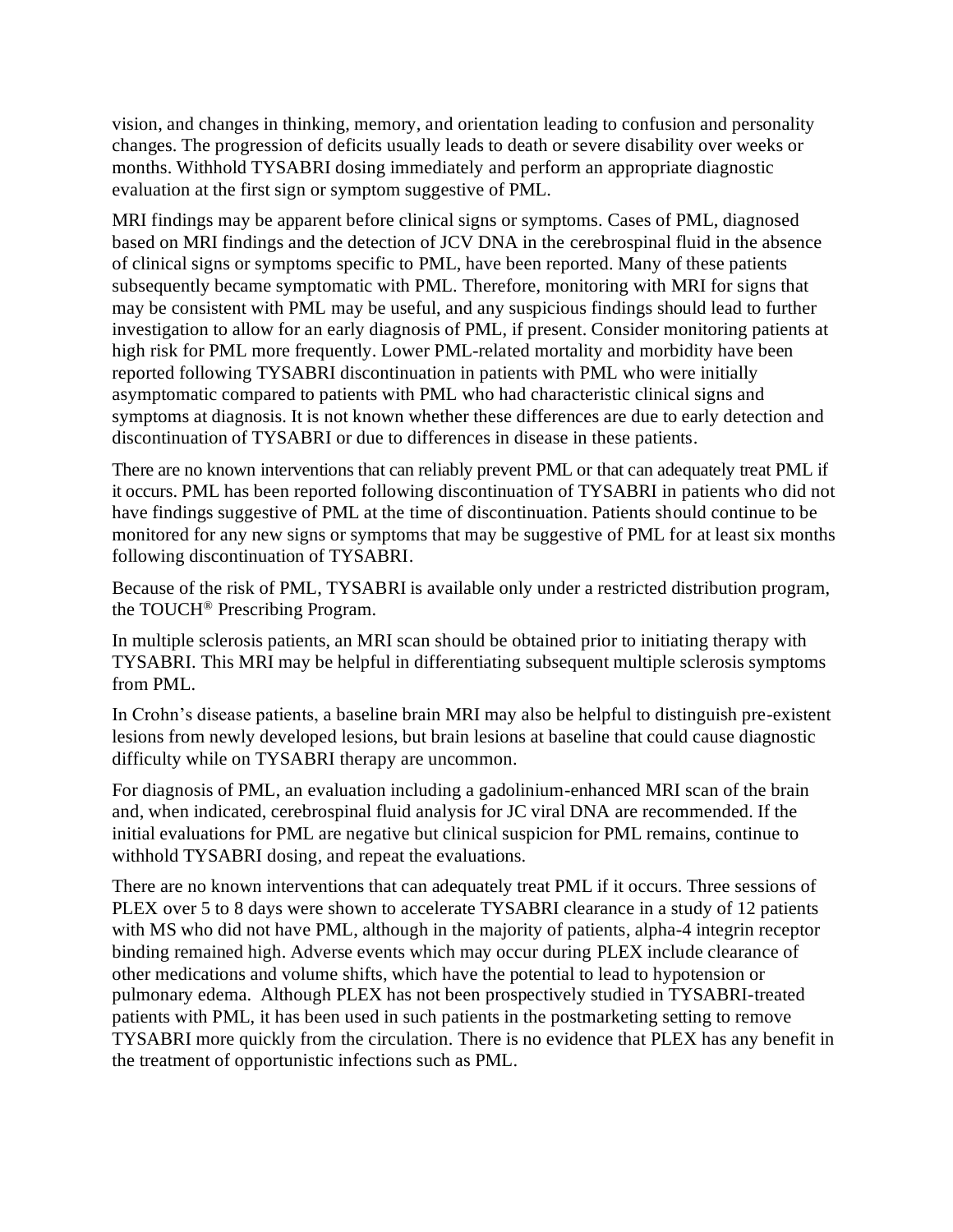vision, and changes in thinking, memory, and orientation leading to confusion and personality changes. The progression of deficits usually leads to death or severe disability over weeks or months. Withhold TYSABRI dosing immediately and perform an appropriate diagnostic evaluation at the first sign or symptom suggestive of PML.

MRI findings may be apparent before clinical signs or symptoms. Cases of PML, diagnosed based on MRI findings and the detection of JCV DNA in the cerebrospinal fluid in the absence of clinical signs or symptoms specific to PML, have been reported. Many of these patients subsequently became symptomatic with PML. Therefore, monitoring with MRI for signs that may be consistent with PML may be useful, and any suspicious findings should lead to further investigation to allow for an early diagnosis of PML, if present. Consider monitoring patients at high risk for PML more frequently. Lower PML-related mortality and morbidity have been reported following TYSABRI discontinuation in patients with PML who were initially asymptomatic compared to patients with PML who had characteristic clinical signs and symptoms at diagnosis. It is not known whether these differences are due to early detection and discontinuation of TYSABRI or due to differences in disease in these patients.

There are no known interventions that can reliably prevent PML or that can adequately treat PML if it occurs. PML has been reported following discontinuation of TYSABRI in patients who did not have findings suggestive of PML at the time of discontinuation. Patients should continue to be monitored for any new signs or symptoms that may be suggestive of PML for at least six months following discontinuation of TYSABRI.

Because of the risk of PML, TYSABRI is available only under a restricted distribution program, the TOUCH® Prescribing Program.

In multiple sclerosis patients, an MRI scan should be obtained prior to initiating therapy with TYSABRI. This MRI may be helpful in differentiating subsequent multiple sclerosis symptoms from PML.

In Crohn's disease patients, a baseline brain MRI may also be helpful to distinguish pre-existent lesions from newly developed lesions, but brain lesions at baseline that could cause diagnostic difficulty while on TYSABRI therapy are uncommon.

For diagnosis of PML, an evaluation including a gadolinium-enhanced MRI scan of the brain and, when indicated, cerebrospinal fluid analysis for JC viral DNA are recommended. If the initial evaluations for PML are negative but clinical suspicion for PML remains, continue to withhold TYSABRI dosing, and repeat the evaluations.

There are no known interventions that can adequately treat PML if it occurs. Three sessions of PLEX over 5 to 8 days were shown to accelerate TYSABRI clearance in a study of 12 patients with MS who did not have PML, although in the majority of patients, alpha-4 integrin receptor binding remained high. Adverse events which may occur during PLEX include clearance of other medications and volume shifts, which have the potential to lead to hypotension or pulmonary edema. Although PLEX has not been prospectively studied in TYSABRI-treated patients with PML, it has been used in such patients in the postmarketing setting to remove TYSABRI more quickly from the circulation. There is no evidence that PLEX has any benefit in the treatment of opportunistic infections such as PML.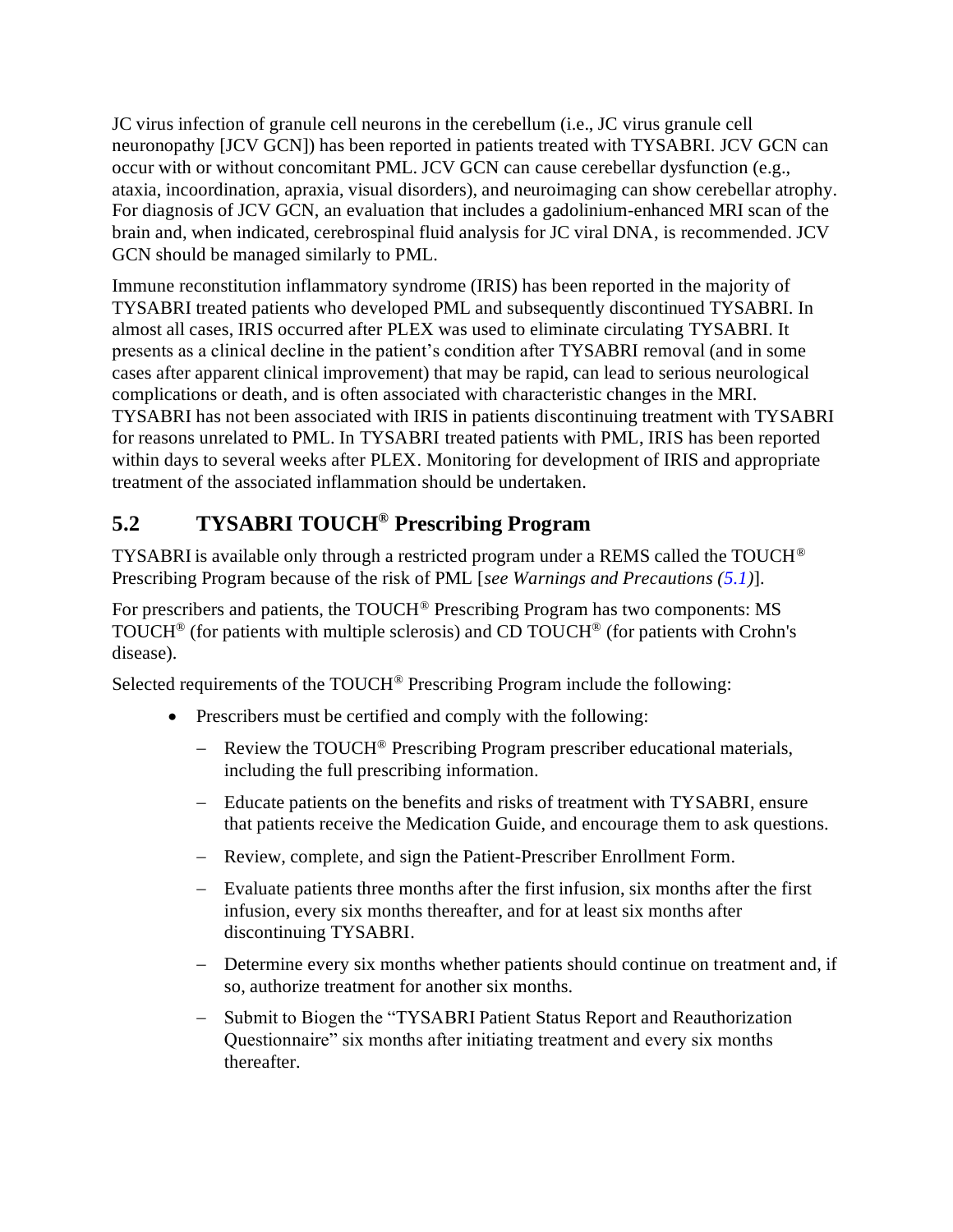<span id="page-6-0"></span>JC virus infection of granule cell neurons in the cerebellum (i.e., JC virus granule cell neuronopathy [JCV GCN]) has been reported in patients treated with TYSABRI. JCV GCN can occur with or without concomitant PML. JCV GCN can cause cerebellar dysfunction (e.g., ataxia, incoordination, apraxia, visual disorders), and neuroimaging can show cerebellar atrophy. For diagnosis of JCV GCN, an evaluation that includes a gadolinium-enhanced MRI scan of the brain and, when indicated, cerebrospinal fluid analysis for JC viral DNA, is recommended. JCV GCN should be managed similarly to PML.

Immune reconstitution inflammatory syndrome (IRIS) has been reported in the majority of TYSABRI treated patients who developed PML and subsequently discontinued TYSABRI. In almost all cases, IRIS occurred after PLEX was used to eliminate circulating TYSABRI. It presents as a clinical decline in the patient's condition after TYSABRI removal (and in some cases after apparent clinical improvement) that may be rapid, can lead to serious neurological complications or death, and is often associated with characteristic changes in the MRI. TYSABRI has not been associated with IRIS in patients discontinuing treatment with TYSABRI for reasons unrelated to PML. In TYSABRI treated patients with PML, IRIS has been reported within days to several weeks after PLEX. Monitoring for development of IRIS and appropriate treatment of the associated inflammation should be undertaken.

# **5.2 TYSABRI TOUCH® Prescribing Program**

TYSABRI is available only through a restricted program under a REMS called the TOUCH® Prescribing Program because of the risk of PML [*see Warnings and Precautions [\(5.1\)](#page-3-0)*].

For prescribers and patients, the TOUCH® Prescribing Program has two components: MS TOUCH® (for patients with multiple sclerosis) and CD TOUCH® (for patients with Crohn's disease).

Selected requirements of the TOUCH® Prescribing Program include the following:

- Prescribers must be certified and comply with the following:
	- − Review the TOUCH® Prescribing Program prescriber educational materials, including the full prescribing information.
	- − Educate patients on the benefits and risks of treatment with TYSABRI, ensure that patients receive the Medication Guide, and encourage them to ask questions.
	- − Review, complete, and sign the Patient-Prescriber Enrollment Form.
	- − Evaluate patients three months after the first infusion, six months after the first infusion, every six months thereafter, and for at least six months after discontinuing TYSABRI.
	- − Determine every six months whether patients should continue on treatment and, if so, authorize treatment for another six months.
	- − Submit to Biogen the "TYSABRI Patient Status Report and Reauthorization Questionnaire" six months after initiating treatment and every six months thereafter.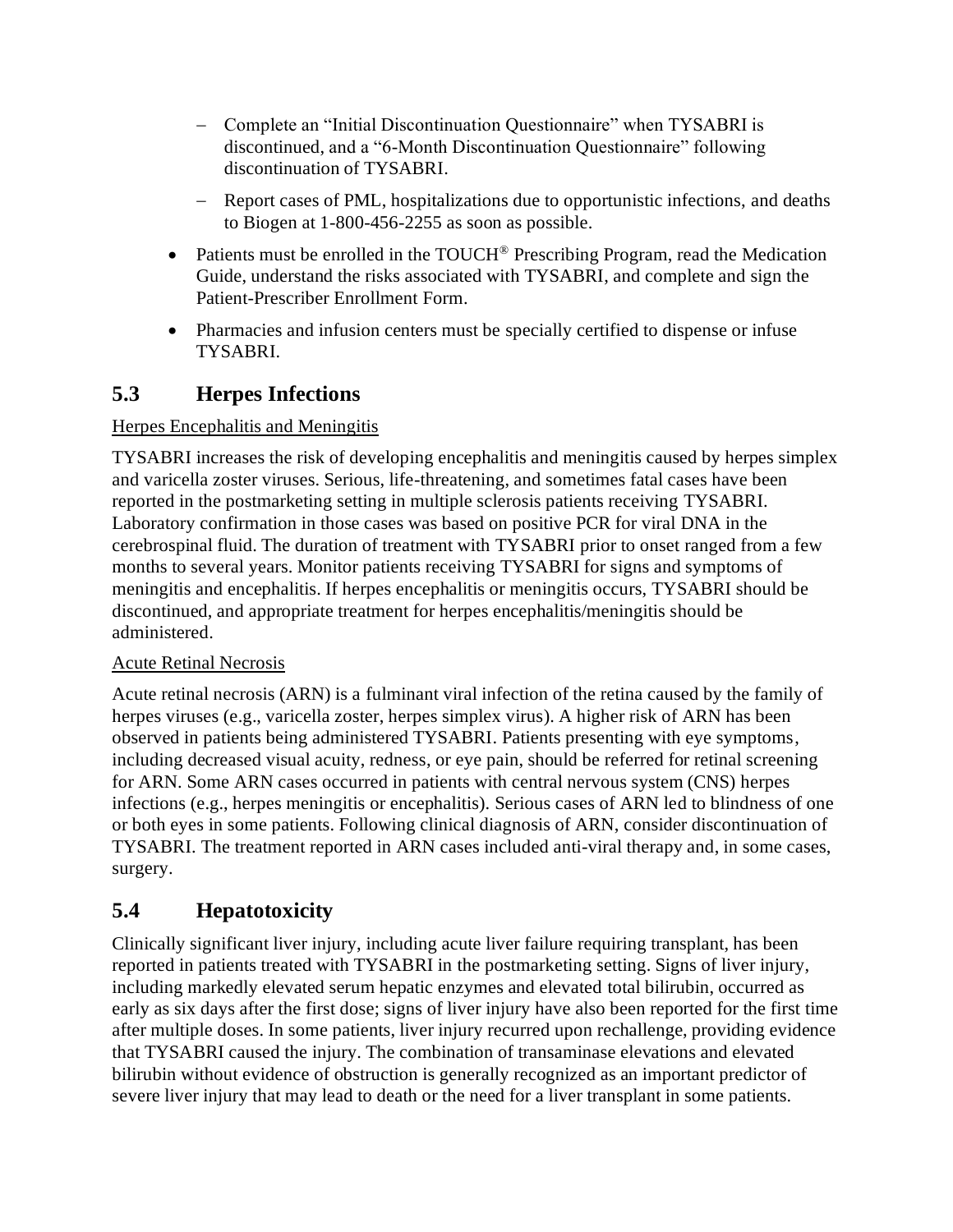- <span id="page-7-0"></span>− Complete an "Initial Discontinuation Questionnaire" when TYSABRI is discontinued, and a "6-Month Discontinuation Questionnaire" following discontinuation of TYSABRI.
- − Report cases of PML, hospitalizations due to opportunistic infections, and deaths to Biogen at 1-800-456-2255 as soon as possible.
- Patients must be enrolled in the TOUCH<sup>®</sup> Prescribing Program, read the Medication Guide, understand the risks associated with TYSABRI, and complete and sign the Patient-Prescriber Enrollment Form.
- Pharmacies and infusion centers must be specially certified to dispense or infuse TYSABRI.

# **5.3 Herpes Infections**

#### Herpes Encephalitis and Meningitis

TYSABRI increases the risk of developing encephalitis and meningitis caused by herpes simplex and varicella zoster viruses. Serious, life-threatening, and sometimes fatal cases have been reported in the postmarketing setting in multiple sclerosis patients receiving TYSABRI. Laboratory confirmation in those cases was based on positive PCR for viral DNA in the cerebrospinal fluid. The duration of treatment with TYSABRI prior to onset ranged from a few months to several years. Monitor patients receiving TYSABRI for signs and symptoms of meningitis and encephalitis. If herpes encephalitis or meningitis occurs, TYSABRI should be discontinued, and appropriate treatment for herpes encephalitis/meningitis should be administered.

#### Acute Retinal Necrosis

Acute retinal necrosis (ARN) is a fulminant viral infection of the retina caused by the family of herpes viruses (e.g., varicella zoster, herpes simplex virus). A higher risk of ARN has been observed in patients being administered TYSABRI. Patients presenting with eye symptoms, including decreased visual acuity, redness, or eye pain, should be referred for retinal screening for ARN. Some ARN cases occurred in patients with central nervous system (CNS) herpes infections (e.g., herpes meningitis or encephalitis). Serious cases of ARN led to blindness of one or both eyes in some patients. Following clinical diagnosis of ARN, consider discontinuation of TYSABRI. The treatment reported in ARN cases included anti-viral therapy and, in some cases, surgery.

# **5.4 Hepatotoxicity**

Clinically significant liver injury, including acute liver failure requiring transplant, has been reported in patients treated with TYSABRI in the postmarketing setting. Signs of liver injury, including markedly elevated serum hepatic enzymes and elevated total bilirubin, occurred as early as six days after the first dose; signs of liver injury have also been reported for the first time after multiple doses. In some patients, liver injury recurred upon rechallenge, providing evidence that TYSABRI caused the injury. The combination of transaminase elevations and elevated bilirubin without evidence of obstruction is generally recognized as an important predictor of severe liver injury that may lead to death or the need for a liver transplant in some patients.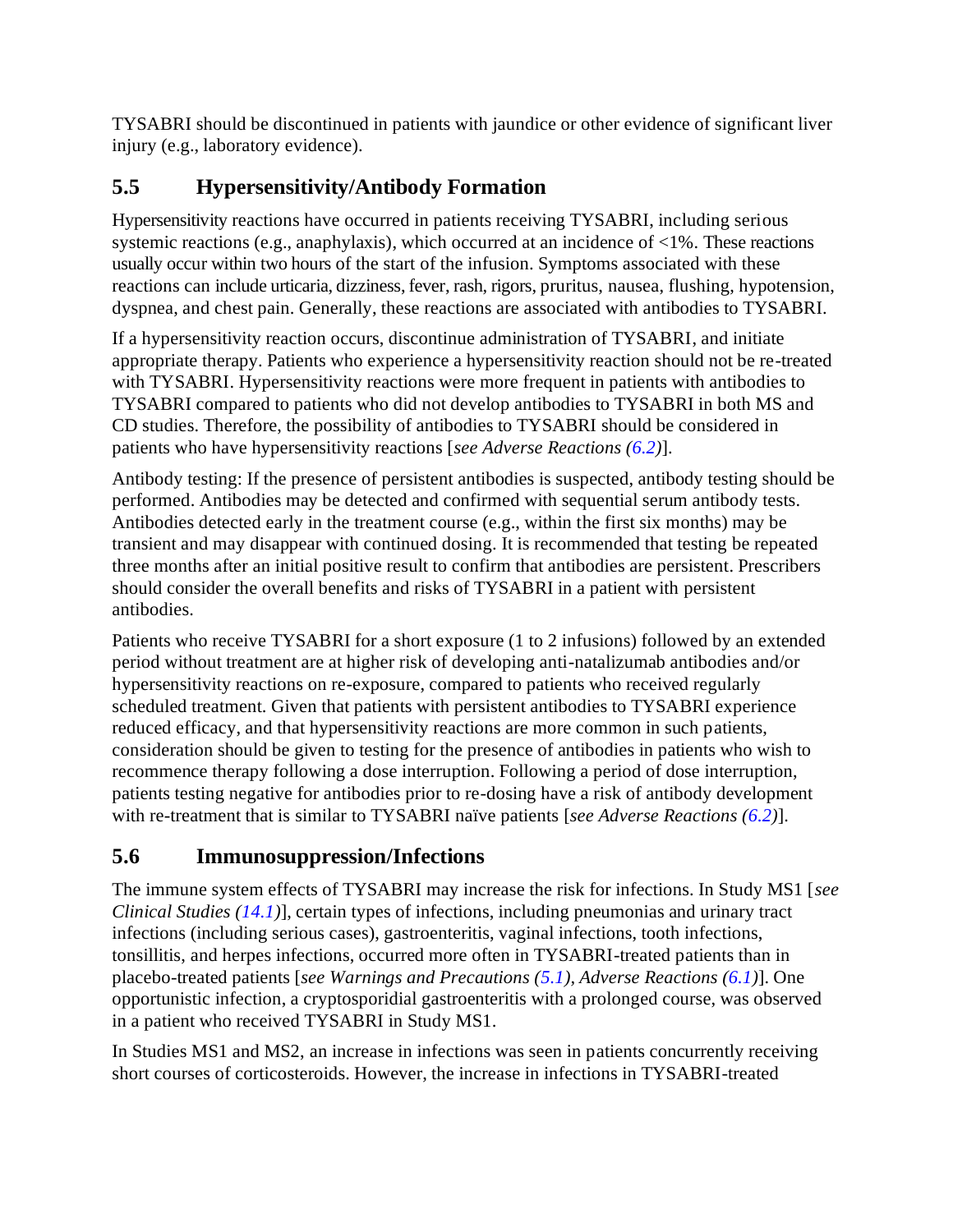<span id="page-8-0"></span>TYSABRI should be discontinued in patients with jaundice or other evidence of significant liver injury (e.g., laboratory evidence).

# **5.5 Hypersensitivity/Antibody Formation**

Hypersensitivity reactions have occurred in patients receiving TYSABRI, including serious systemic reactions (e.g., anaphylaxis), which occurred at an incidence of <1%. These reactions usually occur within two hours of the start of the infusion. Symptoms associated with these reactions can include urticaria, dizziness, fever, rash, rigors, pruritus, nausea, flushing, hypotension, dyspnea, and chest pain. Generally, these reactions are associated with antibodies to TYSABRI.

If a hypersensitivity reaction occurs, discontinue administration of TYSABRI, and initiate appropriate therapy. Patients who experience a hypersensitivity reaction should not be re-treated with TYSABRI. Hypersensitivity reactions were more frequent in patients with antibodies to TYSABRI compared to patients who did not develop antibodies to TYSABRI in both MS and CD studies. Therefore, the possibility of antibodies to TYSABRI should be considered in patients who have hypersensitivity reactions [*see Adverse Reactions [\(6.2\)](#page-16-0)*].

Antibody testing: If the presence of persistent antibodies is suspected, antibody testing should be performed. Antibodies may be detected and confirmed with sequential serum antibody tests. Antibodies detected early in the treatment course (e.g., within the first six months) may be transient and may disappear with continued dosing. It is recommended that testing be repeated three months after an initial positive result to confirm that antibodies are persistent. Prescribers should consider the overall benefits and risks of TYSABRI in a patient with persistent antibodies.

Patients who receive TYSABRI for a short exposure (1 to 2 infusions) followed by an extended period without treatment are at higher risk of developing anti-natalizumab antibodies and/or hypersensitivity reactions on re-exposure, compared to patients who received regularly scheduled treatment. Given that patients with persistent antibodies to TYSABRI experience reduced efficacy, and that hypersensitivity reactions are more common in such patients, consideration should be given to testing for the presence of antibodies in patients who wish to recommence therapy following a dose interruption. Following a period of dose interruption, patients testing negative for antibodies prior to re-dosing have a risk of antibody development with re-treatment that is similar to TYSABRI naïve patients [*see Adverse Reactions [\(6.2\)](#page-16-0)*].

# **5.6 Immunosuppression/Infections**

The immune system effects of TYSABRI may increase the risk for infections. In Study MS1 [*see Clinical Studies [\(14.1\)](#page-21-0)*], certain types of infections, including pneumonias and urinary tract infections (including serious cases), gastroenteritis, vaginal infections, tooth infections, tonsillitis, and herpes infections, occurred more often in TYSABRI-treated patients than in placebo-treated patients [*see Warnings and Precautions [\(5.1\)](#page-3-0), Adverse Reactions [\(6.1\)](#page-10-0)*]. One opportunistic infection, a cryptosporidial gastroenteritis with a prolonged course, was observed in a patient who received TYSABRI in Study MS1.

In Studies MS1 and MS2, an increase in infections was seen in patients concurrently receiving short courses of corticosteroids. However, the increase in infections in TYSABRI-treated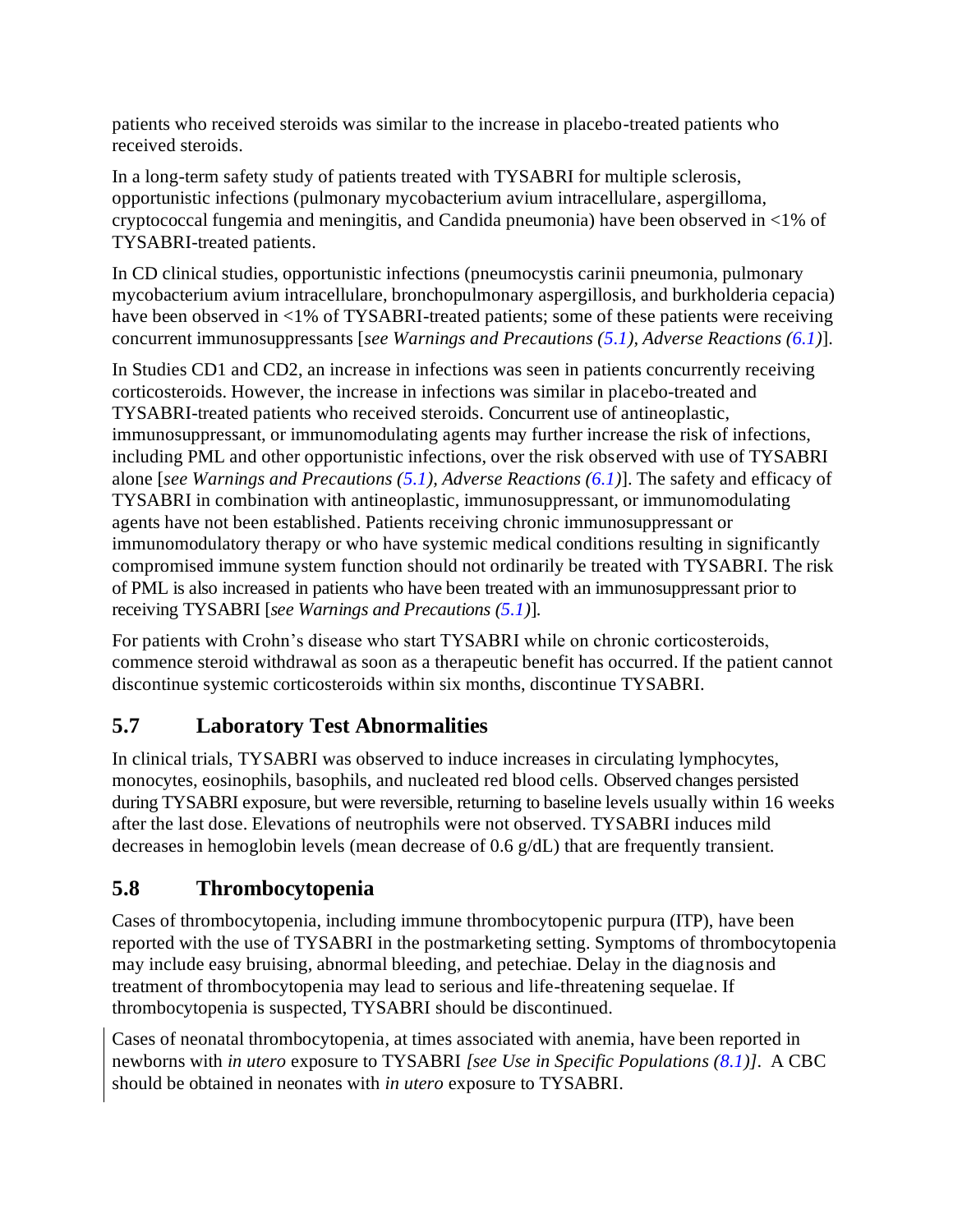<span id="page-9-0"></span>patients who received steroids was similar to the increase in placebo-treated patients who received steroids.

In a long-term safety study of patients treated with TYSABRI for multiple sclerosis, opportunistic infections (pulmonary mycobacterium avium intracellulare, aspergilloma, cryptococcal fungemia and meningitis, and Candida pneumonia) have been observed in <1% of TYSABRI-treated patients.

In CD clinical studies, opportunistic infections (pneumocystis carinii pneumonia, pulmonary mycobacterium avium intracellulare, bronchopulmonary aspergillosis, and burkholderia cepacia) have been observed in <1% of TYSABRI-treated patients; some of these patients were receiving concurrent immunosuppressants [*see Warnings and Precautions [\(5.1\)](#page-3-0), Adverse Reactions [\(6.1\)](#page-10-0)*].

In Studies CD1 and CD2, an increase in infections was seen in patients concurrently receiving corticosteroids. However, the increase in infections was similar in placebo-treated and TYSABRI-treated patients who received steroids. Concurrent use of antineoplastic, immunosuppressant, or immunomodulating agents may further increase the risk of infections, including PML and other opportunistic infections, over the risk observed with use of TYSABRI alone [*see Warnings and Precautions [\(5.1\)](#page-3-0), Adverse Reactions [\(6.1\)](#page-10-0)*]. The safety and efficacy of TYSABRI in combination with antineoplastic, immunosuppressant, or immunomodulating agents have not been established. Patients receiving chronic immunosuppressant or immunomodulatory therapy or who have systemic medical conditions resulting in significantly compromised immune system function should not ordinarily be treated with TYSABRI. The risk of PML is also increased in patients who have been treated with an immunosuppressant prior to receiving TYSABRI [*see Warnings and Precautions [\(5.1\)](#page-3-0)*].

For patients with Crohn's disease who start TYSABRI while on chronic corticosteroids, commence steroid withdrawal as soon as a therapeutic benefit has occurred. If the patient cannot discontinue systemic corticosteroids within six months, discontinue TYSABRI.

# **5.7 Laboratory Test Abnormalities**

In clinical trials, TYSABRI was observed to induce increases in circulating lymphocytes, monocytes, eosinophils, basophils, and nucleated red blood cells. Observed changes persisted during TYSABRI exposure, but were reversible, returning to baseline levels usually within 16 weeks after the last dose. Elevations of neutrophils were not observed. TYSABRI induces mild decreases in hemoglobin levels (mean decrease of 0.6 g/dL) that are frequently transient.

# **5.8 Thrombocytopenia**

Cases of thrombocytopenia, including immune thrombocytopenic purpura (ITP), have been reported with the use of TYSABRI in the postmarketing setting. Symptoms of thrombocytopenia may include easy bruising, abnormal bleeding, and petechiae. Delay in the diagnosis and treatment of thrombocytopenia may lead to serious and life-threatening sequelae. If thrombocytopenia is suspected, TYSABRI should be discontinued.

Cases of neonatal thrombocytopenia, at times associated with anemia, have been reported in newborns with *in utero* exposure to TYSABRI *[see Use in Specific Populations [\(8.1](#page-17-0))]*. A CBC should be obtained in neonates with *in utero* exposure to TYSABRI.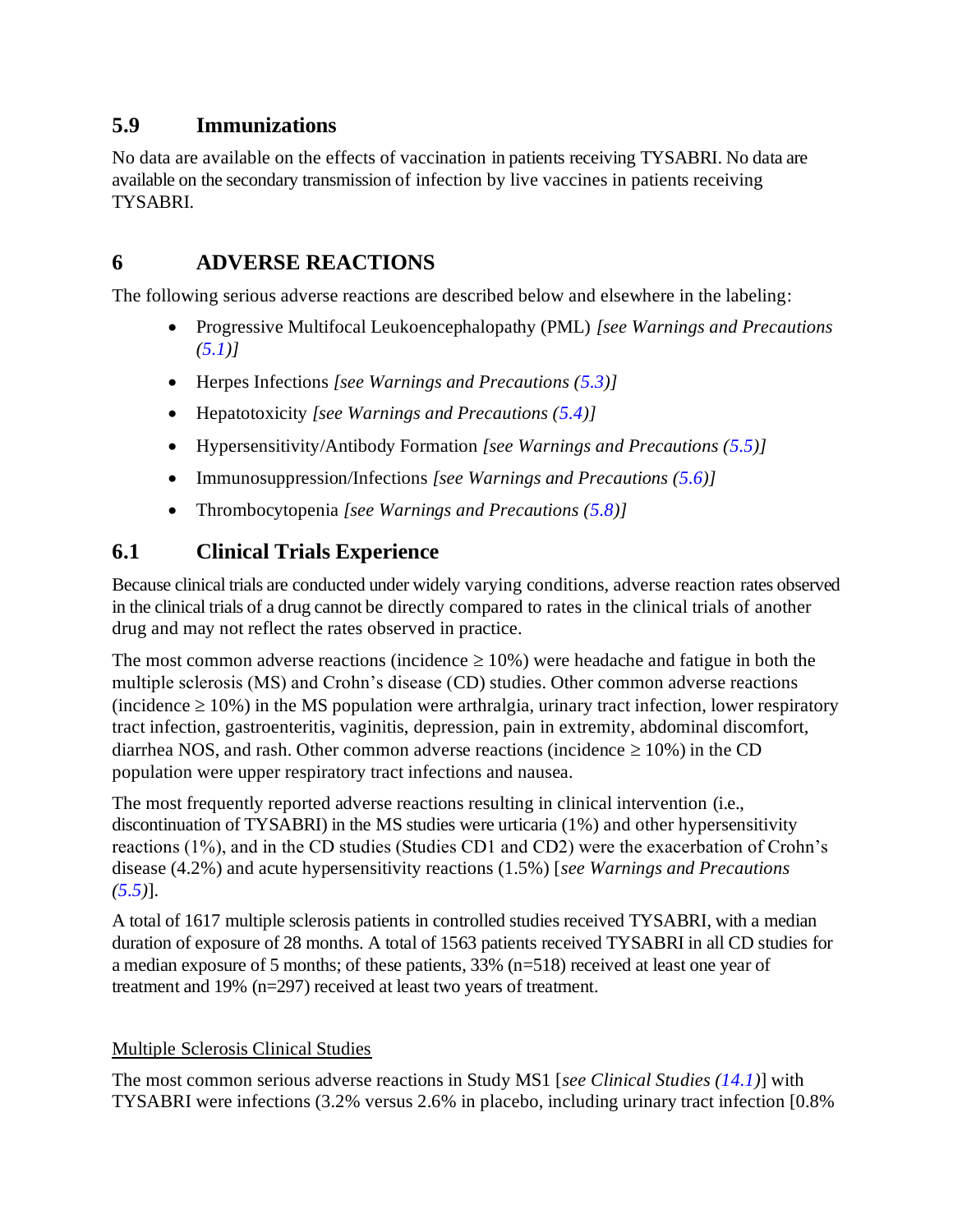### <span id="page-10-0"></span>**5.9 Immunizations**

No data are available on the effects of vaccination in patients receiving TYSABRI. No data are available on the secondary transmission of infection by live vaccines in patients receiving TYSABRI.

### **6 ADVERSE REACTIONS**

The following serious adverse reactions are described below and elsewhere in the labeling:

- Progressive Multifocal Leukoencephalopathy (PML) *[see Warnings and Precautions [\(5.1\)](#page-3-0)]*
- Herpes Infections *[see Warnings and Precautions [\(5.3\)](#page-7-0)]*
- Hepatotoxicity *[see Warnings and Precautions [\(5.4\)](#page-7-0)]*
- Hypersensitivity/Antibody Formation *[see Warnings and Precautions [\(5.5\)](#page-8-0)]*
- Immunosuppression/Infections *[see Warnings and Precautions [\(5.6\)](#page-8-0)]*
- Thrombocytopenia *[see Warnings and Precautions [\(5.8\)](#page-9-0)]*

### **6.1 Clinical Trials Experience**

Because clinical trials are conducted under widely varying conditions, adverse reaction rates observed in the clinical trials of a drug cannot be directly compared to rates in the clinical trials of another drug and may not reflect the rates observed in practice.

The most common adverse reactions (incidence  $\geq 10\%$ ) were headache and fatigue in both the multiple sclerosis (MS) and Crohn's disease (CD) studies. Other common adverse reactions  $(incidence \ge 10\%)$  in the MS population were arthralgia, urinary tract infection, lower respiratory tract infection, gastroenteritis, vaginitis, depression, pain in extremity, abdominal discomfort, diarrhea NOS, and rash. Other common adverse reactions (incidence  $\geq 10\%$ ) in the CD population were upper respiratory tract infections and nausea.

The most frequently reported adverse reactions resulting in clinical intervention (i.e., discontinuation of TYSABRI) in the MS studies were urticaria (1%) and other hypersensitivity reactions (1%), and in the CD studies (Studies CD1 and CD2) were the exacerbation of Crohn's disease (4.2%) and acute hypersensitivity reactions (1.5%) [*see Warnings and Precautions [\(5.5\)](#page-8-0)*].

A total of 1617 multiple sclerosis patients in controlled studies received TYSABRI, with a median duration of exposure of 28 months. A total of 1563 patients received TYSABRI in all CD studies for a median exposure of 5 months; of these patients, 33% (n=518) received at least one year of treatment and 19% (n=297) received at least two years of treatment.

### Multiple Sclerosis Clinical Studies

The most common serious adverse reactions in Study MS1 [*see Clinical Studies [\(14.1\)](#page-21-0)*] with TYSABRI were infections (3.2% versus 2.6% in placebo, including urinary tract infection [0.8%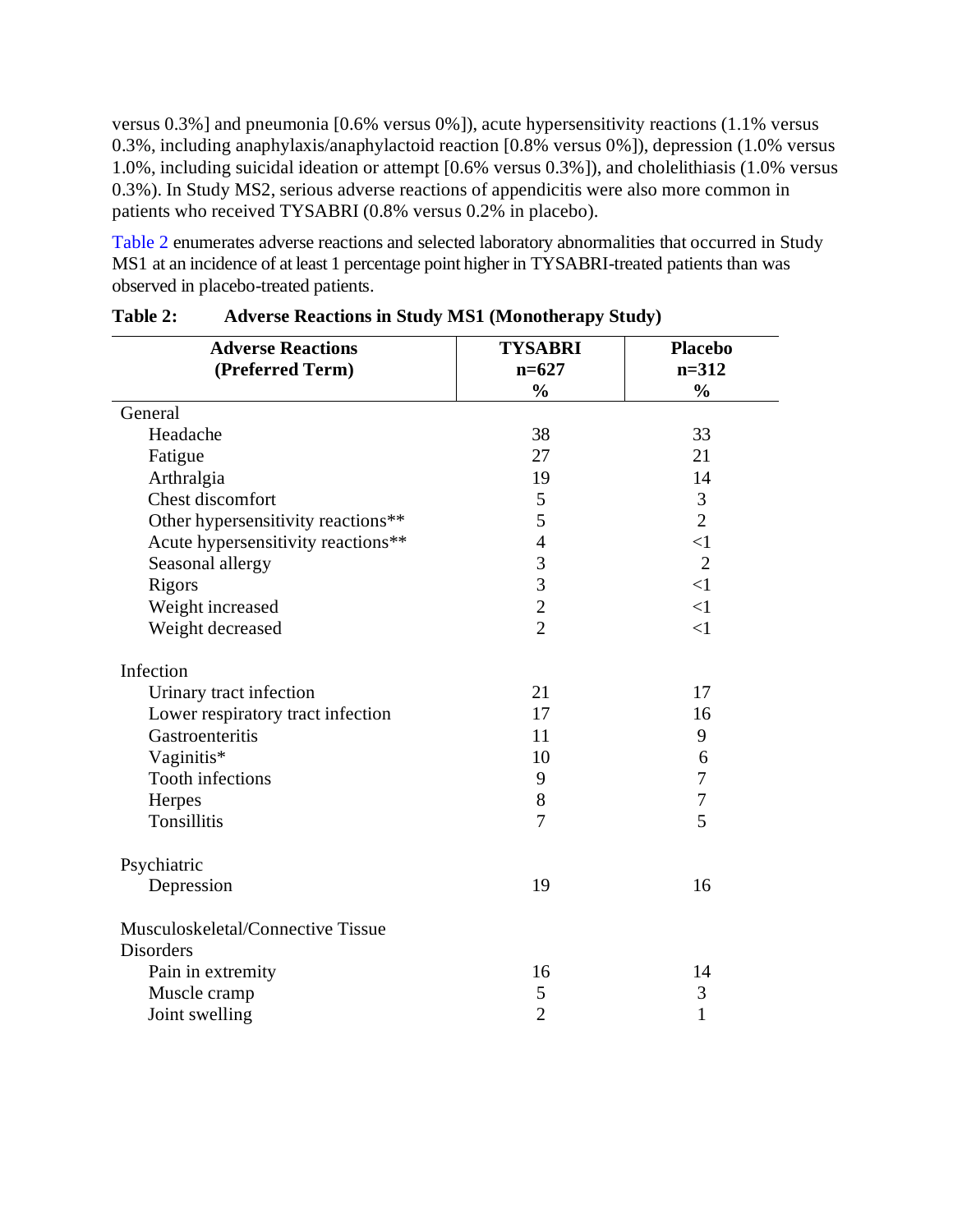<span id="page-11-0"></span>versus 0.3%] and pneumonia [0.6% versus 0%]), acute hypersensitivity reactions (1.1% versus 0.3%, including anaphylaxis/anaphylactoid reaction [0.8% versus 0%]), depression (1.0% versus 1.0%, including suicidal ideation or attempt [0.6% versus 0.3%]), and cholelithiasis (1.0% versus 0.3%). In Study MS2, serious adverse reactions of appendicitis were also more common in patients who received TYSABRI (0.8% versus 0.2% in placebo).

[Table](#page-11-0) 2 enumerates adverse reactions and selected laboratory abnormalities that occurred in Study MS1 at an incidence of at least 1 percentage point higher in TYSABRI-treated patients than was observed in placebo-treated patients.

| <b>Adverse Reactions</b>           | <b>TYSABRI</b> | <b>Placebo</b> |
|------------------------------------|----------------|----------------|
| (Preferred Term)                   | $n=627$        | $n = 312$      |
|                                    | $\frac{0}{0}$  | $\frac{0}{0}$  |
| General                            |                |                |
| Headache                           | 38             | 33             |
| Fatigue                            | 27             | 21             |
| Arthralgia                         | 19             | 14             |
| Chest discomfort                   | 5              | 3              |
| Other hypersensitivity reactions** | 5              | $\overline{2}$ |
| Acute hypersensitivity reactions** | $\overline{4}$ | $\leq$ 1       |
| Seasonal allergy                   | 3              | $\overline{2}$ |
| Rigors                             | $\overline{3}$ | $\leq$ 1       |
| Weight increased                   | $\overline{c}$ | $\leq$ 1       |
| Weight decreased                   | $\overline{2}$ | $\leq$ 1       |
| Infection                          |                |                |
| Urinary tract infection            | 21             | 17             |
| Lower respiratory tract infection  | 17             | 16             |
| Gastroenteritis                    | 11             | 9              |
| Vaginitis*                         | 10             | 6              |
| <b>Tooth infections</b>            | 9              | 7              |
| Herpes                             | 8              | $\overline{7}$ |
| <b>Tonsillitis</b>                 | 7              | 5              |
| Psychiatric                        |                |                |
| Depression                         | 19             | 16             |
| Musculoskeletal/Connective Tissue  |                |                |
| <b>Disorders</b>                   |                |                |
| Pain in extremity                  | 16             | 14             |
| Muscle cramp                       | 5              | 3              |
| Joint swelling                     | $\overline{2}$ | 1              |

| Table 2: |  |  |  |  | <b>Adverse Reactions in Study MS1 (Monotherapy Study)</b> |  |
|----------|--|--|--|--|-----------------------------------------------------------|--|
|----------|--|--|--|--|-----------------------------------------------------------|--|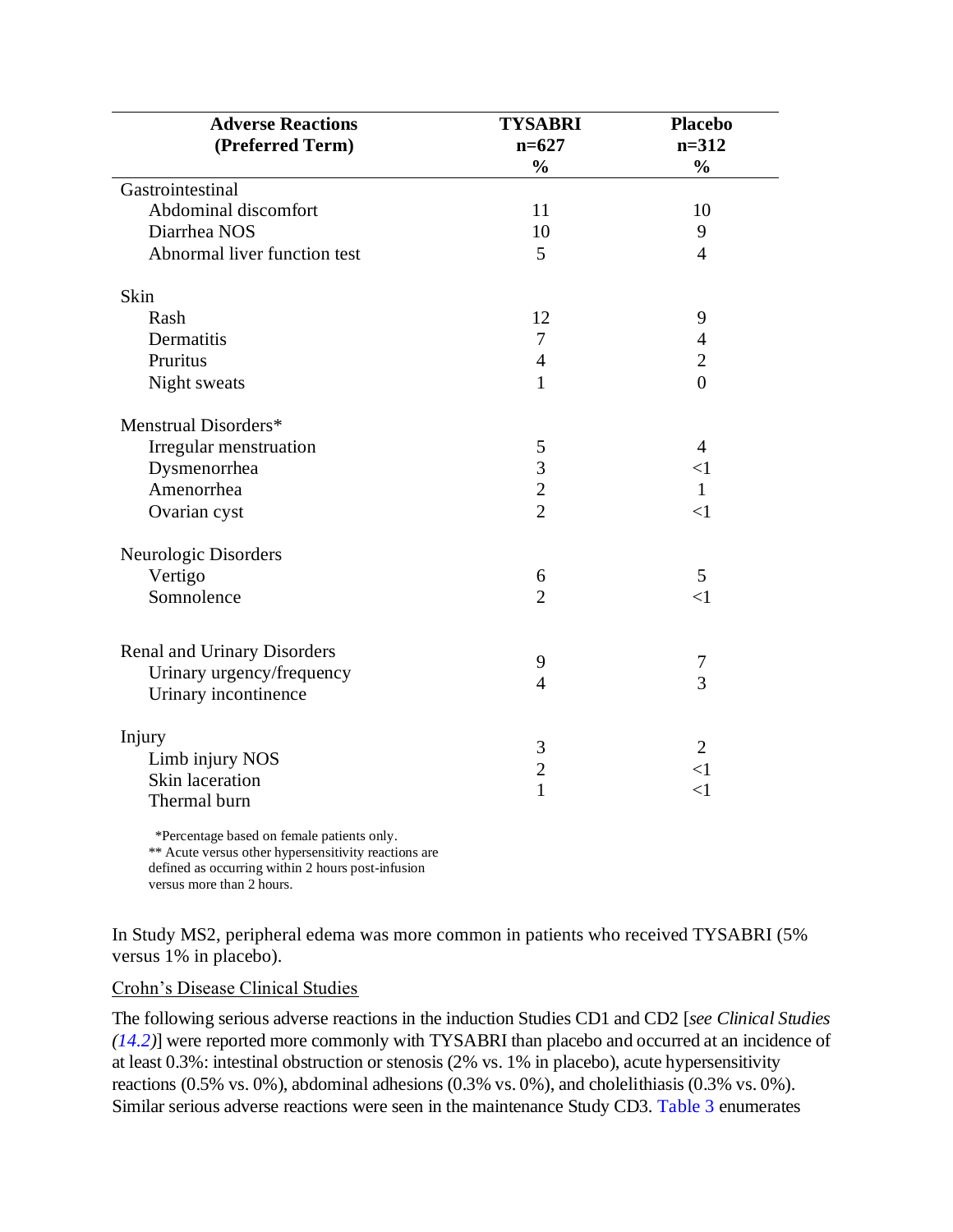| <b>Adverse Reactions</b>                   | <b>TYSABRI</b> | <b>Placebo</b> |
|--------------------------------------------|----------------|----------------|
| (Preferred Term)                           | $n=627$        | $n=312$        |
|                                            | $\frac{0}{0}$  | $\frac{0}{0}$  |
| Gastrointestinal                           |                |                |
| Abdominal discomfort                       | 11             | 10             |
| Diarrhea NOS                               | 10             | 9              |
| Abnormal liver function test               | 5              | $\overline{4}$ |
| Skin                                       |                |                |
| Rash                                       | 12             | 9              |
| Dermatitis                                 | 7              | $\overline{4}$ |
| Pruritus                                   | $\overline{4}$ | $\overline{2}$ |
| Night sweats                               | $\mathbf{1}$   | $\overline{0}$ |
| Menstrual Disorders*                       |                |                |
| Irregular menstruation                     | 5              | $\overline{4}$ |
| Dysmenorrhea                               | 3              | $\leq$ 1       |
| Amenorrhea                                 | $\overline{2}$ | $\mathbf{1}$   |
| Ovarian cyst                               | $\overline{2}$ | $\leq$ 1       |
| Neurologic Disorders                       |                |                |
| Vertigo                                    | 6              | 5              |
| Somnolence                                 | $\overline{2}$ | $\leq$ 1       |
| <b>Renal and Urinary Disorders</b>         |                |                |
| Urinary urgency/frequency                  | 9              | 7              |
| Urinary incontinence                       | $\overline{4}$ | $\overline{3}$ |
| Injury                                     |                |                |
| Limb injury NOS                            | 3              | $\overline{2}$ |
| Skin laceration                            | $\overline{c}$ | $\leq$ 1       |
| Thermal burn                               | $\mathbf{1}$   | $\leq$ 1       |
| *Percentage based on female patients only. |                |                |

\*\* Acute versus other hypersensitivity reactions are defined as occurring within 2 hours post-infusion versus more than 2 hours.

In Study MS2, peripheral edema was more common in patients who received TYSABRI (5% versus 1% in placebo).

Crohn's Disease Clinical Studies

The following serious adverse reactions in the induction Studies CD1 and CD2 [*see Clinical Studies [\(14.2\)](#page-25-0)*] were reported more commonly with TYSABRI than placebo and occurred at an incidence of at least 0.3%: intestinal obstruction or stenosis (2% vs. 1% in placebo), acute hypersensitivity reactions  $(0.5\% \text{ vs. } 0\%)$ , abdominal adhesions  $(0.3\% \text{ vs. } 0\%)$ , and cholelithiasis  $(0.3\% \text{ vs. } 0\%)$ . Similar serious adverse reactions were seen in the maintenance Study CD3. [Table](#page-13-0) 3 enumerates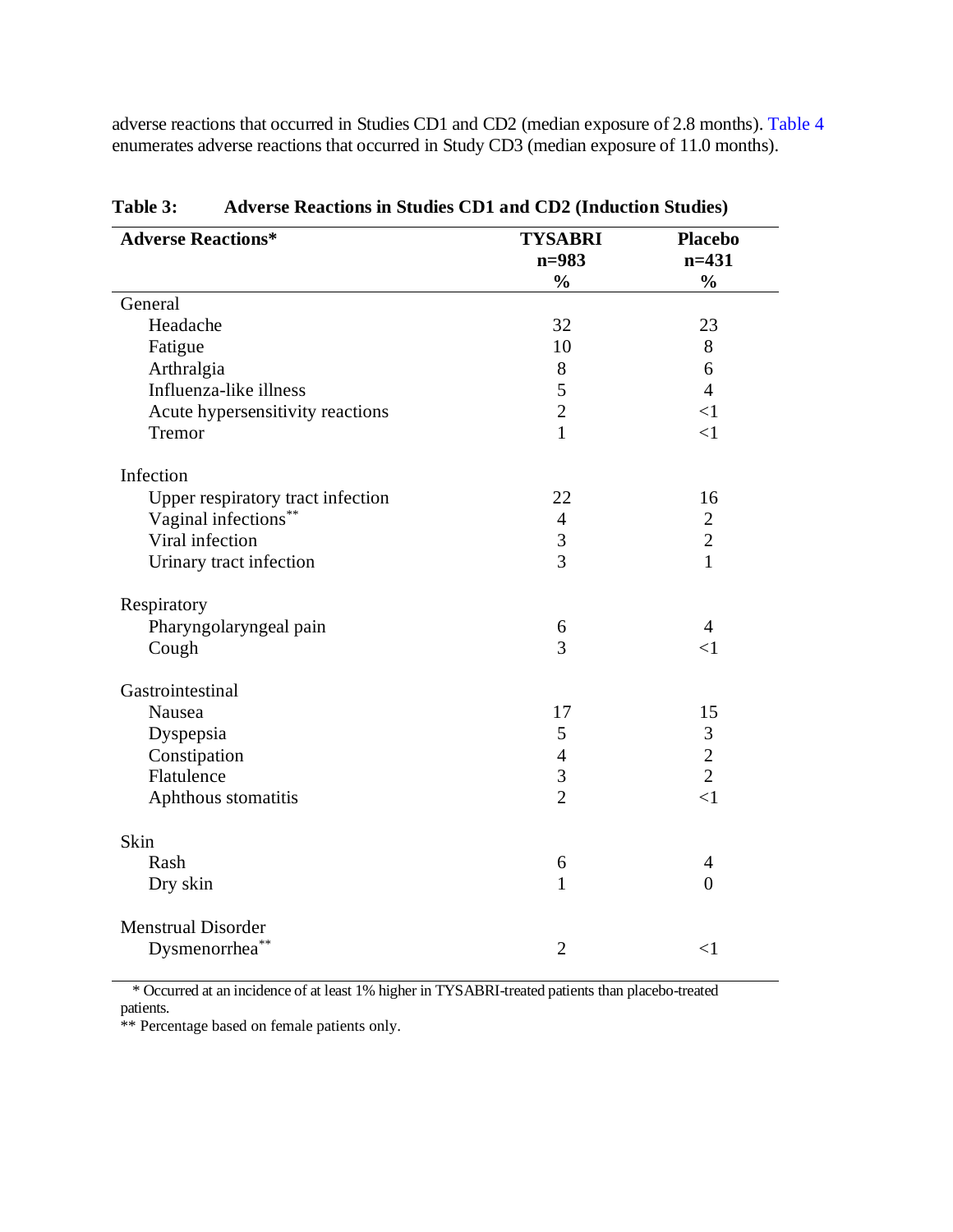<span id="page-13-0"></span>adverse reactions that occurred in Studies CD1 and CD2 (median exposure of 2.8 months). [Table](#page-14-0) 4 enumerates adverse reactions that occurred in Study CD3 (median exposure of 11.0 months).

| <b>Adverse Reactions*</b>         | <b>TYSABRI</b><br>$n = 983$ | <b>Placebo</b><br>$n=431$ |
|-----------------------------------|-----------------------------|---------------------------|
|                                   | $\frac{0}{0}$               | $\frac{0}{0}$             |
| General                           |                             |                           |
| Headache                          | 32                          | 23                        |
| Fatigue                           | 10                          | 8                         |
| Arthralgia                        | 8                           | 6                         |
| Influenza-like illness            | 5                           | $\overline{4}$            |
| Acute hypersensitivity reactions  | $\overline{2}$              | $<$ 1                     |
| Tremor                            | $\mathbf{1}$                | $\leq$ 1                  |
| Infection                         |                             |                           |
| Upper respiratory tract infection | 22                          | 16                        |
| Vaginal infections**              | $\overline{4}$              | $\sqrt{2}$                |
| Viral infection                   | 3                           | $\overline{2}$            |
| Urinary tract infection           | $\overline{3}$              | $\mathbf{1}$              |
| Respiratory                       |                             |                           |
| Pharyngolaryngeal pain            | 6                           | $\overline{4}$            |
| Cough                             | 3                           | $\leq$ 1                  |
| Gastrointestinal                  |                             |                           |
| Nausea                            | 17                          | 15                        |
| Dyspepsia                         | 5                           | 3                         |
| Constipation                      | $\overline{4}$              | $\overline{2}$            |
| Flatulence                        | $\mathfrak{Z}$              | $\overline{2}$            |
| Aphthous stomatitis               | $\overline{2}$              | $\leq$ 1                  |
| Skin                              |                             |                           |
| Rash                              | 6                           | $\overline{4}$            |
| Dry skin                          | $\mathbf{1}$                | $\overline{0}$            |
| <b>Menstrual Disorder</b>         |                             |                           |
| Dysmenorrhea <sup>**</sup>        | $\overline{2}$              | $\leq$ 1                  |

**Table 3: Adverse Reactions in Studies CD1 and CD2 (Induction Studies)**

\* Occurred at an incidence of at least 1% higher in TYSABRI-treated patients than placebo-treated patients.

\*\* Percentage based on female patients only.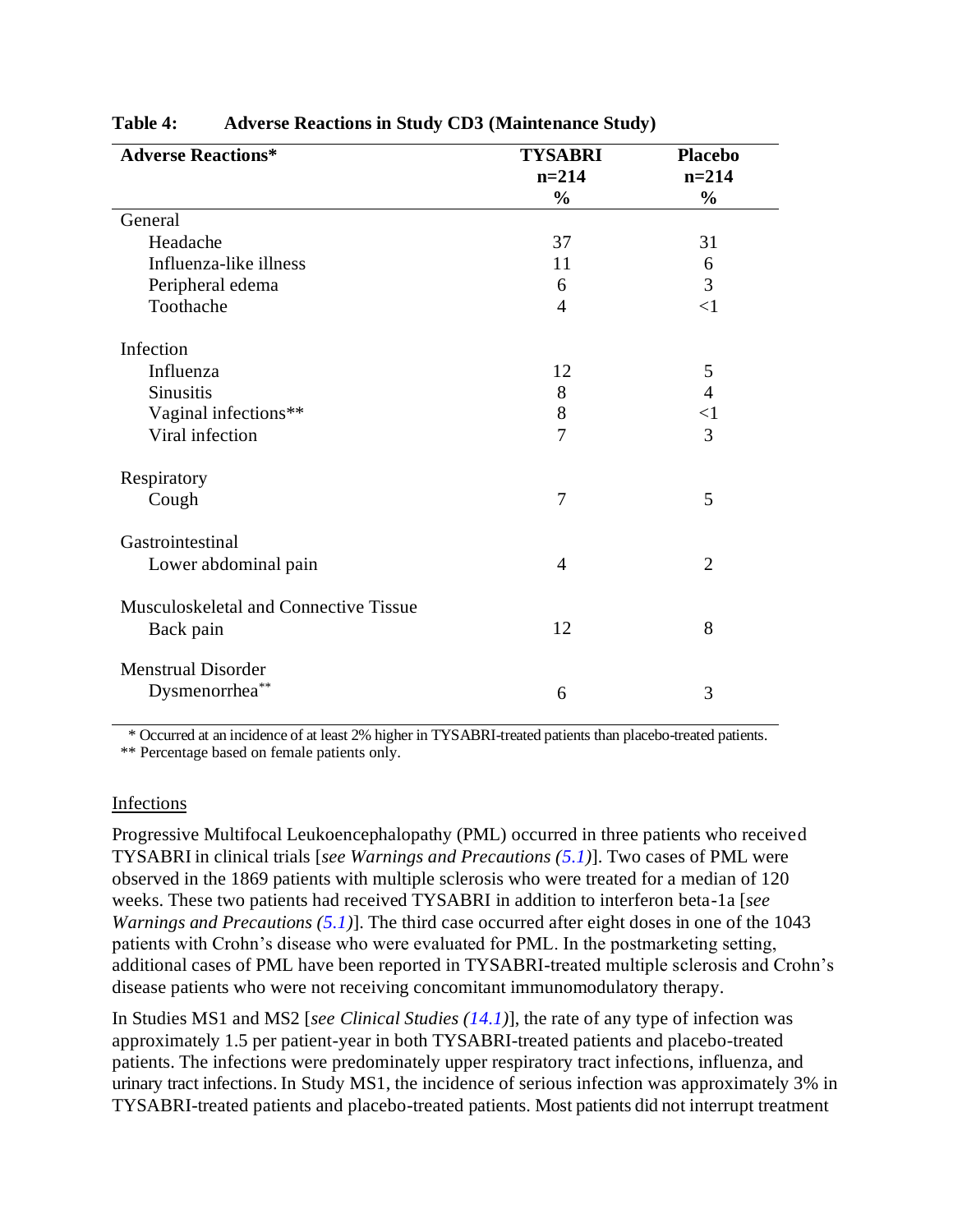| <b>Adverse Reactions*</b>                          | <b>TYSABRI</b> | <b>Placebo</b> |
|----------------------------------------------------|----------------|----------------|
|                                                    | $n = 214$      | $n = 214$      |
|                                                    | $\frac{0}{0}$  | $\frac{0}{0}$  |
| General                                            |                |                |
| Headache                                           | 37             | 31             |
| Influenza-like illness                             | 11             | 6              |
| Peripheral edema                                   | 6              | 3              |
| Toothache                                          | $\overline{4}$ | <1             |
| Infection                                          |                |                |
| Influenza                                          | 12             | 5              |
| <b>Sinusitis</b>                                   | 8              | $\overline{4}$ |
| Vaginal infections**                               | 8              | $<$ 1          |
| Viral infection                                    | $\overline{7}$ | 3              |
| Respiratory                                        |                |                |
| Cough                                              | $\overline{7}$ | 5              |
| Gastrointestinal                                   |                |                |
| Lower abdominal pain                               | $\overline{4}$ | $\overline{2}$ |
| Musculoskeletal and Connective Tissue<br>Back pain | 12             | 8              |
| <b>Menstrual Disorder</b><br>Dysmenorrhea**        | 6              | 3              |

#### <span id="page-14-0"></span>**Table 4: Adverse Reactions in Study CD3 (Maintenance Study)**

\* Occurred at an incidence of at least 2% higher in TYSABRI-treated patients than placebo-treated patients.

\*\* Percentage based on female patients only.

#### Infections

Progressive Multifocal Leukoencephalopathy (PML) occurred in three patients who received TYSABRI in clinical trials [*see Warnings and Precautions [\(5.1\)](#page-3-0)*]. Two cases of PML were observed in the 1869 patients with multiple sclerosis who were treated for a median of 120 weeks. These two patients had received TYSABRI in addition to interferon beta-1a [*see Warnings and Precautions [\(5.1\)](#page-3-0)*]. The third case occurred after eight doses in one of the 1043 patients with Crohn's disease who were evaluated for PML. In the postmarketing setting, additional cases of PML have been reported in TYSABRI-treated multiple sclerosis and Crohn's disease patients who were not receiving concomitant immunomodulatory therapy.

In Studies MS1 and MS2 [*see Clinical Studies [\(14.1\)](#page-21-0)*], the rate of any type of infection was approximately 1.5 per patient-year in both TYSABRI-treated patients and placebo-treated patients. The infections were predominately upper respiratory tract infections, influenza, and urinary tract infections. In Study MS1, the incidence of serious infection was approximately 3% in TYSABRI-treated patients and placebo-treated patients. Most patients did not interrupt treatment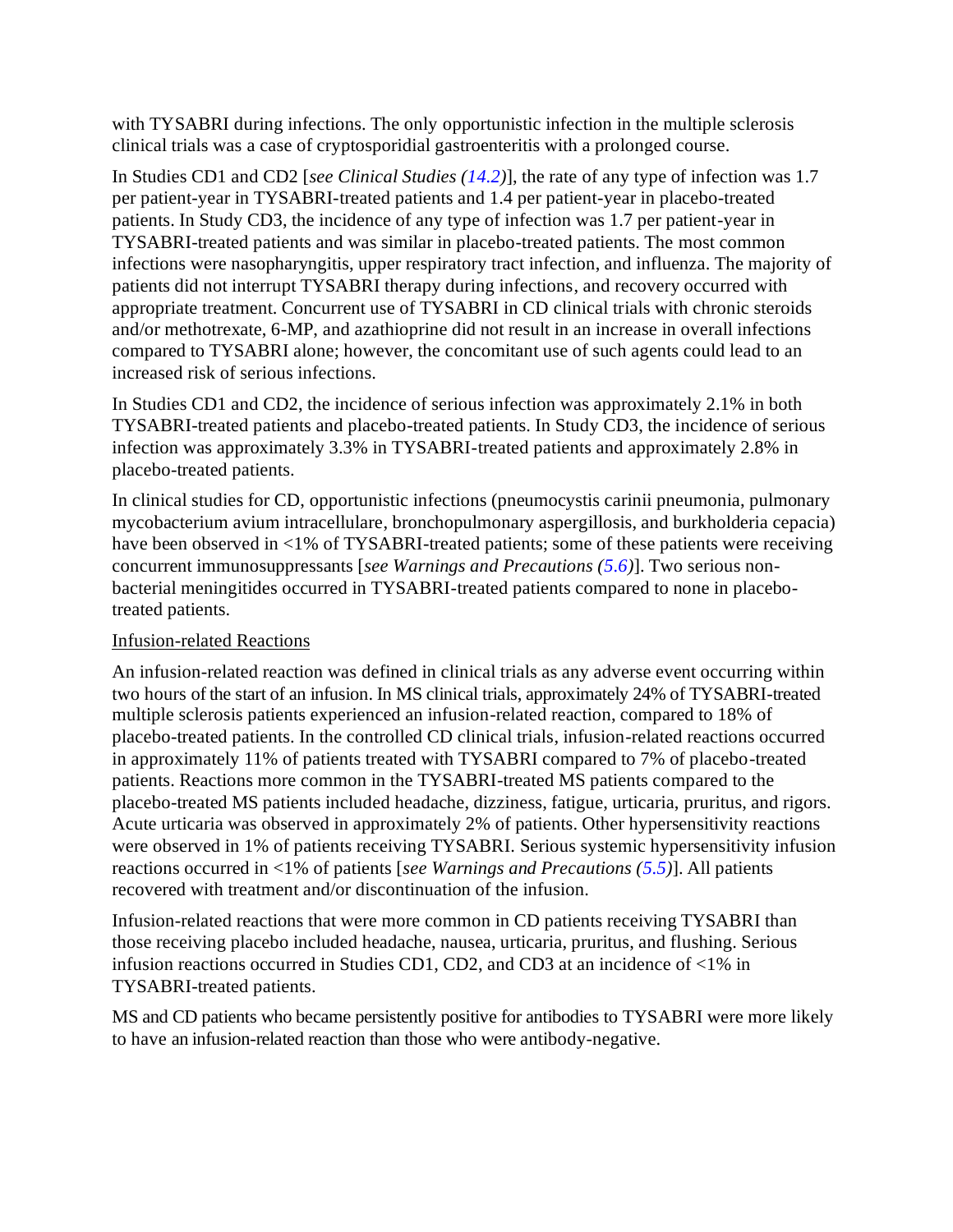with TYSABRI during infections. The only opportunistic infection in the multiple sclerosis clinical trials was a case of cryptosporidial gastroenteritis with a prolonged course.

In Studies CD1 and CD2 [*see Clinical Studies [\(14.2\)](#page-25-0)*], the rate of any type of infection was 1.7 per patient-year in TYSABRI-treated patients and 1.4 per patient-year in placebo-treated patients. In Study CD3, the incidence of any type of infection was 1.7 per patient-year in TYSABRI-treated patients and was similar in placebo-treated patients. The most common infections were nasopharyngitis, upper respiratory tract infection, and influenza. The majority of patients did not interrupt TYSABRI therapy during infections, and recovery occurred with appropriate treatment. Concurrent use of TYSABRI in CD clinical trials with chronic steroids and/or methotrexate, 6-MP, and azathioprine did not result in an increase in overall infections compared to TYSABRI alone; however, the concomitant use of such agents could lead to an increased risk of serious infections.

In Studies CD1 and CD2, the incidence of serious infection was approximately 2.1% in both TYSABRI-treated patients and placebo-treated patients. In Study CD3, the incidence of serious infection was approximately 3.3% in TYSABRI-treated patients and approximately 2.8% in placebo-treated patients.

In clinical studies for CD, opportunistic infections (pneumocystis carinii pneumonia, pulmonary mycobacterium avium intracellulare, bronchopulmonary aspergillosis, and burkholderia cepacia) have been observed in <1% of TYSABRI-treated patients; some of these patients were receiving concurrent immunosuppressants [*see Warnings and Precautions [\(5.6\)](#page-8-0)*]. Two serious nonbacterial meningitides occurred in TYSABRI-treated patients compared to none in placebotreated patients.

#### Infusion-related Reactions

An infusion-related reaction was defined in clinical trials as any adverse event occurring within two hours of the start of an infusion. In MS clinical trials, approximately 24% of TYSABRI-treated multiple sclerosis patients experienced an infusion-related reaction, compared to 18% of placebo-treated patients. In the controlled CD clinical trials, infusion-related reactions occurred in approximately 11% of patients treated with TYSABRI compared to 7% of placebo-treated patients. Reactions more common in the TYSABRI-treated MS patients compared to the placebo-treated MS patients included headache, dizziness, fatigue, urticaria, pruritus, and rigors. Acute urticaria was observed in approximately 2% of patients. Other hypersensitivity reactions were observed in 1% of patients receiving TYSABRI. Serious systemic hypersensitivity infusion reactions occurred in <1% of patients [*see Warnings and Precautions [\(5.5\)](#page-8-0)*]. All patients recovered with treatment and/or discontinuation of the infusion.

Infusion-related reactions that were more common in CD patients receiving TYSABRI than those receiving placebo included headache, nausea, urticaria, pruritus, and flushing. Serious infusion reactions occurred in Studies CD1, CD2, and CD3 at an incidence of <1% in TYSABRI-treated patients.

MS and CD patients who became persistently positive for antibodies to TYSABRI were more likely to have an infusion-related reaction than those who were antibody-negative.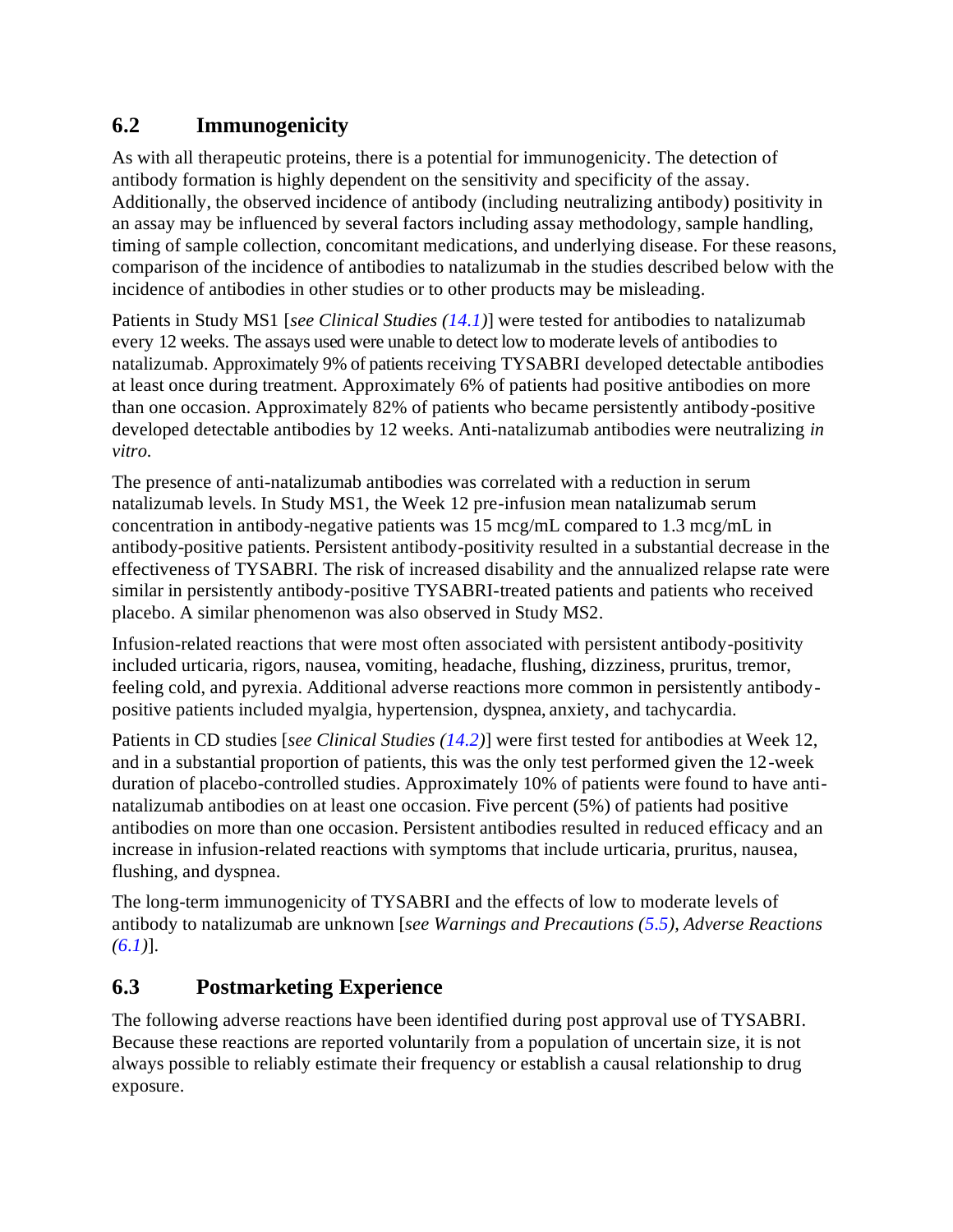### <span id="page-16-0"></span>**6.2 Immunogenicity**

As with all therapeutic proteins, there is a potential for immunogenicity. The detection of antibody formation is highly dependent on the sensitivity and specificity of the assay. Additionally, the observed incidence of antibody (including neutralizing antibody) positivity in an assay may be influenced by several factors including assay methodology, sample handling, timing of sample collection, concomitant medications, and underlying disease. For these reasons, comparison of the incidence of antibodies to natalizumab in the studies described below with the incidence of antibodies in other studies or to other products may be misleading.

Patients in Study MS1 [*see Clinical Studies [\(14.1\)](#page-21-0)*] were tested for antibodies to natalizumab every 12 weeks. The assays used were unable to detect low to moderate levels of antibodies to natalizumab. Approximately 9% of patients receiving TYSABRI developed detectable antibodies at least once during treatment. Approximately 6% of patients had positive antibodies on more than one occasion. Approximately 82% of patients who became persistently antibody-positive developed detectable antibodies by 12 weeks. Anti-natalizumab antibodies were neutralizing *in vitro.*

The presence of anti-natalizumab antibodies was correlated with a reduction in serum natalizumab levels. In Study MS1, the Week 12 pre-infusion mean natalizumab serum concentration in antibody-negative patients was 15 mcg/mL compared to 1.3 mcg/mL in antibody-positive patients. Persistent antibody-positivity resulted in a substantial decrease in the effectiveness of TYSABRI. The risk of increased disability and the annualized relapse rate were similar in persistently antibody-positive TYSABRI-treated patients and patients who received placebo. A similar phenomenon was also observed in Study MS2.

Infusion-related reactions that were most often associated with persistent antibody-positivity included urticaria, rigors, nausea, vomiting, headache, flushing, dizziness, pruritus, tremor, feeling cold, and pyrexia. Additional adverse reactions more common in persistently antibodypositive patients included myalgia, hypertension, dyspnea, anxiety, and tachycardia.

Patients in CD studies [*see Clinical Studies [\(14.2\)](#page-25-0)*] were first tested for antibodies at Week 12, and in a substantial proportion of patients, this was the only test performed given the 12-week duration of placebo-controlled studies. Approximately 10% of patients were found to have antinatalizumab antibodies on at least one occasion. Five percent (5%) of patients had positive antibodies on more than one occasion. Persistent antibodies resulted in reduced efficacy and an increase in infusion-related reactions with symptoms that include urticaria, pruritus, nausea, flushing, and dyspnea.

The long-term immunogenicity of TYSABRI and the effects of low to moderate levels of antibody to natalizumab are unknown [*see Warnings and Precautions [\(5.5\)](#page-8-0), Adverse Reactions [\(6.1\)](#page-10-0)*].

# **6.3 Postmarketing Experience**

The following adverse reactions have been identified during post approval use of TYSABRI. Because these reactions are reported voluntarily from a population of uncertain size, it is not always possible to reliably estimate their frequency or establish a causal relationship to drug exposure.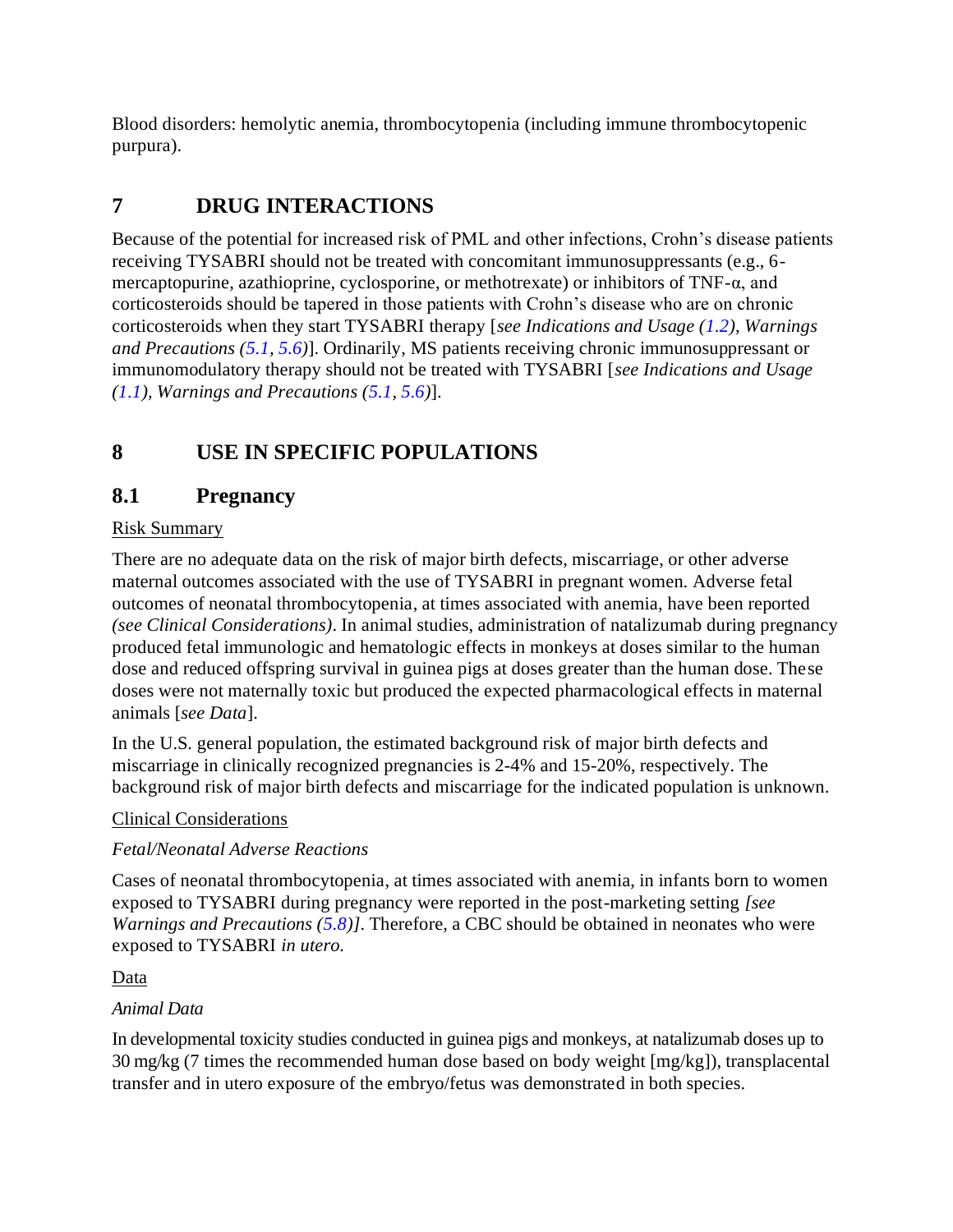<span id="page-17-0"></span>Blood disorders: hemolytic anemia, thrombocytopenia (including immune thrombocytopenic purpura).

# **7 DRUG INTERACTIONS**

Because of the potential for increased risk of PML and other infections, Crohn's disease patients receiving TYSABRI should not be treated with concomitant immunosuppressants (e.g., 6 mercaptopurine, azathioprine, cyclosporine, or methotrexate) or inhibitors of TNF-α, and corticosteroids should be tapered in those patients with Crohn's disease who are on chronic corticosteroids when they start TYSABRI therapy [*see Indications and Usage [\(1.2\)](#page-1-0), Warnings and Precautions [\(5.1,](#page-3-0) [5.6\)](#page-8-0)*]. Ordinarily, MS patients receiving chronic immunosuppressant or immunomodulatory therapy should not be treated with TYSABRI [*see Indications and Usage [\(1.1\)](#page-1-0), Warnings and Precautions [\(5.1,](#page-3-0) [5.6\)](#page-8-0)*].

# **8 USE IN SPECIFIC POPULATIONS**

### **8.1 Pregnancy**

#### Risk Summary

There are no adequate data on the risk of major birth defects, miscarriage, or other adverse maternal outcomes associated with the use of TYSABRI in pregnant women. Adverse fetal outcomes of neonatal thrombocytopenia, at times associated with anemia, have been reported *(see Clinical Considerations)*. In animal studies, administration of natalizumab during pregnancy produced fetal immunologic and hematologic effects in monkeys at doses similar to the human dose and reduced offspring survival in guinea pigs at doses greater than the human dose. These doses were not maternally toxic but produced the expected pharmacological effects in maternal animals [*see Data*].

In the U.S. general population, the estimated background risk of major birth defects and miscarriage in clinically recognized pregnancies is 2-4% and 15-20%, respectively. The background risk of major birth defects and miscarriage for the indicated population is unknown.

#### Clinical Considerations

#### *Fetal/Neonatal Adverse Reactions*

Cases of neonatal thrombocytopenia, at times associated with anemia, in infants born to women exposed to TYSABRI during pregnancy were reported in the post-marketing setting *[see Warnings and Precautions ([5.8\)](#page-9-0)]*. Therefore, a CBC should be obtained in neonates who were exposed to TYSABRI *in utero.*

Data

#### *Animal Data*

In developmental toxicity studies conducted in guinea pigs and monkeys, at natalizumab doses up to 30 mg/kg (7 times the recommended human dose based on body weight [mg/kg]), transplacental transfer and in utero exposure of the embryo/fetus was demonstrated in both species.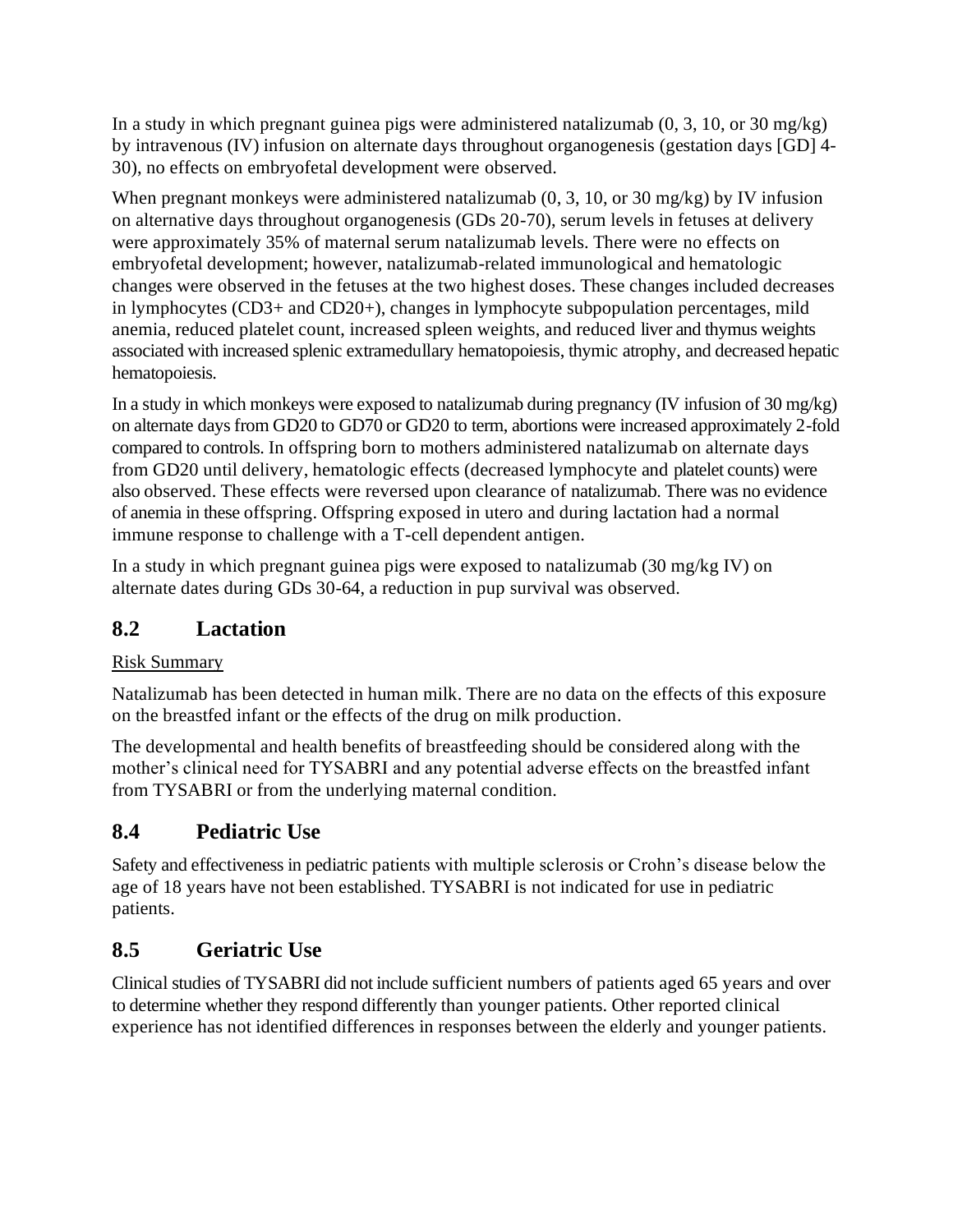<span id="page-18-0"></span>In a study in which pregnant guinea pigs were administered natalizumab  $(0, 3, 10, 0.0130)$  mg/kg) by intravenous (IV) infusion on alternate days throughout organogenesis (gestation days [GD] 4- 30), no effects on embryofetal development were observed.

When pregnant monkeys were administered natalizumab  $(0, 3, 10, \text{or } 30 \text{ mg/kg})$  by IV infusion on alternative days throughout organogenesis (GDs 20-70), serum levels in fetuses at delivery were approximately 35% of maternal serum natalizumab levels. There were no effects on embryofetal development; however, natalizumab-related immunological and hematologic changes were observed in the fetuses at the two highest doses. These changes included decreases in lymphocytes (CD3+ and CD20+), changes in lymphocyte subpopulation percentages, mild anemia, reduced platelet count, increased spleen weights, and reduced liver and thymus weights associated with increased splenic extramedullary hematopoiesis, thymic atrophy, and decreased hepatic hematopoiesis.

In a study in which monkeys were exposed to natalizumab during pregnancy (IV infusion of 30 mg/kg) on alternate days from GD20 to GD70 or GD20 to term, abortions were increased approximately 2-fold compared to controls. In offspring born to mothers administered natalizumab on alternate days from GD20 until delivery, hematologic effects (decreased lymphocyte and platelet counts) were also observed. These effects were reversed upon clearance of natalizumab. There was no evidence of anemia in these offspring. Offspring exposed in utero and during lactation had a normal immune response to challenge with a T-cell dependent antigen.

In a study in which pregnant guinea pigs were exposed to natalizumab (30 mg/kg IV) on alternate dates during GDs 30-64, a reduction in pup survival was observed.

# **8.2 Lactation**

### Risk Summary

Natalizumab has been detected in human milk. There are no data on the effects of this exposure on the breastfed infant or the effects of the drug on milk production.

The developmental and health benefits of breastfeeding should be considered along with the mother's clinical need for TYSABRI and any potential adverse effects on the breastfed infant from TYSABRI or from the underlying maternal condition.

# **8.4 Pediatric Use**

Safety and effectiveness in pediatric patients with multiple sclerosis or Crohn's disease below the age of 18 years have not been established. TYSABRI is not indicated for use in pediatric patients.

# **8.5 Geriatric Use**

Clinical studies of TYSABRI did not include sufficient numbers of patients aged 65 years and over to determine whether they respond differently than younger patients. Other reported clinical experience has not identified differences in responses between the elderly and younger patients.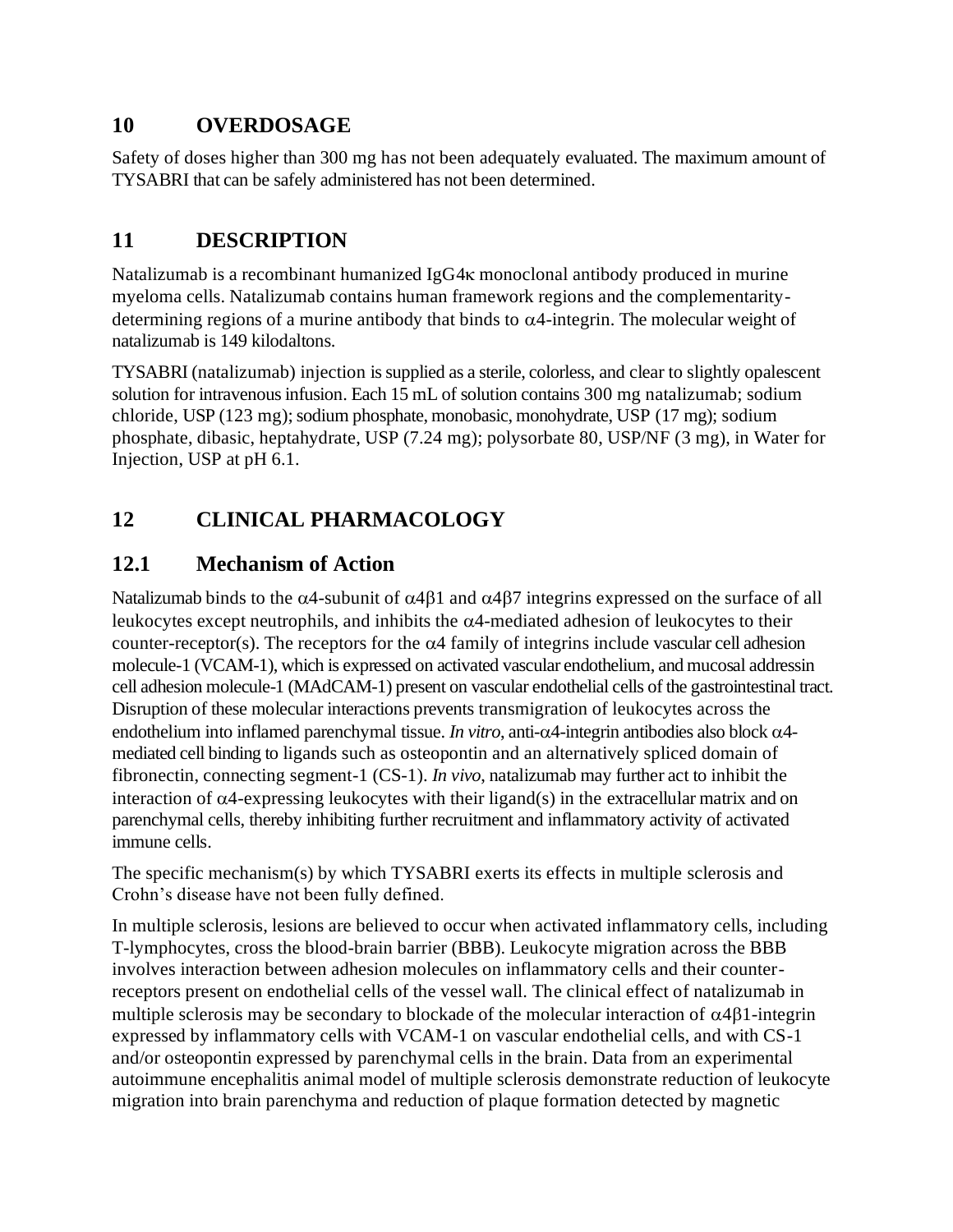### <span id="page-19-0"></span>**10 OVERDOSAGE**

Safety of doses higher than 300 mg has not been adequately evaluated. The maximum amount of TYSABRI that can be safely administered has not been determined.

# **11 DESCRIPTION**

Natalizumab is a recombinant humanized IgG4 $\kappa$  monoclonal antibody produced in murine myeloma cells. Natalizumab contains human framework regions and the complementaritydetermining regions of a murine antibody that binds to  $\alpha$ 4-integrin. The molecular weight of natalizumab is 149 kilodaltons.

TYSABRI (natalizumab) injection is supplied as a sterile, colorless, and clear to slightly opalescent solution for intravenous infusion. Each 15 mL of solution contains 300 mg natalizumab; sodium chloride, USP (123 mg); sodium phosphate, monobasic, monohydrate, USP (17 mg); sodium phosphate, dibasic, heptahydrate, USP (7.24 mg); polysorbate 80, USP/NF (3 mg), in Water for Injection, USP at pH 6.1.

# **12 CLINICAL PHARMACOLOGY**

# **12.1 Mechanism of Action**

Natalizumab binds to the  $\alpha$ 4-subunit of  $\alpha$ 4 $\beta$ 1 and  $\alpha$ 4 $\beta$ 7 integrins expressed on the surface of all leukocytes except neutrophils, and inhibits the  $\alpha$ 4-mediated adhesion of leukocytes to their counter-receptor(s). The receptors for the  $\alpha$ 4 family of integrins include vascular cell adhesion molecule-1 (VCAM-1), which is expressed on activated vascular endothelium, and mucosal addressin cell adhesion molecule-1 (MAdCAM-1) present on vascular endothelial cells of the gastrointestinal tract. Disruption of these molecular interactions prevents transmigration of leukocytes across the endothelium into inflamed parenchymal tissue. *In vitro*, anti- $\alpha$ 4-integrin antibodies also block  $\alpha$ 4mediated cell binding to ligands such as osteopontin and an alternatively spliced domain of fibronectin, connecting segment-1 (CS-1). *In vivo*, natalizumab may further act to inhibit the interaction of  $\alpha$ 4-expressing leukocytes with their ligand(s) in the extracellular matrix and on parenchymal cells, thereby inhibiting further recruitment and inflammatory activity of activated immune cells.

The specific mechanism(s) by which TYSABRI exerts its effects in multiple sclerosis and Crohn's disease have not been fully defined.

In multiple sclerosis, lesions are believed to occur when activated inflammatory cells, including T-lymphocytes, cross the blood-brain barrier (BBB). Leukocyte migration across the BBB involves interaction between adhesion molecules on inflammatory cells and their counterreceptors present on endothelial cells of the vessel wall. The clinical effect of natalizumab in multiple sclerosis may be secondary to blockade of the molecular interaction of  $\alpha$ 4 $\beta$ 1-integrin expressed by inflammatory cells with VCAM-1 on vascular endothelial cells, and with CS-1 and/or osteopontin expressed by parenchymal cells in the brain. Data from an experimental autoimmune encephalitis animal model of multiple sclerosis demonstrate reduction of leukocyte migration into brain parenchyma and reduction of plaque formation detected by magnetic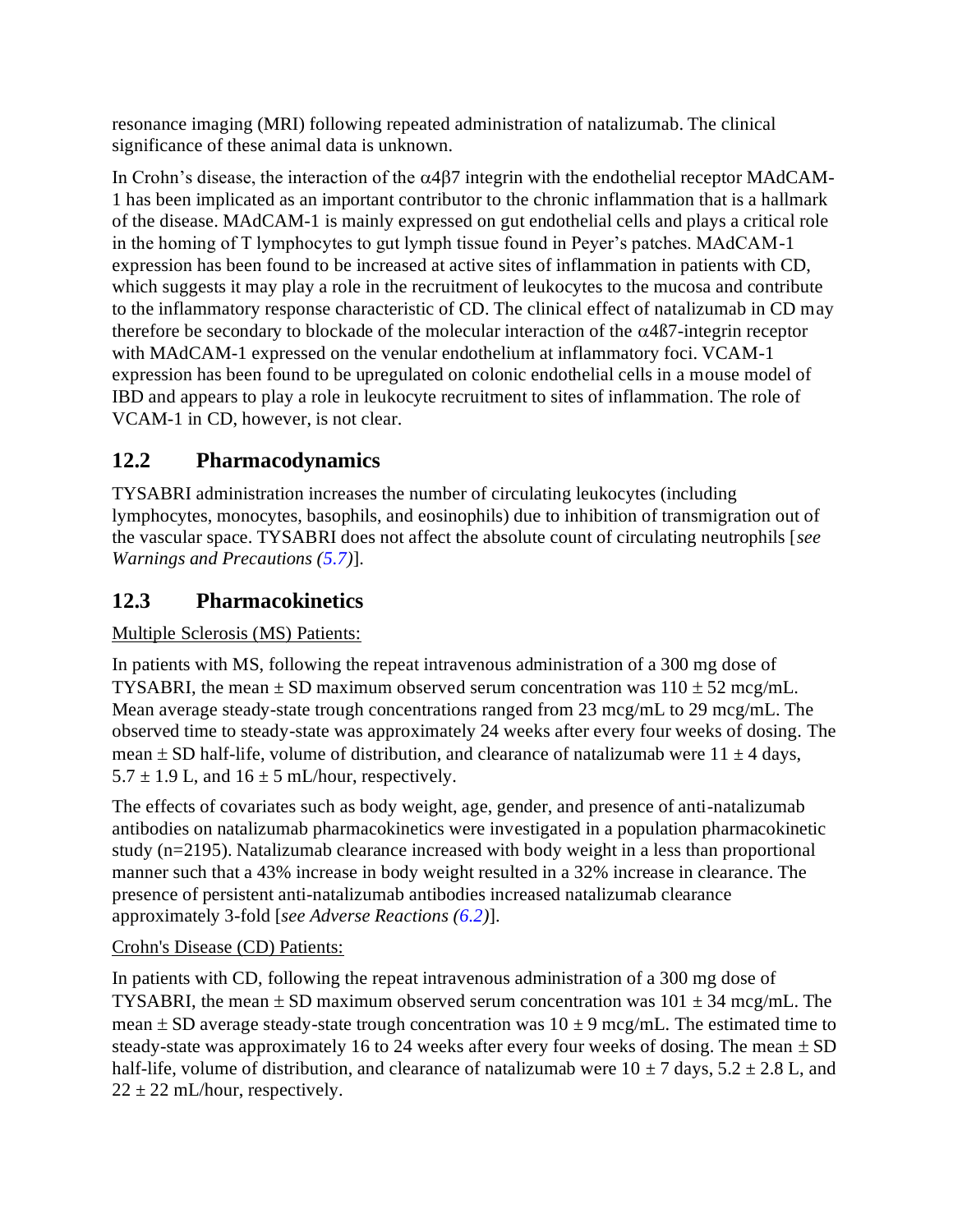<span id="page-20-0"></span>resonance imaging (MRI) following repeated administration of natalizumab. The clinical significance of these animal data is unknown.

In Crohn's disease, the interaction of the  $\alpha$ 4 $\beta$ 7 integrin with the endothelial receptor MAdCAM-1 has been implicated as an important contributor to the chronic inflammation that is a hallmark of the disease. MAdCAM-1 is mainly expressed on gut endothelial cells and plays a critical role in the homing of T lymphocytes to gut lymph tissue found in Peyer's patches. MAdCAM-1 expression has been found to be increased at active sites of inflammation in patients with CD, which suggests it may play a role in the recruitment of leukocytes to the mucosa and contribute to the inflammatory response characteristic of CD. The clinical effect of natalizumab in CD may therefore be secondary to blockade of the molecular interaction of the  $\alpha$ 4 $\beta$ 7-integrin receptor with MAdCAM-1 expressed on the venular endothelium at inflammatory foci. VCAM-1 expression has been found to be upregulated on colonic endothelial cells in a mouse model of IBD and appears to play a role in leukocyte recruitment to sites of inflammation. The role of VCAM-1 in CD, however, is not clear.

# **12.2 Pharmacodynamics**

TYSABRI administration increases the number of circulating leukocytes (including lymphocytes, monocytes, basophils, and eosinophils) due to inhibition of transmigration out of the vascular space. TYSABRI does not affect the absolute count of circulating neutrophils [*see Warnings and Precautions [\(5.7\)](#page-9-0)*].

# **12.3 Pharmacokinetics**

### Multiple Sclerosis (MS) Patients:

In patients with MS, following the repeat intravenous administration of a 300 mg dose of TYSABRI, the mean  $\pm$  SD maximum observed serum concentration was  $110 \pm 52$  mcg/mL. Mean average steady-state trough concentrations ranged from 23 mcg/mL to 29 mcg/mL. The observed time to steady-state was approximately 24 weeks after every four weeks of dosing. The mean  $\pm$  SD half-life, volume of distribution, and clearance of natalizumab were 11  $\pm$  4 days,  $5.7 \pm 1.9$  L, and  $16 \pm 5$  mL/hour, respectively.

The effects of covariates such as body weight, age, gender, and presence of anti-natalizumab antibodies on natalizumab pharmacokinetics were investigated in a population pharmacokinetic study (n=2195). Natalizumab clearance increased with body weight in a less than proportional manner such that a 43% increase in body weight resulted in a 32% increase in clearance. The presence of persistent anti-natalizumab antibodies increased natalizumab clearance approximately 3-fold [*see Adverse Reactions [\(6.2\)](#page-16-0)*].

### Crohn's Disease (CD) Patients:

In patients with CD, following the repeat intravenous administration of a 300 mg dose of TYSABRI, the mean  $\pm$  SD maximum observed serum concentration was 101  $\pm$  34 mcg/mL. The mean  $\pm$  SD average steady-state trough concentration was 10  $\pm$  9 mcg/mL. The estimated time to steady-state was approximately 16 to 24 weeks after every four weeks of dosing. The mean  $\pm$  SD half-life, volume of distribution, and clearance of natalizumab were  $10 \pm 7$  days,  $5.2 \pm 2.8$  L, and  $22 \pm 22$  mL/hour, respectively.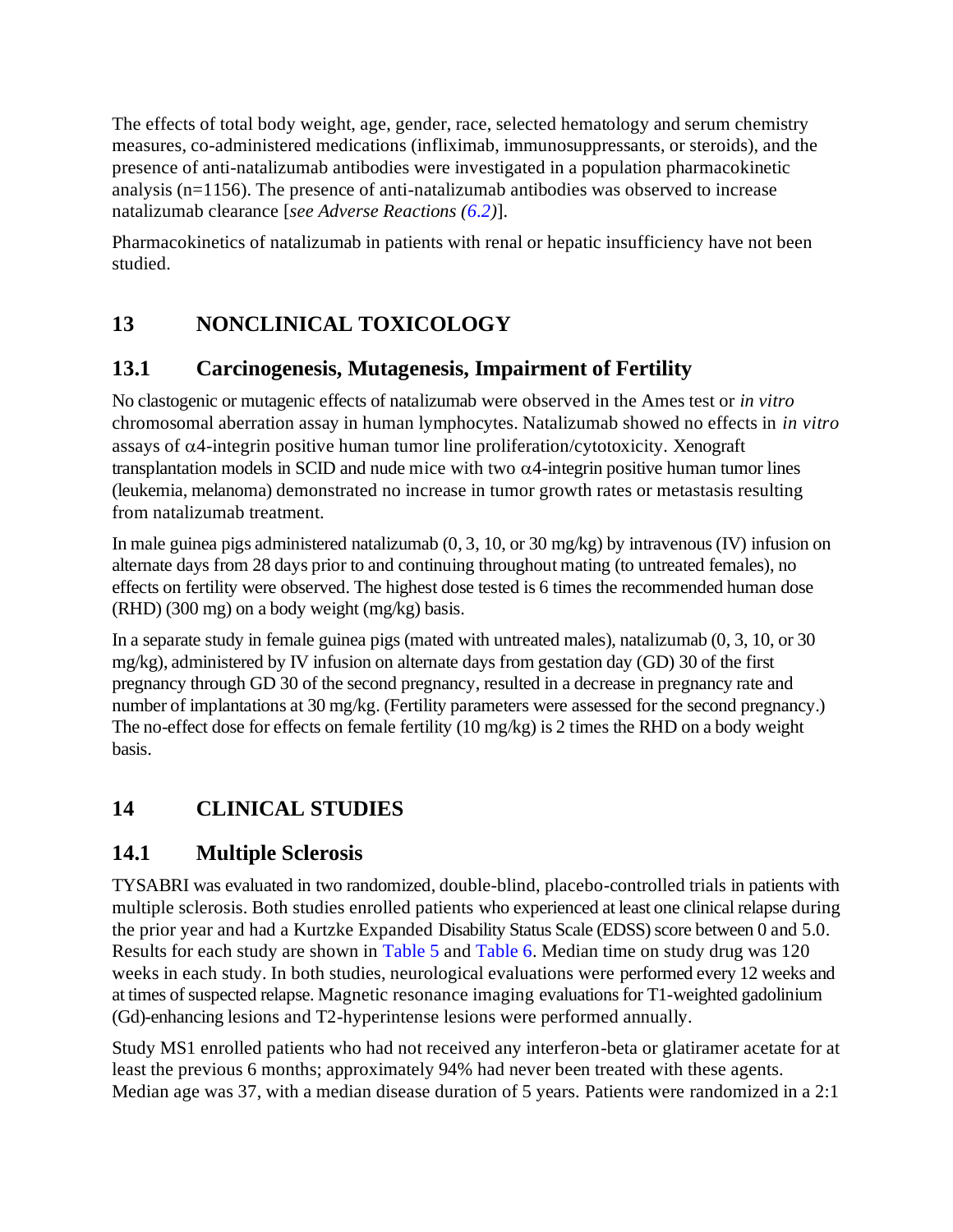<span id="page-21-0"></span>The effects of total body weight, age, gender, race, selected hematology and serum chemistry measures, co-administered medications (infliximab, immunosuppressants, or steroids), and the presence of anti-natalizumab antibodies were investigated in a population pharmacokinetic analysis (n=1156). The presence of anti-natalizumab antibodies was observed to increase natalizumab clearance [*see Adverse Reactions [\(6.2\)](#page-16-0)*].

Pharmacokinetics of natalizumab in patients with renal or hepatic insufficiency have not been studied.

# **13 NONCLINICAL TOXICOLOGY**

### **13.1 Carcinogenesis, Mutagenesis, Impairment of Fertility**

No clastogenic or mutagenic effects of natalizumab were observed in the Ames test or *in vitro* chromosomal aberration assay in human lymphocytes. Natalizumab showed no effects in *in vitro*  assays of  $\alpha$ 4-integrin positive human tumor line proliferation/cytotoxicity. Xenograft transplantation models in SCID and nude mice with two  $\alpha$ 4-integrin positive human tumor lines (leukemia, melanoma) demonstrated no increase in tumor growth rates or metastasis resulting from natalizumab treatment.

In male guinea pigs administered natalizumab (0, 3, 10, or 30 mg/kg) by intravenous (IV) infusion on alternate days from 28 days prior to and continuing throughout mating (to untreated females), no effects on fertility were observed. The highest dose tested is 6 times the recommended human dose (RHD) (300 mg) on a body weight (mg/kg) basis.

In a separate study in female guinea pigs (mated with untreated males), natalizumab (0, 3, 10, or 30 mg/kg), administered by IV infusion on alternate days from gestation day (GD) 30 of the first pregnancy through GD 30 of the second pregnancy, resulted in a decrease in pregnancy rate and number of implantations at 30 mg/kg. (Fertility parameters were assessed for the second pregnancy.) The no-effect dose for effects on female fertility (10 mg/kg) is 2 times the RHD on a body weight basis.

# **14 CLINICAL STUDIES**

# **14.1 Multiple Sclerosis**

TYSABRI was evaluated in two randomized, double-blind, placebo-controlled trials in patients with multiple sclerosis. Both studies enrolled patients who experienced at least one clinical relapse during the prior year and had a Kurtzke Expanded Disability Status Scale (EDSS) score between 0 and 5.0. Results for each study are shown in [Table](#page-23-0) 5 and [Table](#page-24-0) 6. Median time on study drug was 120 weeks in each study. In both studies, neurological evaluations were performed every 12 weeks and at times of suspected relapse. Magnetic resonance imaging evaluations for T1-weighted gadolinium (Gd)-enhancing lesions and T2-hyperintense lesions were performed annually.

Study MS1 enrolled patients who had not received any interferon-beta or glatiramer acetate for at least the previous 6 months; approximately 94% had never been treated with these agents. Median age was 37, with a median disease duration of 5 years. Patients were randomized in a 2:1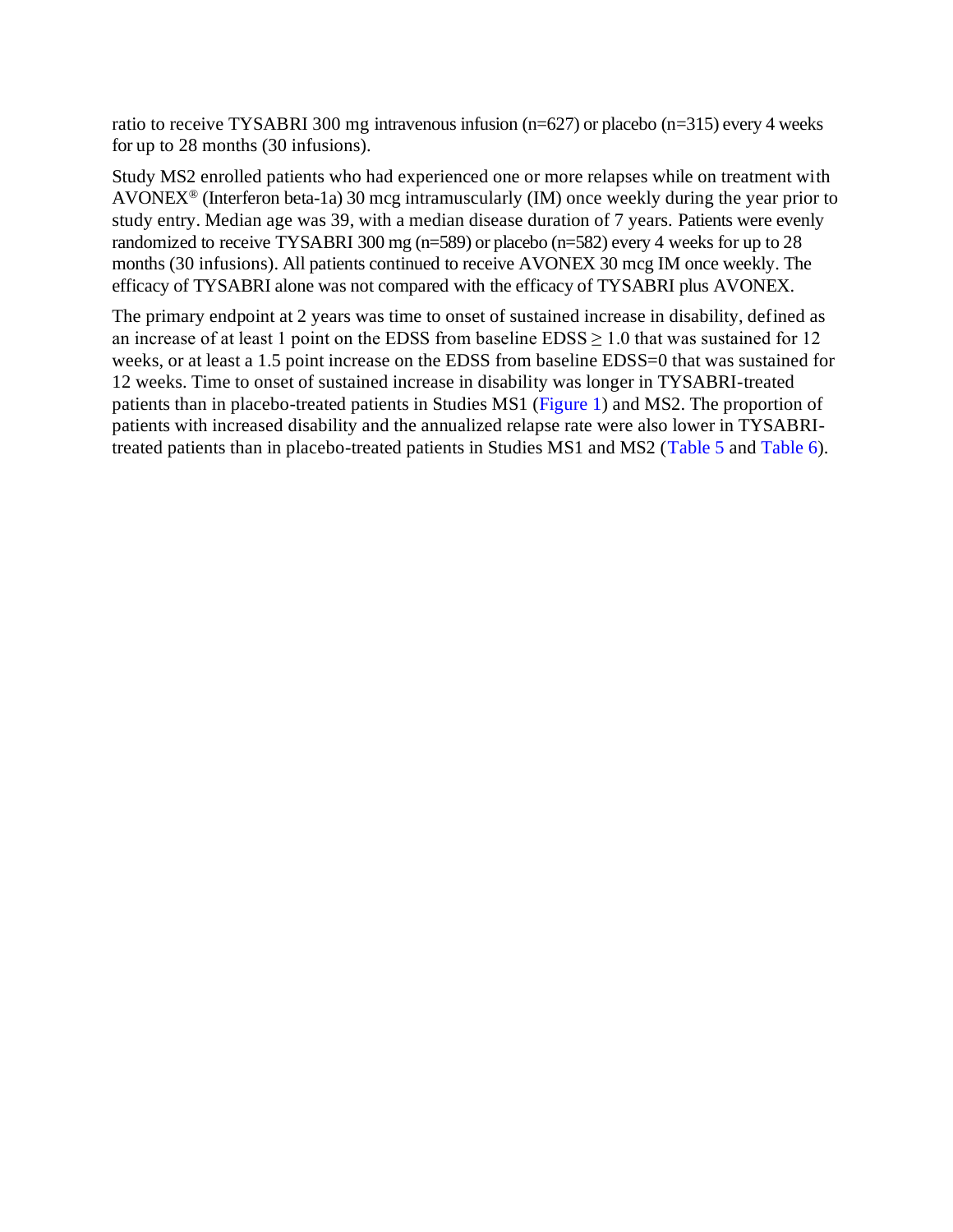ratio to receive TYSABRI 300 mg intravenous infusion (n=627) or placebo (n=315) every 4 weeks for up to 28 months (30 infusions).

Study MS2 enrolled patients who had experienced one or more relapses while on treatment with AVONEX<sup>®</sup> (Interferon beta-1a) 30 mcg intramuscularly (IM) once weekly during the year prior to study entry. Median age was 39, with a median disease duration of 7 years. Patients were evenly randomized to receive TYSABRI 300 mg (n=589) or placebo (n=582) every 4 weeks for up to 28 months (30 infusions). All patients continued to receive AVONEX 30 mcg IM once weekly. The efficacy of TYSABRI alone was not compared with the efficacy of TYSABRI plus AVONEX.

The primary endpoint at 2 years was time to onset of sustained increase in disability, defined as an increase of at least 1 point on the EDSS from baseline  $EDSS \ge 1.0$  that was sustained for 12 weeks, or at least a 1.5 point increase on the EDSS from baseline EDSS=0 that was sustained for 12 weeks. Time to onset of sustained increase in disability was longer in TYSABRI-treated patients than in placebo-treated patients in Studies MS1 [\(Figure](#page-25-0) 1) and MS2. The proportion of patients with increased disability and the annualized relapse rate were also lower in TYSABRItreated patients than in placebo-treated patients in Studies MS1 and MS2 [\(Table](#page-23-0) 5 an[d Table](#page-24-0) 6).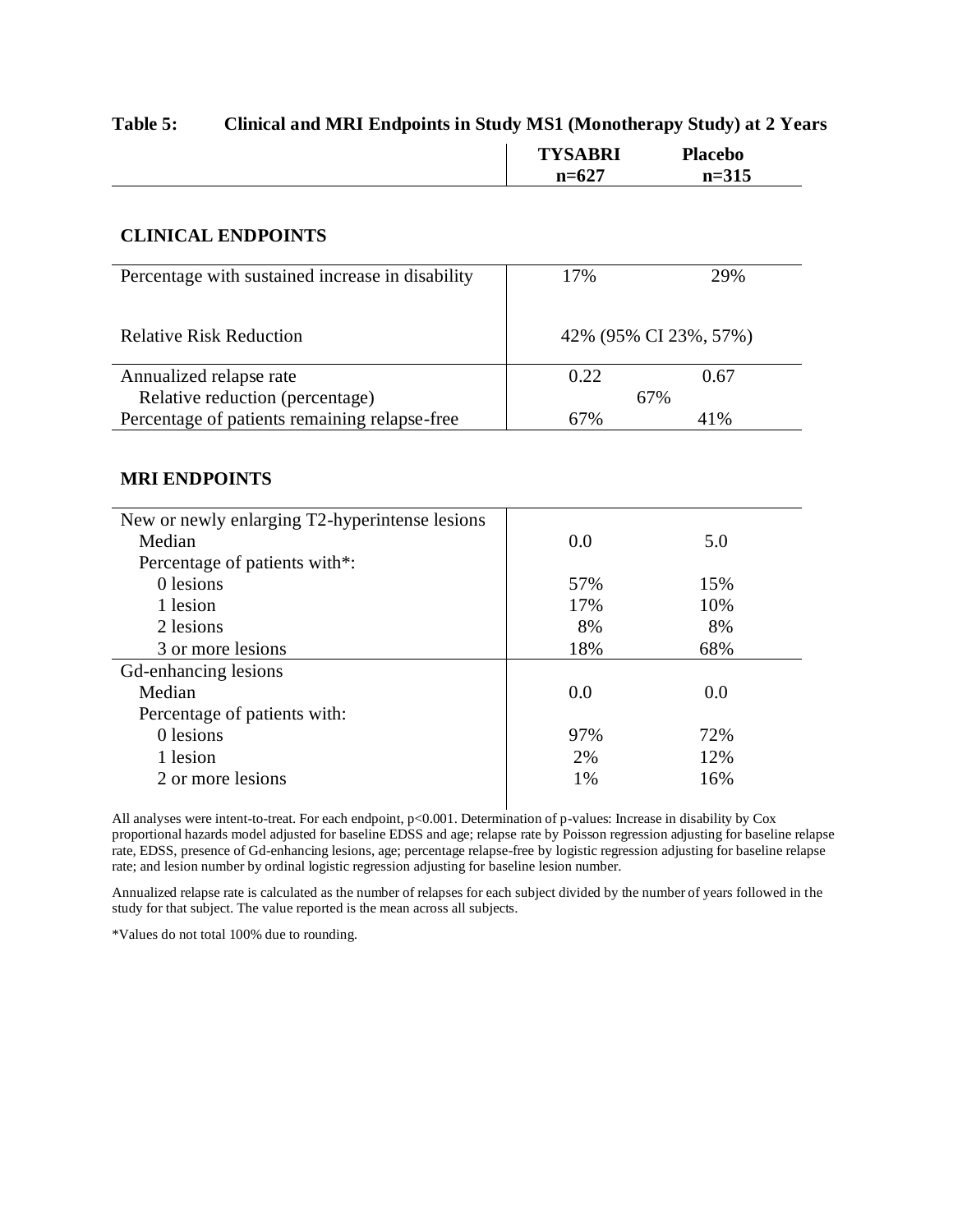#### <span id="page-23-0"></span>**Table 5: Clinical and MRI Endpoints in Study MS1 (Monotherapy Study) at 2 Years**

| <b>TYSABRI</b> | <b>Placebo</b> |  |
|----------------|----------------|--|
| $n=627$        | $n = 315$      |  |

#### **CLINICAL ENDPOINTS**

| Percentage with sustained increase in disability | 17%  | 29%                   |
|--------------------------------------------------|------|-----------------------|
|                                                  |      |                       |
| <b>Relative Risk Reduction</b>                   |      | 42% (95% CI 23%, 57%) |
|                                                  |      |                       |
| Annualized relapse rate                          | 0.22 | 0.67                  |
| Relative reduction (percentage)                  | 67%  |                       |
| Percentage of patients remaining relapse-free    | 67%  | 41%                   |

#### **MRI ENDPOINTS**

| New or newly enlarging T2-hyperintense lesions |     |     |  |
|------------------------------------------------|-----|-----|--|
| Median                                         | 0.0 | 5.0 |  |
| Percentage of patients with*:                  |     |     |  |
| 0 lesions                                      | 57% | 15% |  |
| 1 lesion                                       | 17% | 10% |  |
| 2 lesions                                      | 8%  | 8%  |  |
| 3 or more lesions                              | 18% | 68% |  |
| Gd-enhancing lesions                           |     |     |  |
| Median                                         | 0.0 | 0.0 |  |
| Percentage of patients with:                   |     |     |  |
| 0 lesions                                      | 97% | 72% |  |
| 1 lesion                                       | 2%  | 12% |  |
| 2 or more lesions                              | 1%  | 16% |  |
|                                                |     |     |  |

All analyses were intent-to-treat. For each endpoint, p<0.001. Determination of p-values: Increase in disability by Cox proportional hazards model adjusted for baseline EDSS and age; relapse rate by Poisson regression adjusting for baseline relapse rate, EDSS, presence of Gd-enhancing lesions, age; percentage relapse-free by logistic regression adjusting for baseline relapse rate; and lesion number by ordinal logistic regression adjusting for baseline lesion number.

Annualized relapse rate is calculated as the number of relapses for each subject divided by the number of years followed in the study for that subject. The value reported is the mean across all subjects.

\*Values do not total 100% due to rounding.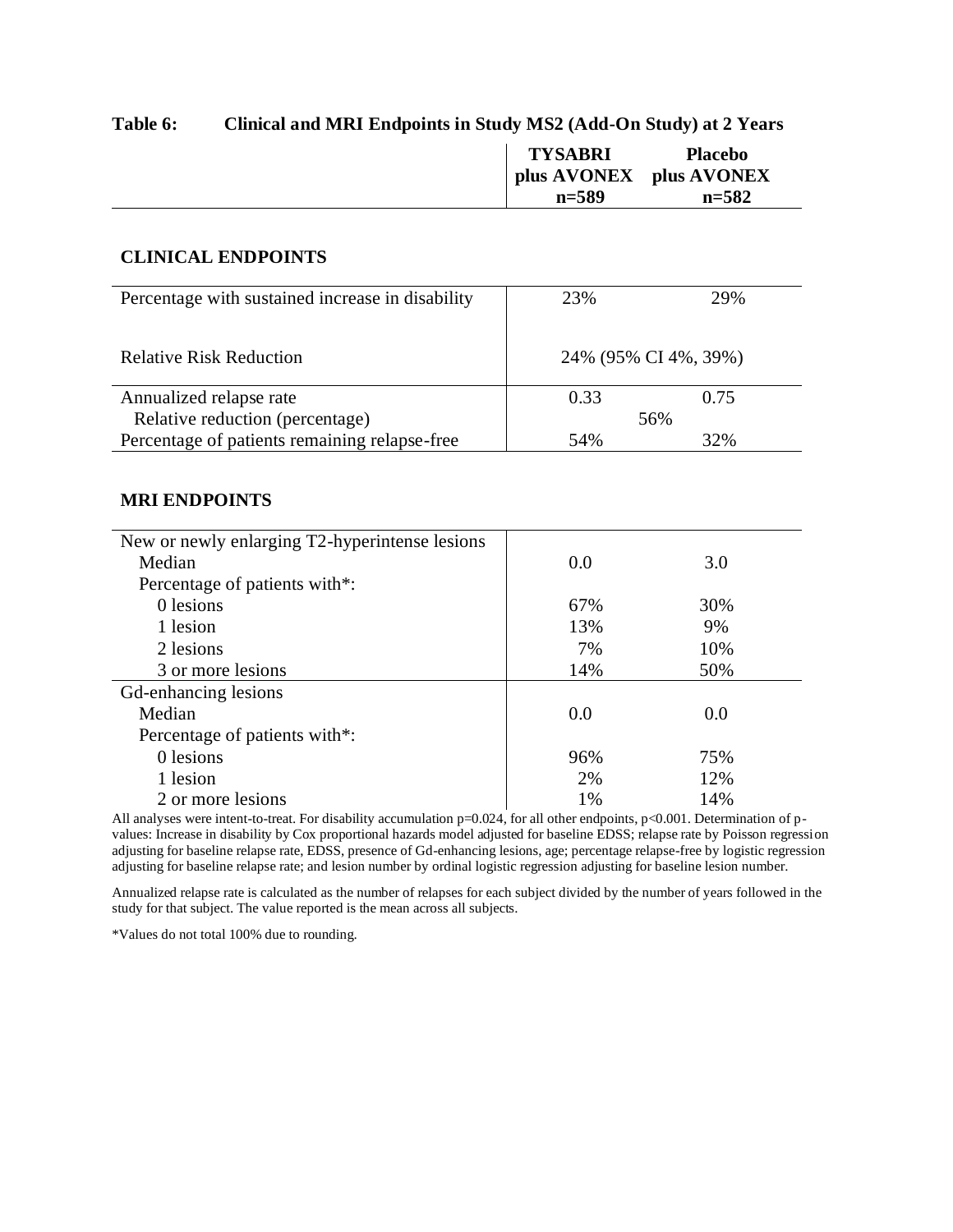#### <span id="page-24-0"></span>**Table 6: Clinical and MRI Endpoints in Study MS2 (Add-On Study) at 2 Years**

| <b>TYSABRI</b>          | <b>Placebo</b> |
|-------------------------|----------------|
| plus AVONEX plus AVONEX |                |
| $n = 589$               | $n = 582$      |

#### **CLINICAL ENDPOINTS**

| Percentage with sustained increase in disability | 23%                  | 29%  |
|--------------------------------------------------|----------------------|------|
| <b>Relative Risk Reduction</b>                   | 24% (95% CI 4%, 39%) |      |
| Annualized relapse rate                          | 0.33                 | 0.75 |
| Relative reduction (percentage)                  | 56%                  |      |
| Percentage of patients remaining relapse-free    | 54%                  | 32%  |

#### **MRI ENDPOINTS**

| New or newly enlarging T2-hyperintense lesions |     |     |
|------------------------------------------------|-----|-----|
| Median                                         | 0.0 | 3.0 |
| Percentage of patients with*:                  |     |     |
| 0 lesions                                      | 67% | 30% |
| 1 lesion                                       | 13% | 9%  |
| 2 lesions                                      | 7%  | 10% |
| 3 or more lesions                              | 14% | 50% |
| Gd-enhancing lesions                           |     |     |
| Median                                         | 0.0 | 0.0 |
| Percentage of patients with*:                  |     |     |
| 0 lesions                                      | 96% | 75% |
| 1 lesion                                       | 2%  | 12% |
| 2 or more lesions                              | 1%  | 14% |

All analyses were intent-to-treat. For disability accumulation p=0.024, for all other endpoints, p<0.001. Determination of pvalues: Increase in disability by Cox proportional hazards model adjusted for baseline EDSS; relapse rate by Poisson regression adjusting for baseline relapse rate, EDSS, presence of Gd-enhancing lesions, age; percentage relapse-free by logistic regression adjusting for baseline relapse rate; and lesion number by ordinal logistic regression adjusting for baseline lesion number.

Annualized relapse rate is calculated as the number of relapses for each subject divided by the number of years followed in the study for that subject. The value reported is the mean across all subjects.

\*Values do not total 100% due to rounding.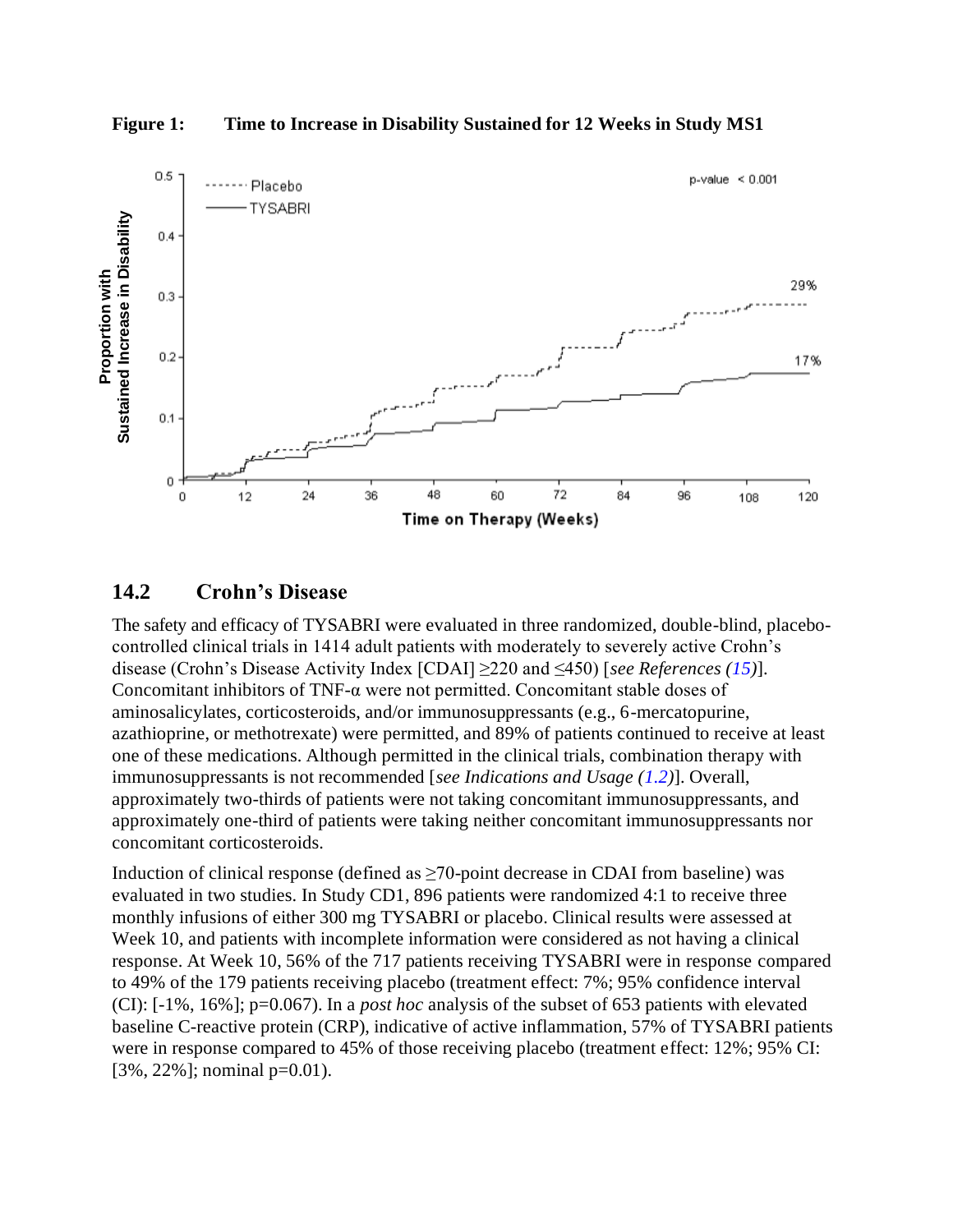**Figure 1: Time to Increase in Disability Sustained for 12 Weeks in Study MS1**

<span id="page-25-0"></span>

#### **14.2 Crohn's Disease**

The safety and efficacy of TYSABRI were evaluated in three randomized, double-blind, placebocontrolled clinical trials in 1414 adult patients with moderately to severely active Crohn's disease (Crohn's Disease Activity Index [CDAI] ≥220 and ≤450) [*see References [\(15\)](#page-27-0)*]. Concomitant inhibitors of TNF-α were not permitted. Concomitant stable doses of aminosalicylates, corticosteroids, and/or immunosuppressants (e.g., 6-mercatopurine, azathioprine, or methotrexate) were permitted, and 89% of patients continued to receive at least one of these medications. Although permitted in the clinical trials, combination therapy with immunosuppressants is not recommended [*see Indications and Usage [\(1.2\)](#page-1-0)*]. Overall, approximately two-thirds of patients were not taking concomitant immunosuppressants, and approximately one-third of patients were taking neither concomitant immunosuppressants nor concomitant corticosteroids.

Induction of clinical response (defined as  $\geq$ 70-point decrease in CDAI from baseline) was evaluated in two studies. In Study CD1, 896 patients were randomized 4:1 to receive three monthly infusions of either 300 mg TYSABRI or placebo. Clinical results were assessed at Week 10, and patients with incomplete information were considered as not having a clinical response. At Week 10, 56% of the 717 patients receiving TYSABRI were in response compared to 49% of the 179 patients receiving placebo (treatment effect: 7%; 95% confidence interval (CI): [-1%, 16%]; p=0.067). In a *post hoc* analysis of the subset of 653 patients with elevated baseline C-reactive protein (CRP), indicative of active inflammation, 57% of TYSABRI patients were in response compared to 45% of those receiving placebo (treatment effect: 12%; 95% CI: [3%, 22%]; nominal p=0.01).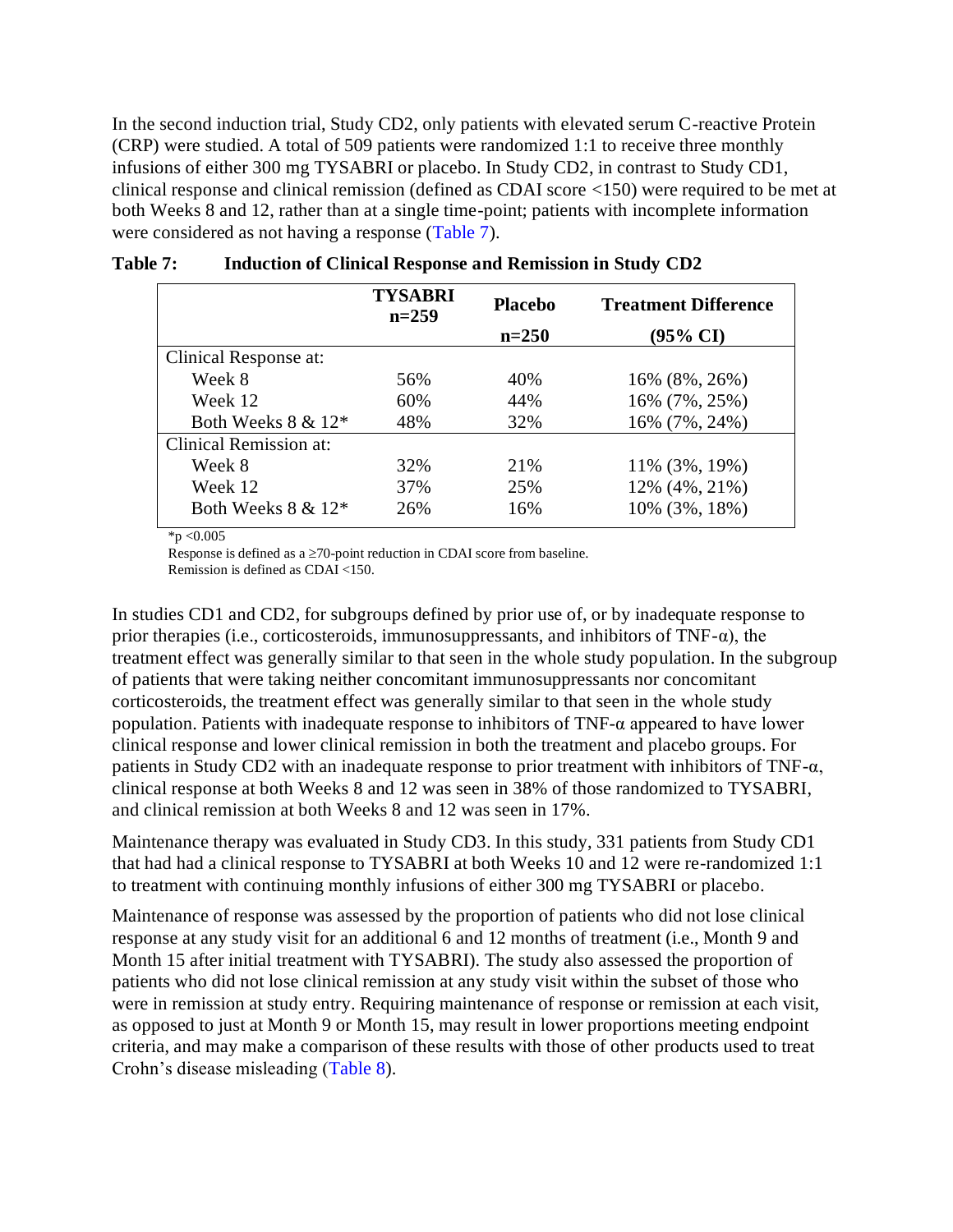<span id="page-26-0"></span>In the second induction trial, Study CD2, only patients with elevated serum C-reactive Protein (CRP) were studied. A total of 509 patients were randomized 1:1 to receive three monthly infusions of either 300 mg TYSABRI or placebo. In Study CD2, in contrast to Study CD1, clinical response and clinical remission (defined as CDAI score <150) were required to be met at both Weeks 8 and 12, rather than at a single time-point; patients with incomplete information were considered as not having a response [\(Table](#page-26-0) 7).

|                        | <b>TYSABRI</b><br>$n=259$ | <b>Placebo</b> | <b>Treatment Difference</b> |
|------------------------|---------------------------|----------------|-----------------------------|
|                        |                           | $n=250$        | $(95\% \text{ CI})$         |
| Clinical Response at:  |                           |                |                             |
| Week 8                 | 56%                       | 40%            | 16% (8%, 26%)               |
| Week 12                | 60%                       | 44%            | 16% (7%, 25%)               |
| Both Weeks $8 \& 12^*$ | 48%                       | 32%            | 16% (7%, 24%)               |
| Clinical Remission at: |                           |                |                             |
| Week 8                 | 32%                       | 21%            | 11% (3%, 19%)               |
| Week 12                | 37%                       | 25%            | 12% (4%, 21%)               |
| Both Weeks $8 \& 12^*$ | 26%                       | 16%            | 10% (3%, 18%)               |

| <b>Table 7:</b> |                                                                  |  |  |
|-----------------|------------------------------------------------------------------|--|--|
|                 | <b>Induction of Clinical Response and Remission in Study CD2</b> |  |  |

 $*_{p < 0.005}$ 

Response is defined as a  $\geq$ 70-point reduction in CDAI score from baseline.

Remission is defined as CDAI <150.

In studies CD1 and CD2, for subgroups defined by prior use of, or by inadequate response to prior therapies (i.e., corticosteroids, immunosuppressants, and inhibitors of TNF- $\alpha$ ), the treatment effect was generally similar to that seen in the whole study population. In the subgroup of patients that were taking neither concomitant immunosuppressants nor concomitant corticosteroids, the treatment effect was generally similar to that seen in the whole study population. Patients with inadequate response to inhibitors of TNF-α appeared to have lower clinical response and lower clinical remission in both the treatment and placebo groups. For patients in Study CD2 with an inadequate response to prior treatment with inhibitors of TNF- $\alpha$ , clinical response at both Weeks 8 and 12 was seen in 38% of those randomized to TYSABRI, and clinical remission at both Weeks 8 and 12 was seen in 17%.

Maintenance therapy was evaluated in Study CD3. In this study, 331 patients from Study CD1 that had had a clinical response to TYSABRI at both Weeks 10 and 12 were re-randomized 1:1 to treatment with continuing monthly infusions of either 300 mg TYSABRI or placebo.

Maintenance of response was assessed by the proportion of patients who did not lose clinical response at any study visit for an additional 6 and 12 months of treatment (i.e., Month 9 and Month 15 after initial treatment with TYSABRI). The study also assessed the proportion of patients who did not lose clinical remission at any study visit within the subset of those who were in remission at study entry. Requiring maintenance of response or remission at each visit, as opposed to just at Month 9 or Month 15, may result in lower proportions meeting endpoint criteria, and may make a comparison of these results with those of other products used to treat Crohn's disease misleading [\(Table](#page-27-0) 8).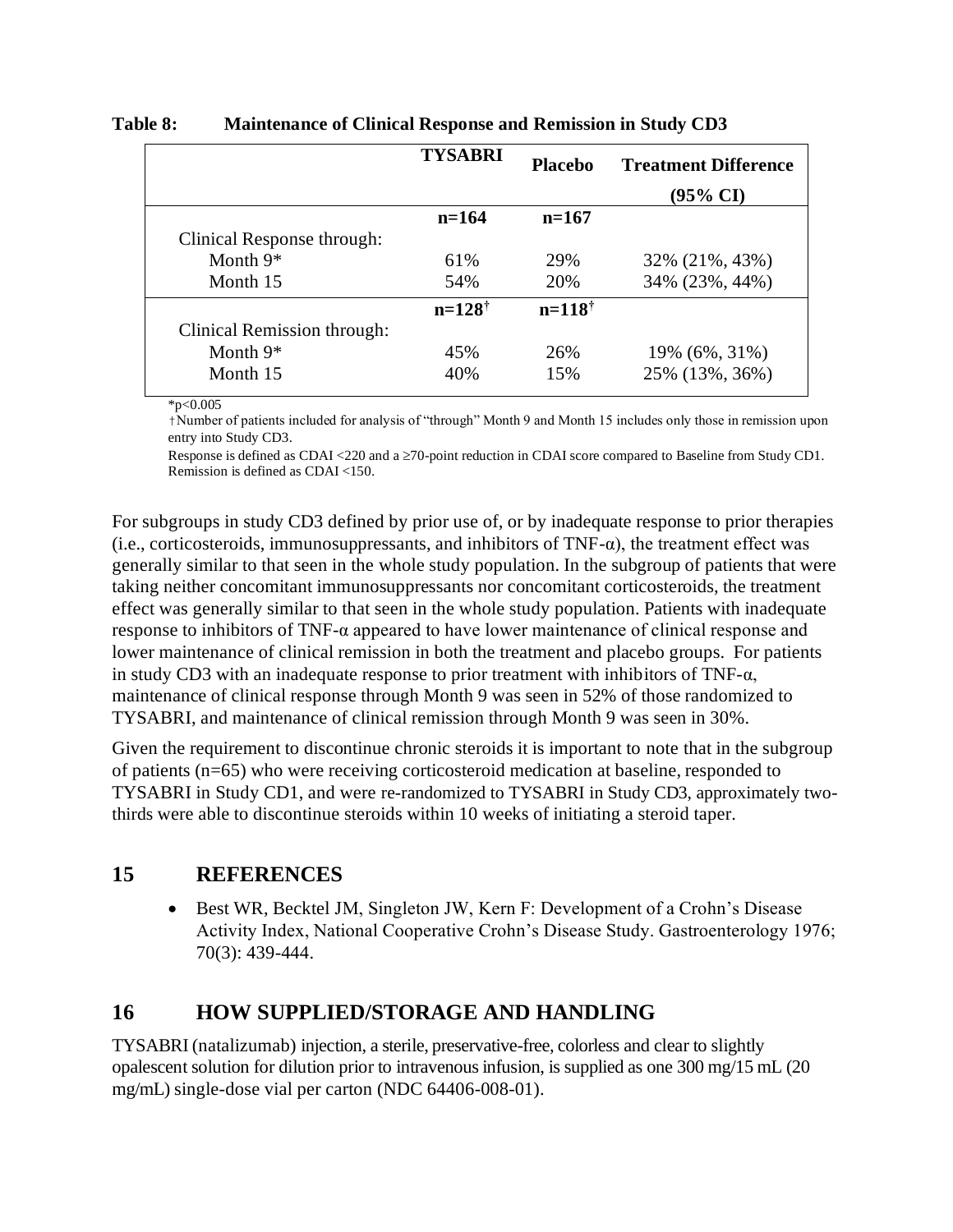|                             | <b>TYSABRI</b>    | <b>Placebo</b>    | <b>Treatment Difference</b> |
|-----------------------------|-------------------|-------------------|-----------------------------|
|                             |                   |                   | $(95\% \text{ CI})$         |
|                             | $n=164$           | $n=167$           |                             |
| Clinical Response through:  |                   |                   |                             |
| Month $9*$                  | 61%               | 29%               | 32% (21%, 43%)              |
| Month 15                    | 54%               | 20%               | 34% (23%, 44%)              |
|                             | $n=128^{\dagger}$ | $n=118^{\dagger}$ |                             |
| Clinical Remission through: |                   |                   |                             |
| Month $9*$                  | 45%               | 26%               | 19% (6%, 31%)               |
| Month 15                    | 40%               | 15%               | 25% (13%, 36%)              |

#### <span id="page-27-0"></span>**Table 8: Maintenance of Clinical Response and Remission in Study CD3**

 $*_{p<0.005}$ 

†Number of patients included for analysis of "through" Month 9 and Month 15 includes only those in remission upon entry into Study CD3.

Response is defined as CDAI <220 and a  $\geq$ 70-point reduction in CDAI score compared to Baseline from Study CD1. Remission is defined as CDAI <150.

For subgroups in study CD3 defined by prior use of, or by inadequate response to prior therapies (i.e., corticosteroids, immunosuppressants, and inhibitors of  $TNF-\alpha$ ), the treatment effect was generally similar to that seen in the whole study population. In the subgroup of patients that were taking neither concomitant immunosuppressants nor concomitant corticosteroids, the treatment effect was generally similar to that seen in the whole study population. Patients with inadequate response to inhibitors of TNF- $\alpha$  appeared to have lower maintenance of clinical response and lower maintenance of clinical remission in both the treatment and placebo groups. For patients in study CD3 with an inadequate response to prior treatment with inhibitors of TNF-α, maintenance of clinical response through Month 9 was seen in 52% of those randomized to TYSABRI, and maintenance of clinical remission through Month 9 was seen in 30%.

Given the requirement to discontinue chronic steroids it is important to note that in the subgroup of patients (n=65) who were receiving corticosteroid medication at baseline, responded to TYSABRI in Study CD1, and were re-randomized to TYSABRI in Study CD3, approximately twothirds were able to discontinue steroids within 10 weeks of initiating a steroid taper.

### **15 REFERENCES**

• Best WR, Becktel JM, Singleton JW, Kern F: Development of a Crohn's Disease Activity Index, National Cooperative Crohn's Disease Study. Gastroenterology 1976; 70(3): 439-444.

### **16 HOW SUPPLIED/STORAGE AND HANDLING**

TYSABRI (natalizumab) injection, a sterile, preservative-free, colorless and clear to slightly opalescent solution for dilution prior to intravenous infusion, is supplied as one 300 mg/15 mL (20 mg/mL) single-dose vial per carton (NDC 64406-008-01).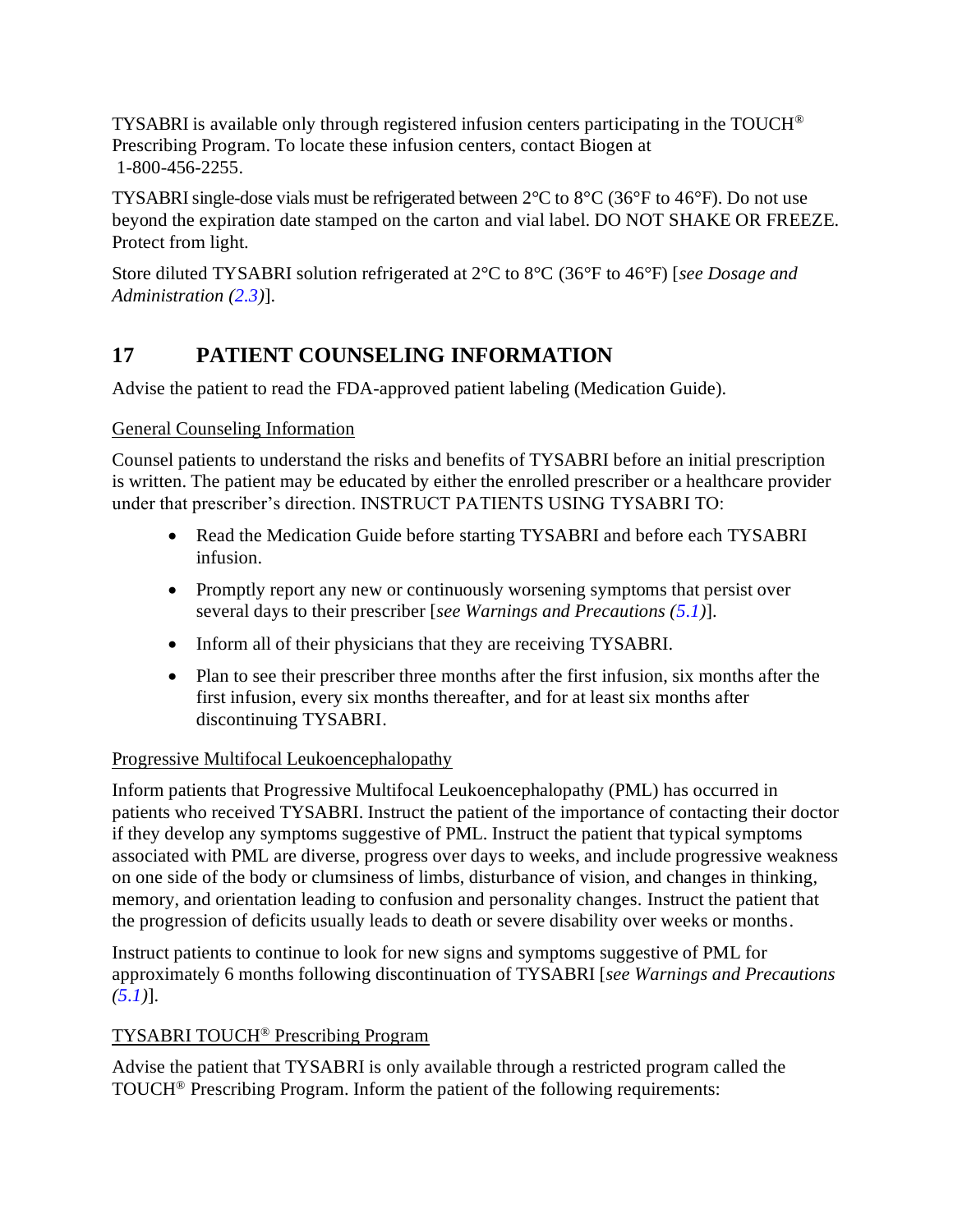<span id="page-28-0"></span>TYSABRI is available only through registered infusion centers participating in the TOUCH® Prescribing Program. To locate these infusion centers, contact Biogen at 1-800-456-2255.

TYSABRI single-dose vials must be refrigerated between 2°C to 8°C (36°F to 46°F). Do not use beyond the expiration date stamped on the carton and vial label. DO NOT SHAKE OR FREEZE. Protect from light.

Store diluted TYSABRI solution refrigerated at 2°C to 8°C (36°F to 46°F) [*see Dosage and Administration [\(2.3\)](#page-2-0)*].

### **17 PATIENT COUNSELING INFORMATION**

Advise the patient to read the FDA-approved patient labeling (Medication Guide).

#### General Counseling Information

Counsel patients to understand the risks and benefits of TYSABRI before an initial prescription is written. The patient may be educated by either the enrolled prescriber or a healthcare provider under that prescriber's direction. INSTRUCT PATIENTS USING TYSABRI TO:

- Read the Medication Guide before starting TYSABRI and before each TYSABRI infusion.
- Promptly report any new or continuously worsening symptoms that persist over several days to their prescriber [*see Warnings and Precautions [\(5.1\)](#page-3-0)*].
- Inform all of their physicians that they are receiving TYSABRI.
- Plan to see their prescriber three months after the first infusion, six months after the first infusion, every six months thereafter, and for at least six months after discontinuing TYSABRI.

#### Progressive Multifocal Leukoencephalopathy

Inform patients that Progressive Multifocal Leukoencephalopathy (PML) has occurred in patients who received TYSABRI. Instruct the patient of the importance of contacting their doctor if they develop any symptoms suggestive of PML. Instruct the patient that typical symptoms associated with PML are diverse, progress over days to weeks, and include progressive weakness on one side of the body or clumsiness of limbs, disturbance of vision, and changes in thinking, memory, and orientation leading to confusion and personality changes. Instruct the patient that the progression of deficits usually leads to death or severe disability over weeks or months.

Instruct patients to continue to look for new signs and symptoms suggestive of PML for approximately 6 months following discontinuation of TYSABRI [*see Warnings and Precautions [\(5.1\)](#page-3-0)*].

#### TYSABRI TOUCH® Prescribing Program

Advise the patient that TYSABRI is only available through a restricted program called the TOUCH® Prescribing Program. Inform the patient of the following requirements: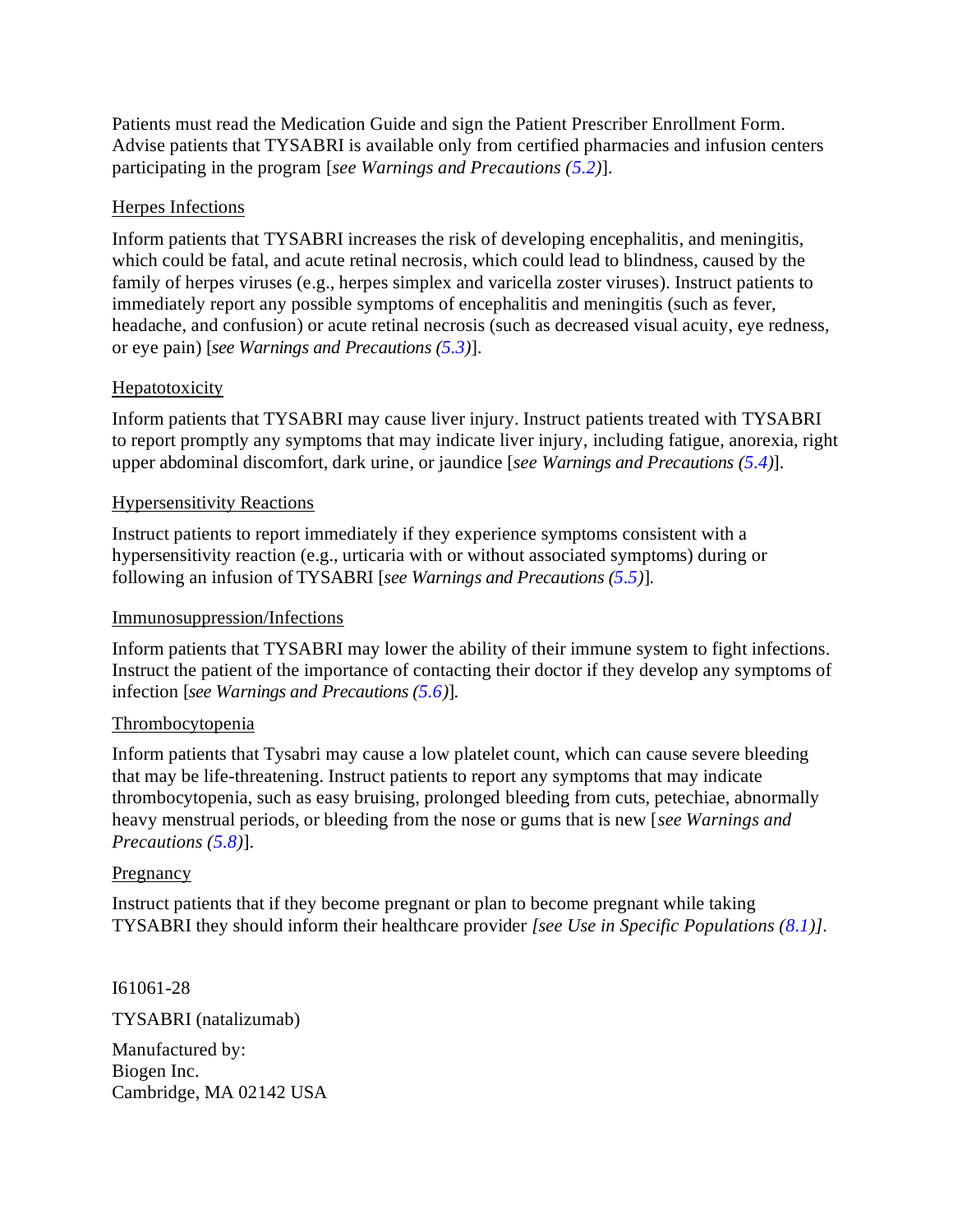Patients must read the Medication Guide and sign the Patient Prescriber Enrollment Form. Advise patients that TYSABRI is available only from certified pharmacies and infusion centers participating in the program [*see Warnings and Precautions [\(5.2\)](#page-6-0)*].

#### Herpes Infections

Inform patients that TYSABRI increases the risk of developing encephalitis, and meningitis, which could be fatal, and acute retinal necrosis, which could lead to blindness, caused by the family of herpes viruses (e.g., herpes simplex and varicella zoster viruses). Instruct patients to immediately report any possible symptoms of encephalitis and meningitis (such as fever, headache, and confusion) or acute retinal necrosis (such as decreased visual acuity, eye redness, or eye pain) [*see Warnings and Precautions [\(5.3\)](#page-7-0)*].

#### **Hepatotoxicity**

Inform patients that TYSABRI may cause liver injury. Instruct patients treated with TYSABRI to report promptly any symptoms that may indicate liver injury, including fatigue, anorexia, right upper abdominal discomfort, dark urine, or jaundice [*see Warnings and Precautions [\(5.4\)](#page-7-0)*].

#### Hypersensitivity Reactions

Instruct patients to report immediately if they experience symptoms consistent with a hypersensitivity reaction (e.g., urticaria with or without associated symptoms) during or following an infusion of TYSABRI [*see Warnings and Precautions [\(5.5\)](#page-8-0)*].

#### Immunosuppression/Infections

Inform patients that TYSABRI may lower the ability of their immune system to fight infections. Instruct the patient of the importance of contacting their doctor if they develop any symptoms of infection [*see Warnings and Precautions [\(5.6\)](#page-8-0)*].

#### Thrombocytopenia

Inform patients that Tysabri may cause a low platelet count, which can cause severe bleeding that may be life-threatening. Instruct patients to report any symptoms that may indicate thrombocytopenia, such as easy bruising, prolonged bleeding from cuts, petechiae, abnormally heavy menstrual periods, or bleeding from the nose or gums that is new [*see Warnings and Precautions [\(5.8\)](#page-9-0)*].

#### Pregnancy

Instruct patients that if they become pregnant or plan to become pregnant while taking TYSABRI they should inform their healthcare provider *[see Use in Specific Populations ([8.1](#page-17-0))]*.

I61061-28 TYSABRI (natalizumab) Manufactured by: Biogen Inc. Cambridge, MA 02142 USA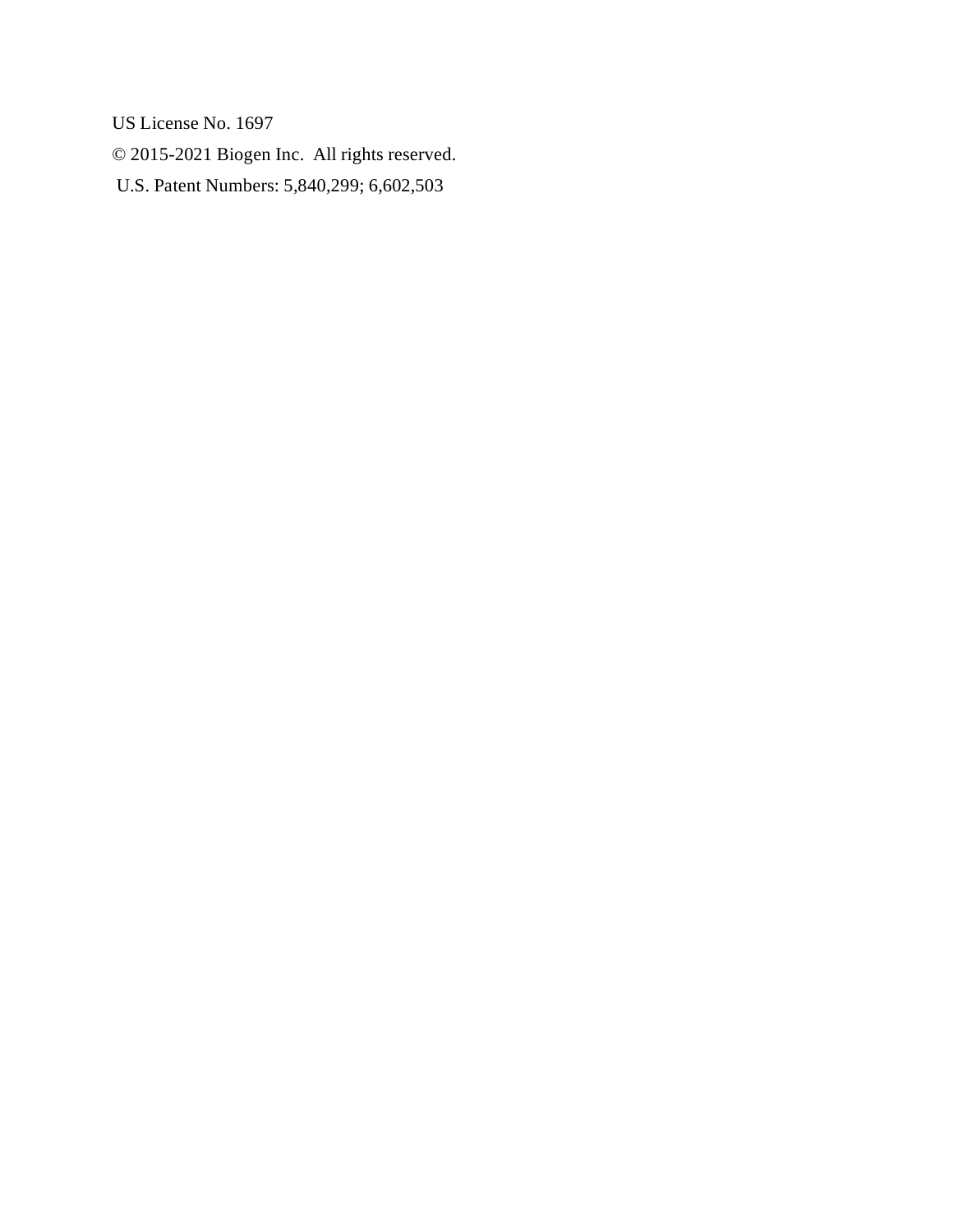US License No. 1697

© 2015-2021 Biogen Inc. All rights reserved.

U.S. Patent Numbers: 5,840,299; 6,602,503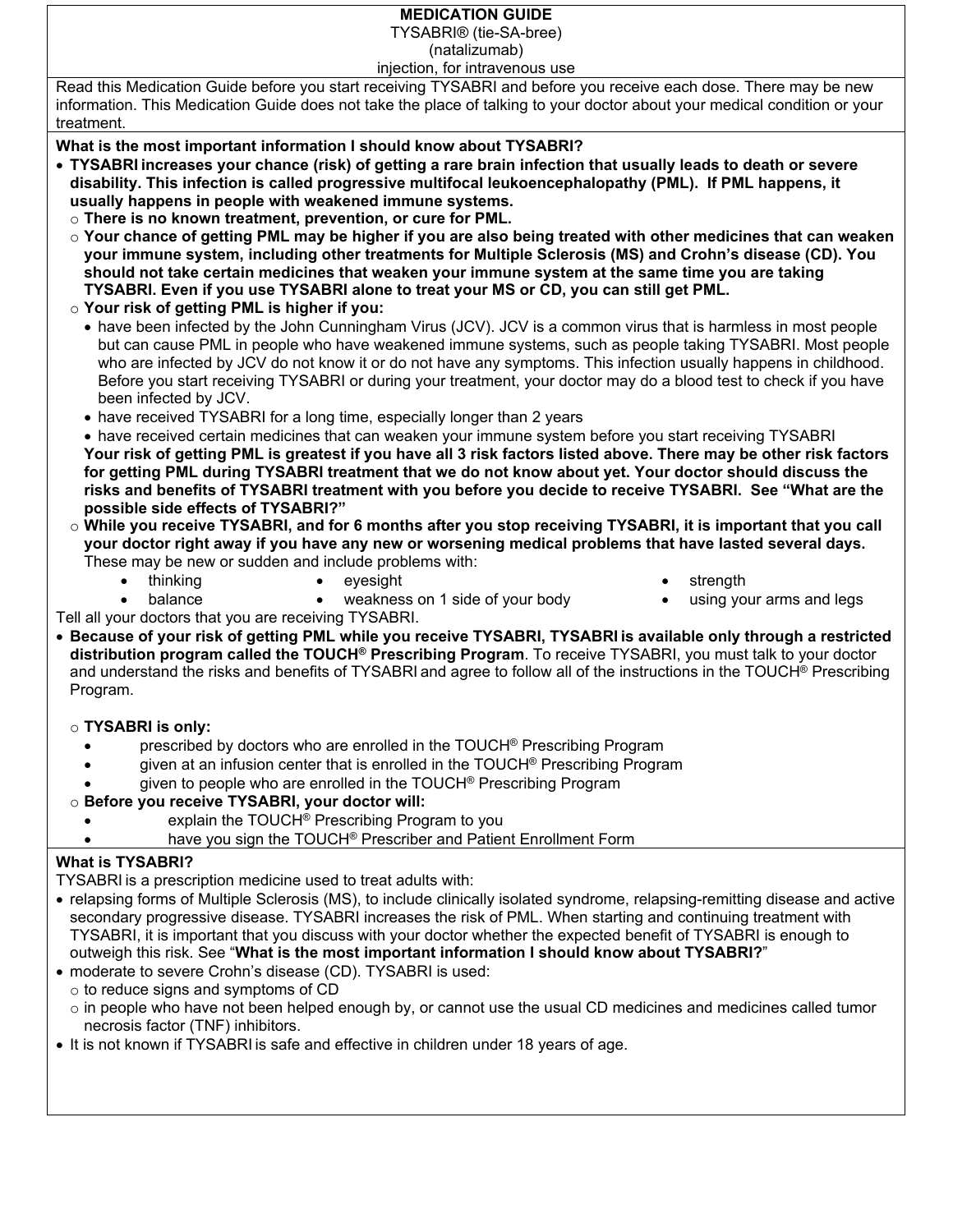#### **MEDICATION GUIDE**

TYSABRI® (tie-SA-bree)

(natalizumab)

injection, for intravenous use

Read this Medication Guide before you start receiving TYSABRI and before you receive each dose. There may be new information. This Medication Guide does not take the place of talking to your doctor about your medical condition or your treatment.

**What is the most important information I should know about TYSABRI?**

- **TYSABRIincreases your chance (risk) of getting a rare brain infection that usually leads to death or severe disability. This infection is called progressive multifocal leukoencephalopathy (PML). If PML happens, it usually happens in people with weakened immune systems.** 
	- o **There is no known treatment, prevention, or cure for PML.**
	- o **Your chance of getting PML may be higher if you are also being treated with other medicines that can weaken your immune system, including other treatments for Multiple Sclerosis (MS) and Crohn's disease (CD). You should not take certain medicines that weaken your immune system at the same time you are taking TYSABRI. Even if you use TYSABRI alone to treat your MS or CD, you can still get PML.**
	- o **Your risk of getting PML is higher if you:**
		- have been infected by the John Cunningham Virus (JCV). JCV is a common virus that is harmless in most people but can cause PML in people who have weakened immune systems, such as people taking TYSABRI. Most people who are infected by JCV do not know it or do not have any symptoms. This infection usually happens in childhood. Before you start receiving TYSABRI or during your treatment, your doctor may do a blood test to check if you have been infected by JCV.
		- have received TYSABRI for a long time, especially longer than 2 years
		- have received certain medicines that can weaken your immune system before you start receiving TYSABRI **Your risk of getting PML is greatest if you have all 3 risk factors listed above. There may be other risk factors for getting PML during TYSABRI treatment that we do not know about yet. Your doctor should discuss the risks and benefits of TYSABRI treatment with you before you decide to receive TYSABRI. See "What are the possible side effects of TYSABRI?"**
	- o **While you receive TYSABRI, and for 6 months after you stop receiving TYSABRI, it is important that you call your doctor right away if you have any new or worsening medical problems that have lasted several days.** These may be new or sudden and include problems with:
		- thinking eyesight strength
			-

- 
- 
- balance **•** weakness on 1 side of your body **•** using your arms and legs

Tell all your doctors that you are receiving TYSABRI.

 **Because of your risk of getting PML while you receive TYSABRI, TYSABRIis available only through a restricted distribution program called the TOUCH® Prescribing Program**. To receive TYSABRI, you must talk to your doctor and understand the risks and benefits of TYSABRI and agree to follow all of the instructions in the TOUCH® Prescribing Program.

#### o **TYSABRI is only:**

- prescribed by doctors who are enrolled in the TOUCH® Prescribing Program
	- given at an infusion center that is enrolled in the TOUCH® Prescribing Program
- given to people who are enrolled in the TOUCH® Prescribing Program
- o **Before you receive TYSABRI, your doctor will:**
	- explain the TOUCH® Prescribing Program to you
	- **•** have you sign the TOUCH<sup>®</sup> Prescriber and Patient Enrollment Form

#### **What is TYSABRI?**

TYSABRIis a prescription medicine used to treat adults with:

- relapsing forms of Multiple Sclerosis (MS), to include clinically isolated syndrome, relapsing-remitting disease and active secondary progressive disease. TYSABRI increases the risk of PML. When starting and continuing treatment with TYSABRI, it is important that you discuss with your doctor whether the expected benefit of TYSABRI is enough to outweigh this risk. See "**What is the most important information I should know about TYSABRI?**"
- moderate to severe Crohn's disease (CD). TYSABRI is used:
- o to reduce signs and symptoms of CD
	- $\circ$  in people who have not been helped enough by, or cannot use the usual CD medicines and medicines called tumor necrosis factor (TNF) inhibitors.
- It is not known if TYSABRI is safe and effective in children under 18 years of age.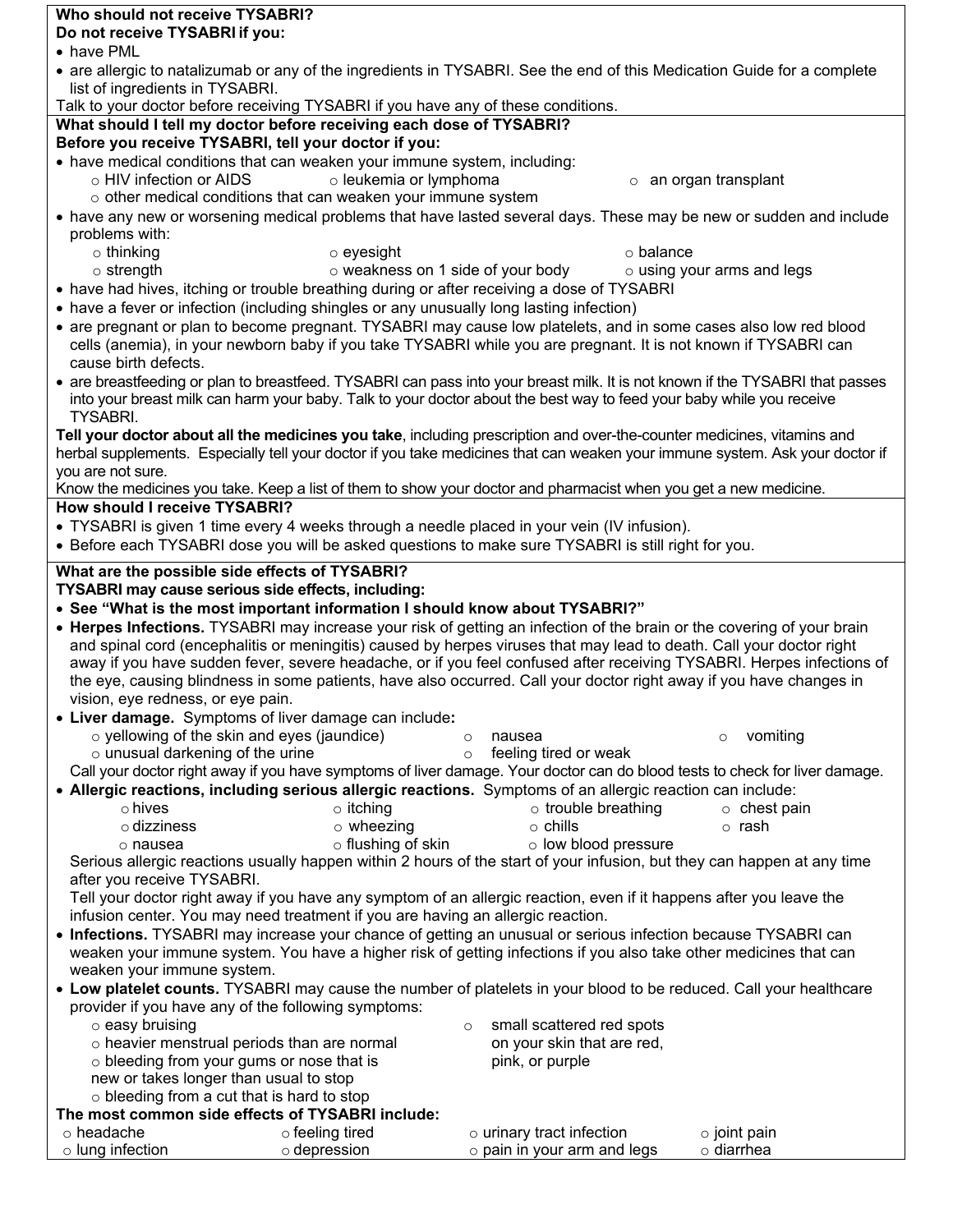|                                        | Who should not receive TYSABRI?                                                                                             |                                                                                                                                                                                                                                                       |                                  |
|----------------------------------------|-----------------------------------------------------------------------------------------------------------------------------|-------------------------------------------------------------------------------------------------------------------------------------------------------------------------------------------------------------------------------------------------------|----------------------------------|
| Do not receive TYSABRI if you:         |                                                                                                                             |                                                                                                                                                                                                                                                       |                                  |
| • have PML                             |                                                                                                                             |                                                                                                                                                                                                                                                       |                                  |
| list of ingredients in TYSABRI.        |                                                                                                                             | • are allergic to natalizumab or any of the ingredients in TYSABRI. See the end of this Medication Guide for a complete                                                                                                                               |                                  |
|                                        | Talk to your doctor before receiving TYSABRI if you have any of these conditions.                                           |                                                                                                                                                                                                                                                       |                                  |
|                                        | What should I tell my doctor before receiving each dose of TYSABRI?<br>Before you receive TYSABRI, tell your doctor if you: |                                                                                                                                                                                                                                                       |                                  |
|                                        | • have medical conditions that can weaken your immune system, including:                                                    |                                                                                                                                                                                                                                                       |                                  |
| o HIV infection or AIDS                | o leukemia or lymphoma                                                                                                      |                                                                                                                                                                                                                                                       | o an organ transplant            |
|                                        | $\circ$ other medical conditions that can weaken your immune system                                                         |                                                                                                                                                                                                                                                       |                                  |
| problems with:                         |                                                                                                                             | • have any new or worsening medical problems that have lasted several days. These may be new or sudden and include                                                                                                                                    |                                  |
| $\circ$ thinking                       | $\circ$ eyesight                                                                                                            | $\circ$ balance                                                                                                                                                                                                                                       |                                  |
| $\circ$ strength                       |                                                                                                                             | $\circ$ weakness on 1 side of your body                                                                                                                                                                                                               | $\circ$ using your arms and legs |
|                                        |                                                                                                                             | • have had hives, itching or trouble breathing during or after receiving a dose of TYSABRI                                                                                                                                                            |                                  |
|                                        | • have a fever or infection (including shingles or any unusually long lasting infection)                                    |                                                                                                                                                                                                                                                       |                                  |
| cause birth defects.                   |                                                                                                                             | • are pregnant or plan to become pregnant. TYSABRI may cause low platelets, and in some cases also low red blood<br>cells (anemia), in your newborn baby if you take TYSABRI while you are pregnant. It is not known if TYSABRI can                   |                                  |
|                                        |                                                                                                                             | • are breastfeeding or plan to breastfeed. TYSABRI can pass into your breast milk. It is not known if the TYSABRI that passes<br>into your breast milk can harm your baby. Talk to your doctor about the best way to feed your baby while you receive |                                  |
| <b>TYSABRI.</b>                        |                                                                                                                             |                                                                                                                                                                                                                                                       |                                  |
|                                        |                                                                                                                             | Tell your doctor about all the medicines you take, including prescription and over-the-counter medicines, vitamins and                                                                                                                                |                                  |
|                                        |                                                                                                                             | herbal supplements. Especially tell your doctor if you take medicines that can weaken your immune system. Ask your doctor if                                                                                                                          |                                  |
| you are not sure.                      |                                                                                                                             | Know the medicines you take. Keep a list of them to show your doctor and pharmacist when you get a new medicine.                                                                                                                                      |                                  |
| <b>How should I receive TYSABRI?</b>   |                                                                                                                             |                                                                                                                                                                                                                                                       |                                  |
|                                        |                                                                                                                             | • TYSABRI is given 1 time every 4 weeks through a needle placed in your vein (IV infusion).                                                                                                                                                           |                                  |
|                                        |                                                                                                                             | • Before each TYSABRI dose you will be asked questions to make sure TYSABRI is still right for you.                                                                                                                                                   |                                  |
|                                        |                                                                                                                             |                                                                                                                                                                                                                                                       |                                  |
|                                        |                                                                                                                             |                                                                                                                                                                                                                                                       |                                  |
|                                        | What are the possible side effects of TYSABRI?                                                                              |                                                                                                                                                                                                                                                       |                                  |
|                                        | TYSABRI may cause serious side effects, including:                                                                          |                                                                                                                                                                                                                                                       |                                  |
|                                        | • See "What is the most important information I should know about TYSABRI?"                                                 |                                                                                                                                                                                                                                                       |                                  |
|                                        |                                                                                                                             | • Herpes Infections. TYSABRI may increase your risk of getting an infection of the brain or the covering of your brain                                                                                                                                |                                  |
|                                        |                                                                                                                             | and spinal cord (encephalitis or meningitis) caused by herpes viruses that may lead to death. Call your doctor right                                                                                                                                  |                                  |
|                                        |                                                                                                                             | away if you have sudden fever, severe headache, or if you feel confused after receiving TYSABRI. Herpes infections of                                                                                                                                 |                                  |
|                                        |                                                                                                                             | the eye, causing blindness in some patients, have also occurred. Call your doctor right away if you have changes in                                                                                                                                   |                                  |
| vision, eye redness, or eye pain.      |                                                                                                                             |                                                                                                                                                                                                                                                       |                                  |
|                                        | • Liver damage. Symptoms of liver damage can include:                                                                       | nausea<br>$\circ$                                                                                                                                                                                                                                     | $\circ$                          |
| $\circ$ unusual darkening of the urine | o yellowing of the skin and eyes (jaundice)                                                                                 | feeling tired or weak<br>$\circ$                                                                                                                                                                                                                      | vomiting                         |
|                                        |                                                                                                                             | Call your doctor right away if you have symptoms of liver damage. Your doctor can do blood tests to check for liver damage.                                                                                                                           |                                  |
|                                        |                                                                                                                             | . Allergic reactions, including serious allergic reactions. Symptoms of an allergic reaction can include:                                                                                                                                             |                                  |
| o hives                                | $\circ$ itching                                                                                                             | $\circ$ trouble breathing                                                                                                                                                                                                                             | $\circ$ chest pain               |
| $\circ$ dizziness                      | $\circ$ wheezing                                                                                                            | $\circ$ chills                                                                                                                                                                                                                                        | $\circ$ rash                     |
| o nausea                               | o flushing of skin                                                                                                          | o low blood pressure                                                                                                                                                                                                                                  |                                  |
|                                        |                                                                                                                             | Serious allergic reactions usually happen within 2 hours of the start of your infusion, but they can happen at any time                                                                                                                               |                                  |
| after you receive TYSABRI.             |                                                                                                                             |                                                                                                                                                                                                                                                       |                                  |
|                                        |                                                                                                                             | Tell your doctor right away if you have any symptom of an allergic reaction, even if it happens after you leave the                                                                                                                                   |                                  |
|                                        | infusion center. You may need treatment if you are having an allergic reaction.                                             |                                                                                                                                                                                                                                                       |                                  |
|                                        |                                                                                                                             | • Infections. TYSABRI may increase your chance of getting an unusual or serious infection because TYSABRI can<br>weaken your immune system. You have a higher risk of getting infections if you also take other medicines that can                    |                                  |
| weaken your immune system.             |                                                                                                                             |                                                                                                                                                                                                                                                       |                                  |
|                                        |                                                                                                                             | • Low platelet counts. TYSABRI may cause the number of platelets in your blood to be reduced. Call your healthcare                                                                                                                                    |                                  |
|                                        | provider if you have any of the following symptoms:                                                                         |                                                                                                                                                                                                                                                       |                                  |
| $\circ$ easy bruising                  |                                                                                                                             | small scattered red spots<br>$\circ$                                                                                                                                                                                                                  |                                  |
|                                        | o heavier menstrual periods than are normal                                                                                 | on your skin that are red,                                                                                                                                                                                                                            |                                  |
|                                        | o bleeding from your gums or nose that is                                                                                   | pink, or purple                                                                                                                                                                                                                                       |                                  |
| new or takes longer than usual to stop |                                                                                                                             |                                                                                                                                                                                                                                                       |                                  |
|                                        | $\circ$ bleeding from a cut that is hard to stop<br>The most common side effects of TYSABRI include:                        |                                                                                                                                                                                                                                                       |                                  |
| $\circ$ headache                       | o feeling tired                                                                                                             | o urinary tract infection                                                                                                                                                                                                                             | $\circ$ joint pain               |